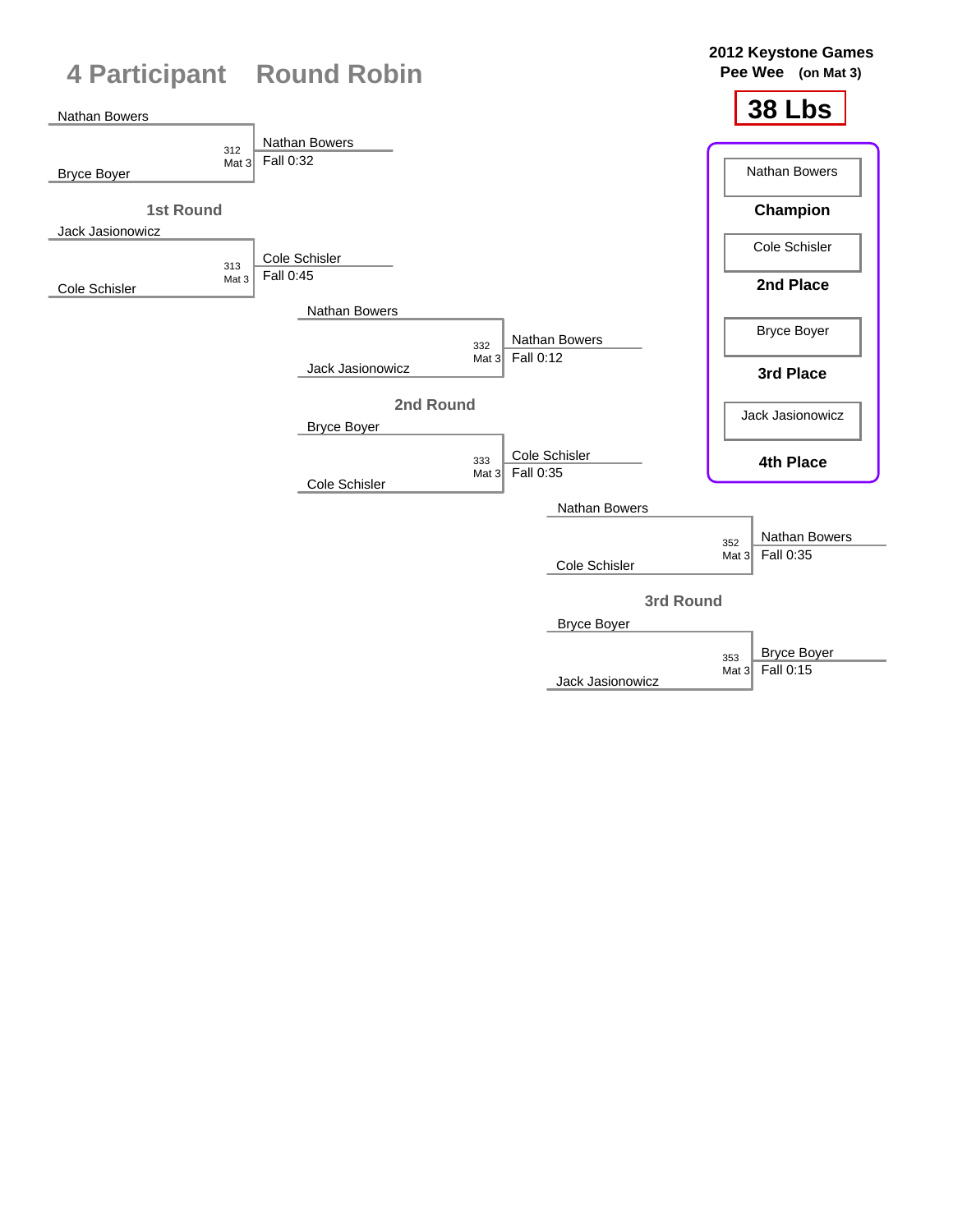| <b>4 Participant Round Robin</b>     |                                                                | 2012 Keystone Games<br>Pee Wee (on Mat 3)     |
|--------------------------------------|----------------------------------------------------------------|-----------------------------------------------|
| Nathan Bowers                        |                                                                | <b>38 Lbs</b>                                 |
| 312<br>Mat $3$<br><b>Bryce Boyer</b> | Nathan Bowers<br>Fall 0:32                                     | Nathan Bowers                                 |
| <b>1st Round</b><br>Jack Jasionowicz |                                                                | Champion                                      |
| 313                                  | Cole Schisler                                                  | Cole Schisler                                 |
| Mat 3<br>Cole Schisler               | Fall 0:45                                                      | 2nd Place                                     |
|                                      | Nathan Bowers<br>Nathan Bowers<br>332                          | <b>Bryce Boyer</b>                            |
|                                      | Fall 0:12<br>Mat $32$<br>Jack Jasionowicz                      | 3rd Place                                     |
|                                      | 2nd Round<br><b>Bryce Boyer</b>                                | Jack Jasionowicz                              |
|                                      | Cole Schisler<br>333<br>Fall 0:35<br>Mat $32$<br>Cole Schisler | 4th Place                                     |
|                                      | Nathan Bowers                                                  |                                               |
|                                      | Cole Schisler                                                  | Nathan Bowers<br>352<br>Fall 0:35<br>Mat $32$ |
|                                      | <b>Bryce Boyer</b>                                             | 3rd Round                                     |
|                                      |                                                                | <b>Bryce Boyer</b><br>353                     |

Jack Jasionowicz

 $\begin{array}{|c|c|c|}\n\hline\n353 & \text{DryCE BC} \\
\hline\n\text{Mat 3} & \text{Fall 0:15}\n\end{array}$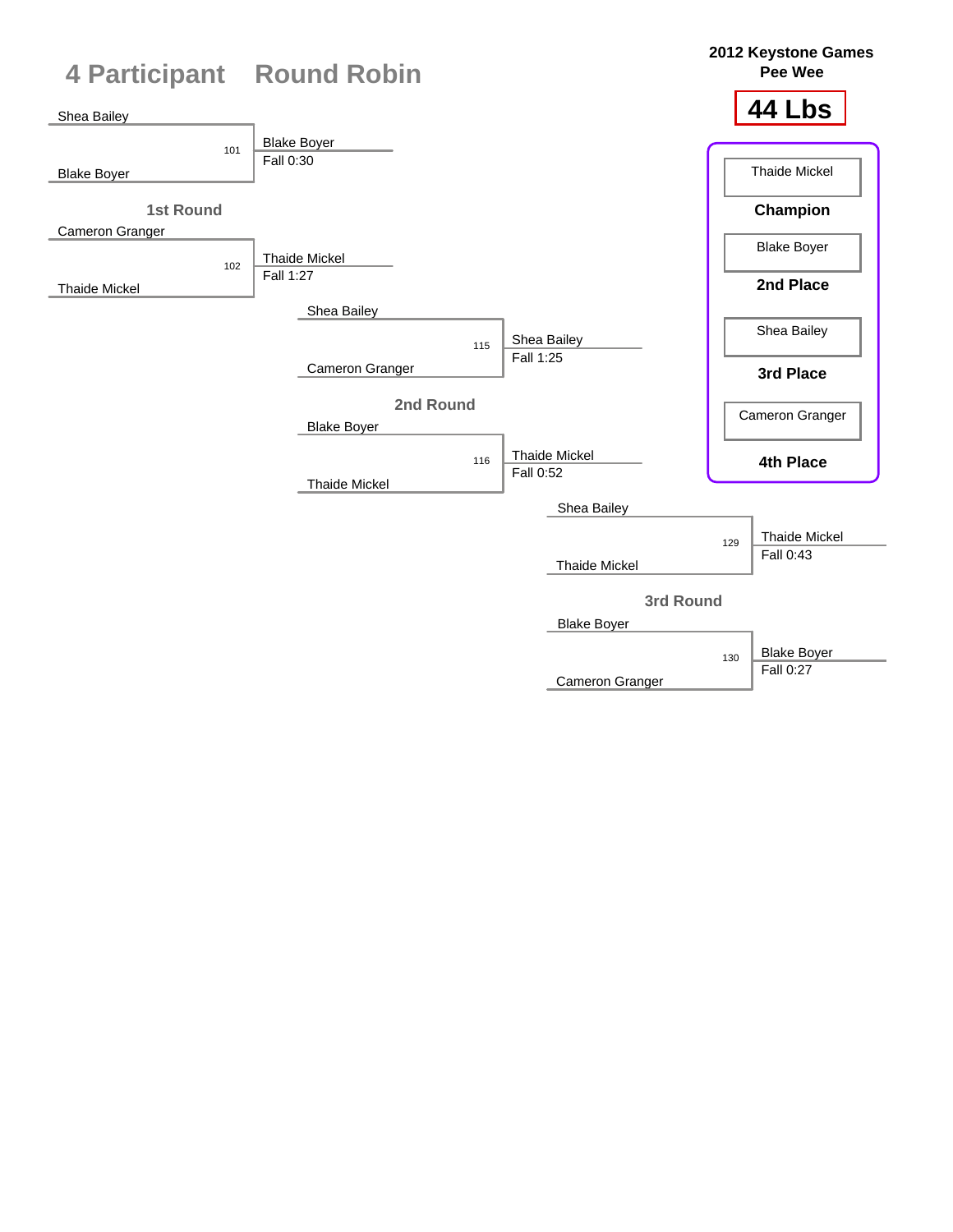

Cameron Granger

Fall 0:27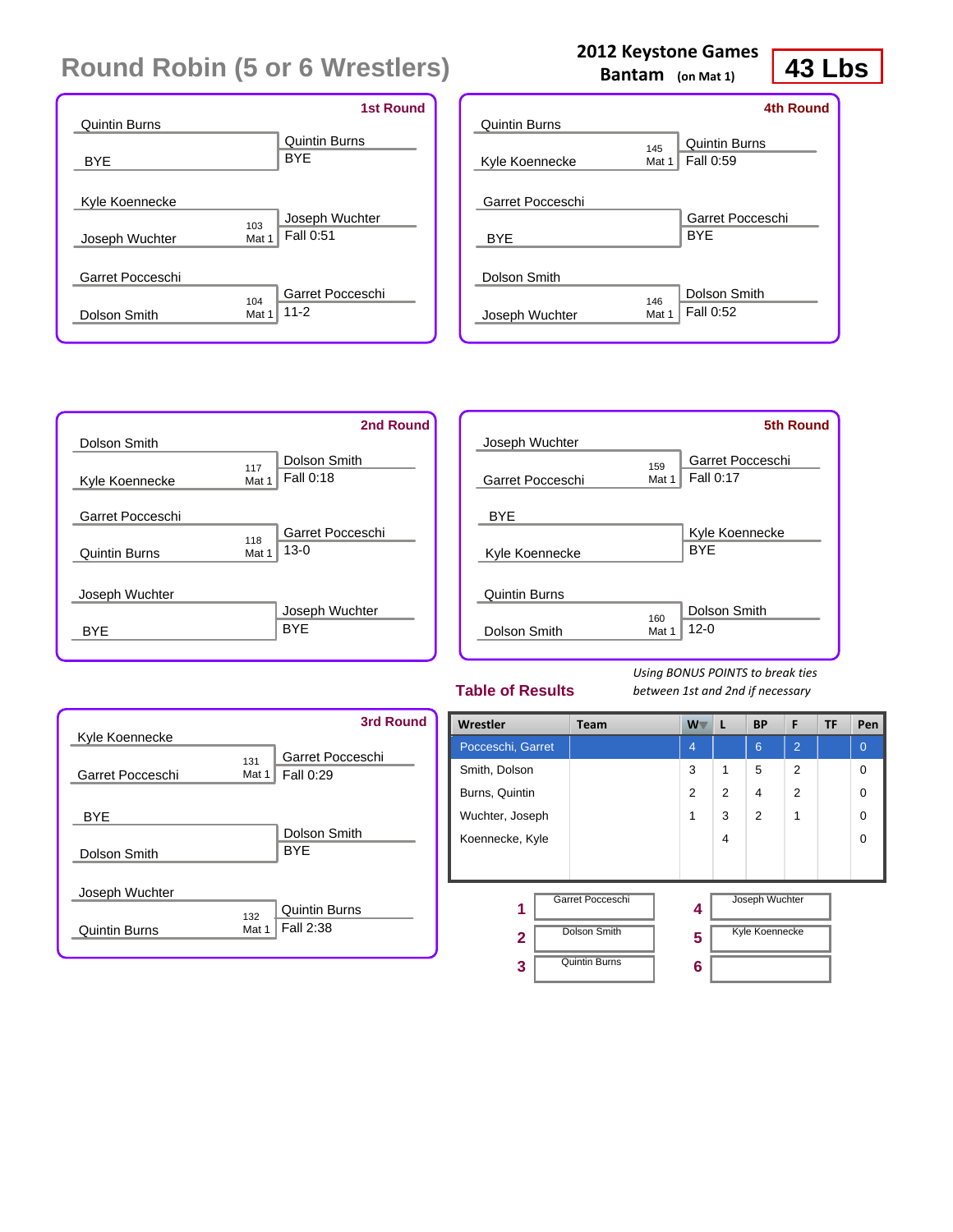| <b>Quintin Burns</b>                    | <b>1st Round</b>                      |
|-----------------------------------------|---------------------------------------|
| <b>BYE</b>                              | Quintin Burns<br><b>BYE</b>           |
|                                         |                                       |
| Kyle Koennecke<br>103<br>Joseph Wuchter | Joseph Wuchter<br>Fall 0:51<br>Mat 1  |
| Garret Pocceschi                        |                                       |
| 104<br>Dolson Smith                     | Garret Pocceschi<br>$11 - 2$<br>Mat 1 |

|              |                                          | 43 Lb                                           |                               |
|--------------|------------------------------------------|-------------------------------------------------|-------------------------------|
|              |                                          |                                                 |                               |
| 145<br>Mat 1 | <b>Quintin Burns</b><br><b>Fall 0:59</b> |                                                 |                               |
|              | BYF                                      |                                                 |                               |
| 146<br>Mat 1 | Dolson Smith<br>Fall 0:52                |                                                 |                               |
|              |                                          | <b>2012 Keystone Games</b><br>Bantam (on Mat 1) | 4th Round<br>Garret Pocceschi |

|                      | 2nd Round                                  |
|----------------------|--------------------------------------------|
| Dolson Smith         |                                            |
| Kyle Koennecke       | Dolson Smith<br>117<br>Fall 0:18<br>Mat 1  |
| Garret Pocceschi     |                                            |
| <b>Quintin Burns</b> | Garret Pocceschi<br>118<br>$13-0$<br>Mat 1 |
| Joseph Wuchter       |                                            |
| <b>BYF</b>           | Joseph Wuchter<br><b>BYE</b>               |

|                      |       | <b>5th Round</b> |
|----------------------|-------|------------------|
| Joseph Wuchter       |       |                  |
|                      | 159   | Garret Pocceschi |
| Garret Pocceschi     | Mat 1 | Fall 0:17        |
|                      |       |                  |
| BYE                  |       |                  |
|                      |       | Kyle Koennecke   |
| Kyle Koennecke       |       | <b>BYE</b>       |
|                      |       |                  |
| <b>Quintin Burns</b> |       |                  |
|                      | 160   | Dolson Smith     |
| Dolson Smith         | Mat 1 | $12 - 0$         |
|                      |       |                  |

#### **Table of Results**

*Using BONUS POINTS to break ties between 1st and 2nd if necessary*

| Kyle Koennecke                  | 3rd Round                                         |
|---------------------------------|---------------------------------------------------|
| Garret Pocceschi                | Garret Pocceschi<br>131<br>Fall 0:29<br>Mat 1     |
| <b>BYE</b><br>Dolson Smith      | Dolson Smith<br><b>BYF</b>                        |
| Joseph Wuchter<br>Quintin Burns | <b>Quintin Burns</b><br>132<br>Fall 2:38<br>Mat 1 |

| Wrestler          | <b>Team</b>          | $W^-$          | L              | <b>BP</b>      | F              | <b>TF</b> | Pen            |
|-------------------|----------------------|----------------|----------------|----------------|----------------|-----------|----------------|
| Pocceschi, Garret |                      | $\overline{4}$ |                | 6              | $\overline{2}$ |           | $\overline{0}$ |
| Smith, Dolson     |                      | 3              | 1              | 5              | $\overline{2}$ |           | $\Omega$       |
| Burns, Quintin    |                      | 2              | $\overline{2}$ | 4              | $\overline{2}$ |           | $\Omega$       |
| Wuchter, Joseph   |                      | 1              | 3              | $\overline{2}$ | 1              |           | $\Omega$       |
| Koennecke, Kyle   |                      |                | 4              |                |                |           | $\Omega$       |
|                   |                      |                |                |                |                |           |                |
| 1                 | Garret Pocceschi     | 4              |                | Joseph Wuchter |                |           |                |
| $\overline{2}$    | Dolson Smith         | 5              |                | Kyle Koennecke |                |           |                |
| 3                 | <b>Quintin Burns</b> | 6              |                |                |                |           |                |
|                   |                      |                |                |                |                |           |                |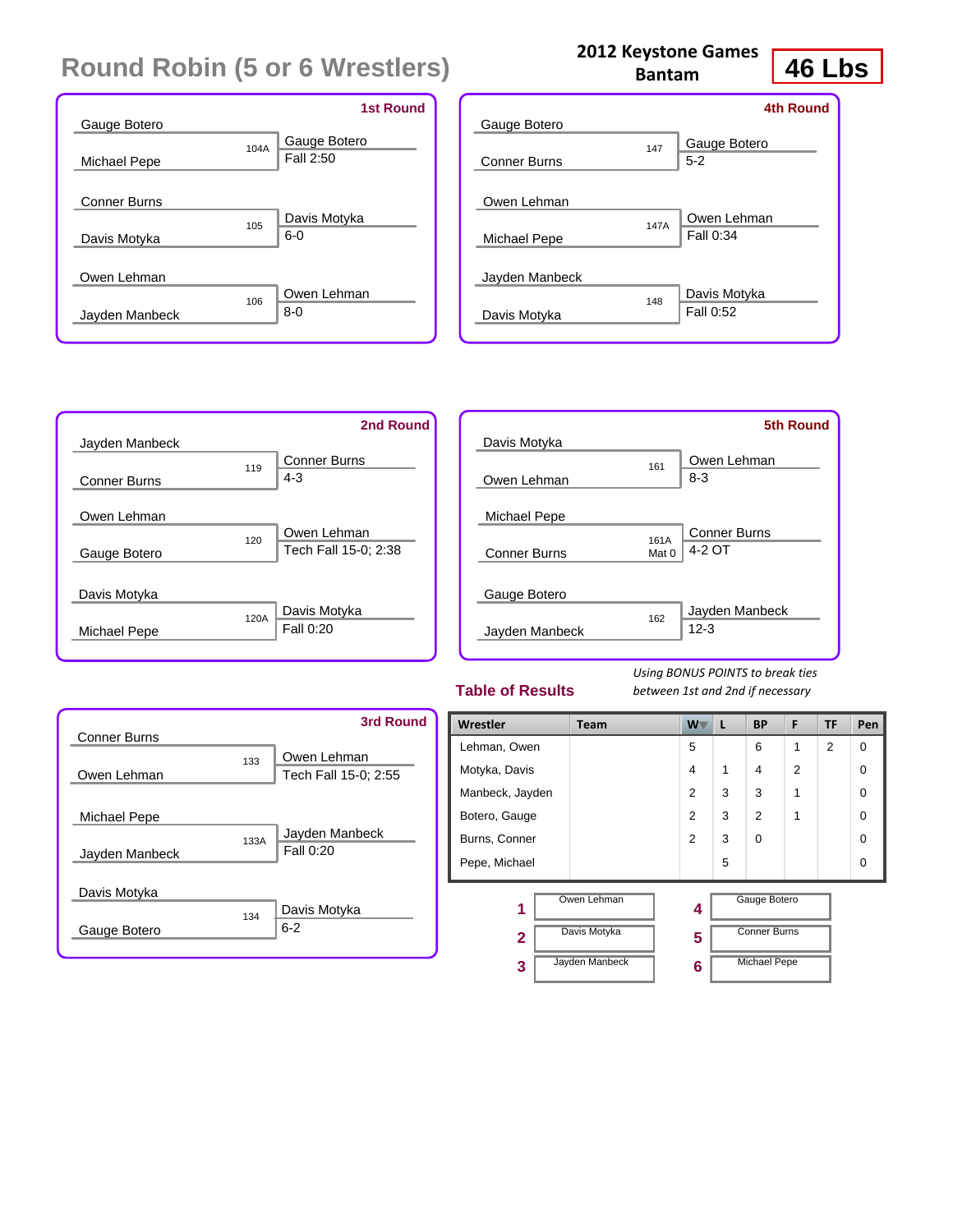|                                     |      | <b>1st Round</b>          |
|-------------------------------------|------|---------------------------|
| Gauge Botero<br>Michael Pepe        | 104A | Gauge Botero<br>Fall 2:50 |
| <b>Conner Burns</b><br>Davis Motyka | 105  | Davis Motyka<br>$6-0$     |
| Owen Lehman<br>Jayden Manbeck       | 106  | Owen Lehman<br>$8 - 0$    |

|                             | <b>Bantam</b> | 46                        |  |
|-----------------------------|---------------|---------------------------|--|
| Gauge Botero                |               | 4th Round<br>Gauge Botero |  |
| <b>Conner Burns</b>         | 147           | $5 - 2$                   |  |
| Owen Lehman<br>Michael Pepe | 147A          | Owen Lehman<br>Fall 0:34  |  |
| Jayden Manbeck              | 148           | Davis Motyka              |  |
| Davis Motyka                |               | Fall 0:52                 |  |

**2012 Keystone Games**

|                     |      | 2nd Round            |
|---------------------|------|----------------------|
| Jayden Manbeck      |      |                      |
|                     | 119  | <b>Conner Burns</b>  |
| <b>Conner Burns</b> |      | $4 - 3$              |
|                     |      |                      |
| Owen Lehman         |      |                      |
|                     | 120  | Owen Lehman          |
| Gauge Botero        |      | Tech Fall 15-0; 2:38 |
|                     |      |                      |
| Davis Motyka        |      |                      |
|                     | 120A | Davis Motyka         |
| Michael Pepe        |      | Fall 0:20            |
|                     |      |                      |

|                     |       | <b>5th Round</b>    |
|---------------------|-------|---------------------|
| Davis Motyka        |       |                     |
|                     | 161   | Owen Lehman         |
| Owen Lehman         |       | $8 - 3$             |
|                     |       |                     |
| Michael Pepe        |       |                     |
|                     | 161A  | <b>Conner Burns</b> |
| <b>Conner Burns</b> | Mat 0 | 4-2 OT              |
|                     |       |                     |
| Gauge Botero        |       |                     |
|                     | 162   | Jayden Manbeck      |
| Jayden Manbeck      |       | $12 - 3$            |
|                     |       |                     |

#### **Table of Results**

*Using BONUS POINTS to break ties between 1st and 2nd if necessary*

| <b>Conner Burns</b>            |      | 3rd Round                           |
|--------------------------------|------|-------------------------------------|
| Owen Lehman                    | 133  | Owen Lehman<br>Tech Fall 15-0; 2:55 |
| Michael Pepe<br>Jayden Manbeck | 133A | Jayden Manbeck<br>Fall 0:20         |
| Davis Motyka                   | 134  | Davis Motyka                        |
| Gauge Botero                   |      | $6 - 2$                             |

| Wrestler        | Team                                          | $W^-$       | L | <b>BP</b>                                                  | F              | TF             | Pen      |
|-----------------|-----------------------------------------------|-------------|---|------------------------------------------------------------|----------------|----------------|----------|
| Lehman, Owen    |                                               | 5           |   | 6                                                          | 1              | $\overline{2}$ | $\Omega$ |
| Motyka, Davis   |                                               | 4           | 1 | 4                                                          | $\overline{2}$ |                | $\Omega$ |
| Manbeck, Jayden |                                               | 2           | 3 | 3                                                          | 1              |                | $\Omega$ |
| Botero, Gauge   |                                               | 2           | 3 | $\overline{2}$                                             | 1              |                | $\Omega$ |
| Burns, Conner   |                                               | 2           | 3 | $\Omega$                                                   |                |                | $\Omega$ |
| Pepe, Michael   |                                               |             | 5 |                                                            |                |                | $\Omega$ |
| 1<br>2<br>3     | Owen Lehman<br>Davis Motyka<br>Jayden Manbeck | 4<br>5<br>6 |   | Gauge Botero<br><b>Conner Burns</b><br><b>Michael Pepe</b> |                |                |          |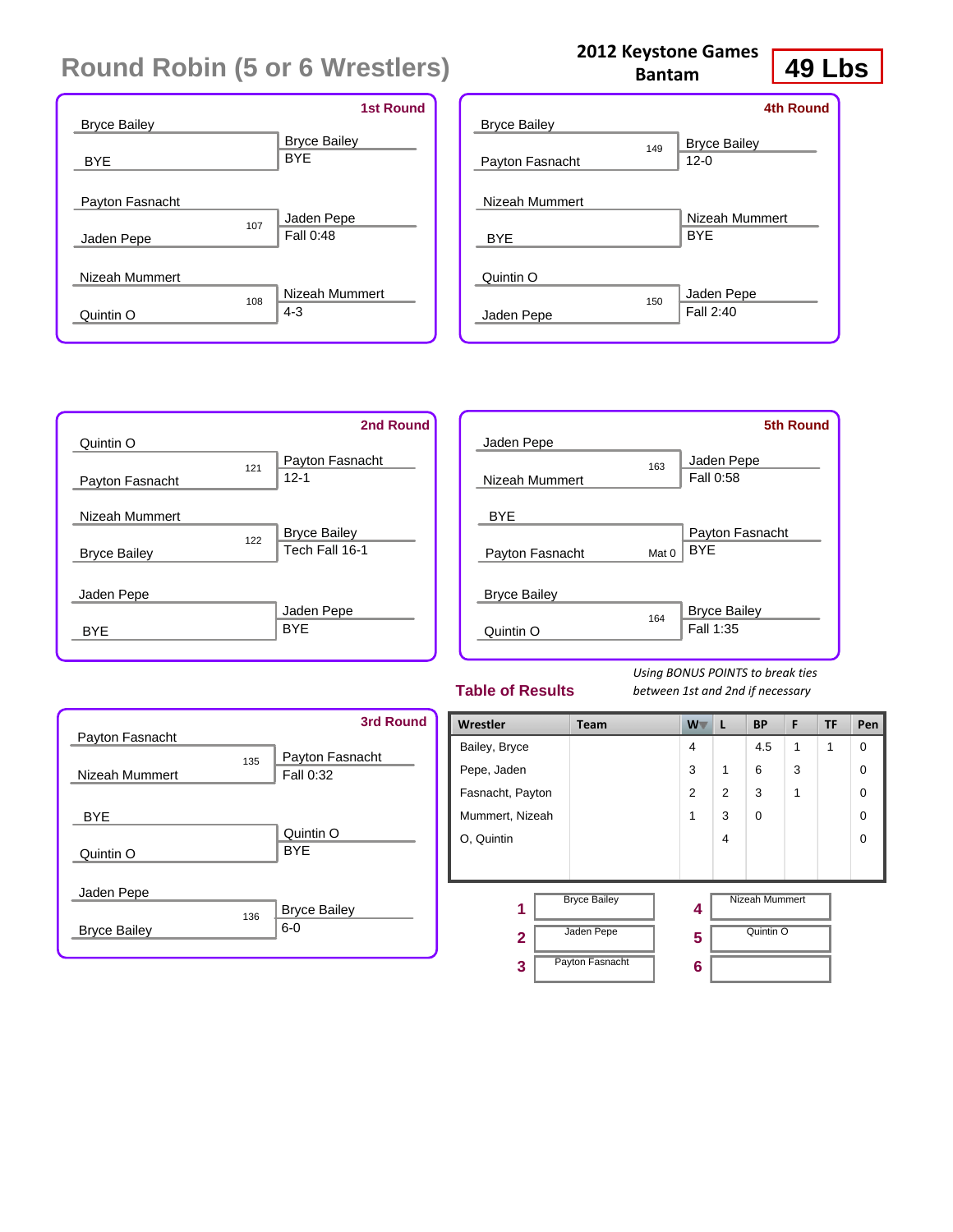|                     | <b>1st Round</b>    |
|---------------------|---------------------|
| <b>Bryce Bailey</b> |                     |
|                     | <b>Bryce Bailey</b> |
| <b>BYE</b>          | <b>BYE</b>          |
|                     |                     |
| Payton Fasnacht     |                     |
| 107                 | Jaden Pepe          |
| Jaden Pepe          | Fall 0:48           |
|                     |                     |
| Nizeah Mummert      |                     |
| 108                 | Nizeah Mummert      |
| Quintin O           | $4 - 3$             |
|                     |                     |

|                              |     | 4th Round                       |
|------------------------------|-----|---------------------------------|
| <b>Bryce Bailey</b>          |     |                                 |
| Payton Fasnacht              | 149 | <b>Bryce Bailey</b><br>$12 - 0$ |
| Nizeah Mummert<br><b>BYE</b> |     | Nizeah Mummert<br><b>BYF</b>    |
| Quintin O                    |     |                                 |
| Jaden Pepe                   | 150 | Jaden Pepe<br>Fall 2:40         |

|                     |     | 2nd Round           |
|---------------------|-----|---------------------|
| Quintin O           |     |                     |
|                     | 121 | Payton Fasnacht     |
| Payton Fasnacht     |     | $12 - 1$            |
| Nizeah Mummert      |     |                     |
|                     | 122 | <b>Bryce Bailey</b> |
| <b>Bryce Bailey</b> |     | Tech Fall 16-1      |
|                     |     |                     |
| Jaden Pepe          |     |                     |
|                     |     | Jaden Pepe          |
| BYF                 |     | <b>BYE</b>          |
|                     |     |                     |

|                     |                  | <b>5th Round</b>    |
|---------------------|------------------|---------------------|
| Jaden Pepe          |                  |                     |
|                     | 163              | Jaden Pepe          |
| Nizeah Mummert      |                  | Fall 0:58           |
| <b>BYE</b>          |                  |                     |
|                     |                  | Payton Fasnacht     |
| Payton Fasnacht     | Mat <sub>0</sub> | <b>BYF</b>          |
| <b>Bryce Bailey</b> |                  |                     |
|                     | 164              | <b>Bryce Bailey</b> |
| Quintin O           |                  | Fall 1:35           |
|                     |                  |                     |

#### **Table of Results**

*Using BONUS POINTS to break ties between 1st and 2nd if necessary*

| Payton Fasnacht     |     | <b>3rd Round</b>             |
|---------------------|-----|------------------------------|
| Nizeah Mummert      | 135 | Payton Fasnacht<br>Fall 0:32 |
| <b>BYE</b>          |     |                              |
| Quintin O           |     | Quintin O<br><b>BYF</b>      |
| Jaden Pepe          |     |                              |
| <b>Bryce Bailey</b> | 136 | <b>Bryce Bailey</b><br>$6-0$ |

| Wrestler         | Team                | W T            | L              | <b>BP</b>             | F | <b>TF</b> | Pen      |
|------------------|---------------------|----------------|----------------|-----------------------|---|-----------|----------|
| Bailey, Bryce    |                     | $\overline{4}$ |                | 4.5                   | 1 | 1         | 0        |
| Pepe, Jaden      |                     | 3              | $\mathbf 1$    | 6                     | 3 |           | $\Omega$ |
| Fasnacht, Payton |                     | 2              | $\overline{2}$ | 3                     | 1 |           | $\Omega$ |
| Mummert, Nizeah  |                     | 1              | 3              | $\Omega$              |   |           | $\Omega$ |
| O. Quintin       |                     |                | $\overline{4}$ |                       |   |           | $\Omega$ |
|                  |                     |                |                |                       |   |           |          |
| 1                | <b>Bryce Bailey</b> | 4              |                | <b>Nizeah Mummert</b> |   |           |          |
| $\overline{2}$   | Jaden Pepe          | 5              |                | Quintin O             |   |           |          |
| 3                | Payton Fasnacht     | 6              |                |                       |   |           |          |

## **2012 Keystone Games**

**49 Lbs**

**Bantam**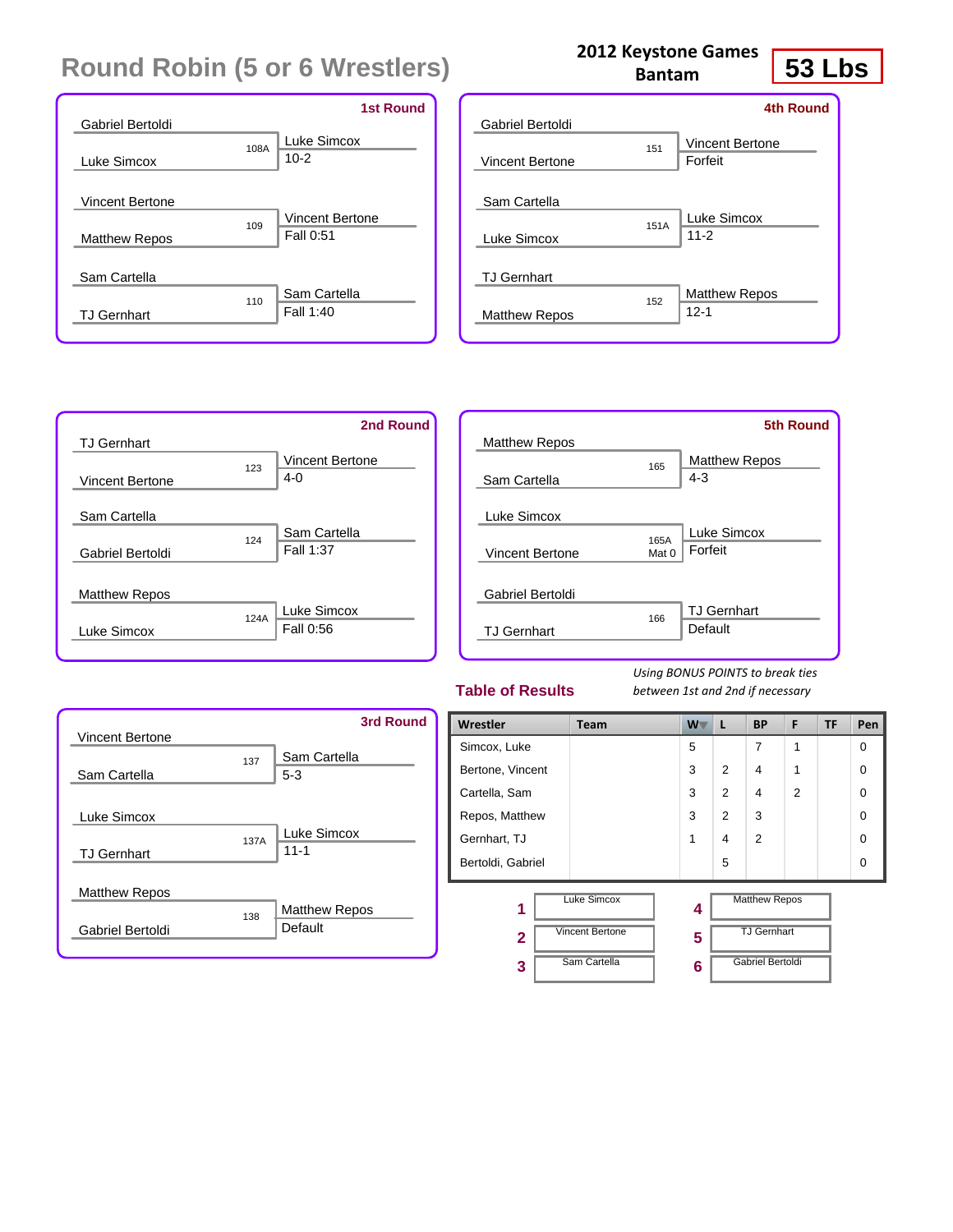|                        |      | <b>1st Round</b>       |
|------------------------|------|------------------------|
| Gabriel Bertoldi       |      |                        |
|                        | 108A | Luke Simcox            |
| Luke Simcox            |      | $10-2$                 |
|                        |      |                        |
| <b>Vincent Bertone</b> |      |                        |
|                        | 109  | <b>Vincent Bertone</b> |
| <b>Matthew Repos</b>   |      | Fall 0:51              |
|                        |      |                        |
| Sam Cartella           |      |                        |
|                        | 110  | Sam Cartella           |
| <b>TJ Gernhart</b>     |      | Fall 1:40              |
|                        |      |                        |

| Gabriel Bertoldi     |      | <b>4th Round</b>                  |
|----------------------|------|-----------------------------------|
| Vincent Bertone      | 151  | <b>Vincent Bertone</b><br>Forfeit |
| Sam Cartella         |      |                                   |
| Luke Simcox          | 151A | Luke Simcox<br>$11 - 2$           |
| <b>TJ Gernhart</b>   |      |                                   |
| <b>Matthew Repos</b> | 152  | <b>Matthew Repos</b><br>$12 - 1$  |
|                      |      |                                   |

**2012 Keystone Games Bantam**

|                        |      | 2nd Round              |
|------------------------|------|------------------------|
| <b>TJ</b> Gernhart     |      |                        |
|                        | 123  | <b>Vincent Bertone</b> |
| <b>Vincent Bertone</b> |      | $4 - 0$                |
|                        |      |                        |
| Sam Cartella           |      |                        |
|                        | 124  | Sam Cartella           |
| Gabriel Bertoldi       |      | Fall 1:37              |
|                        |      |                        |
| <b>Matthew Repos</b>   |      |                        |
|                        | 124A | Luke Simcox            |
| Luke Simcox            |      | Fall 0:56              |
|                        |      |                        |

|                      |       | <b>5th Round</b>     |
|----------------------|-------|----------------------|
| <b>Matthew Repos</b> |       |                      |
|                      | 165   | <b>Matthew Repos</b> |
| Sam Cartella         |       | 4-3                  |
|                      |       |                      |
| Luke Simcox          |       |                      |
|                      | 165A  | Luke Simcox          |
| Vincent Bertone      | Mat 0 | Forfeit              |
|                      |       |                      |
| Gabriel Bertoldi     |       |                      |
|                      | 166   | <b>TJ Gernhart</b>   |
| <b>TJ Gernhart</b>   |       | Default              |
|                      |       |                      |

#### **Table of Results**

*Using BONUS POINTS to break ties between 1st and 2nd if necessary*

| <b>Vincent Bertone</b>                   |      | <b>3rd Round</b>                |
|------------------------------------------|------|---------------------------------|
| Sam Cartella                             | 137  | Sam Cartella<br>$5 - 3$         |
| Luke Simcox<br><b>TJ Gernhart</b>        | 137A | Luke Simcox<br>$11 - 1$         |
| <b>Matthew Repos</b><br>Gabriel Bertoldi | 138  | <b>Matthew Repos</b><br>Default |

| Wrestler            | <b>Team</b>                                  | $W^-$  | L              | <b>BP</b>                                  | F              | TF | Pen      |
|---------------------|----------------------------------------------|--------|----------------|--------------------------------------------|----------------|----|----------|
| Simcox, Luke        |                                              | 5      |                | 7                                          | 1              |    | $\Omega$ |
| Bertone, Vincent    |                                              | 3      | 2              | 4                                          | 1              |    | $\Omega$ |
| Cartella, Sam       |                                              | 3      | $\overline{2}$ | 4                                          | $\overline{2}$ |    | $\Omega$ |
| Repos, Matthew      |                                              | 3      | $\overline{2}$ | 3                                          |                |    | $\Omega$ |
| Gernhart, TJ        |                                              | 1      | 4              | 2                                          |                |    | $\Omega$ |
| Bertoldi, Gabriel   |                                              |        | 5              |                                            |                |    | $\Omega$ |
| 1                   | <b>Luke Simcox</b><br><b>Vincent Bertone</b> | 4      |                | <b>Matthew Repos</b><br><b>TJ</b> Gernhart |                |    |          |
| $\overline{2}$<br>3 | Sam Cartella                                 | 5<br>6 |                | Gabriel Bertoldi                           |                |    |          |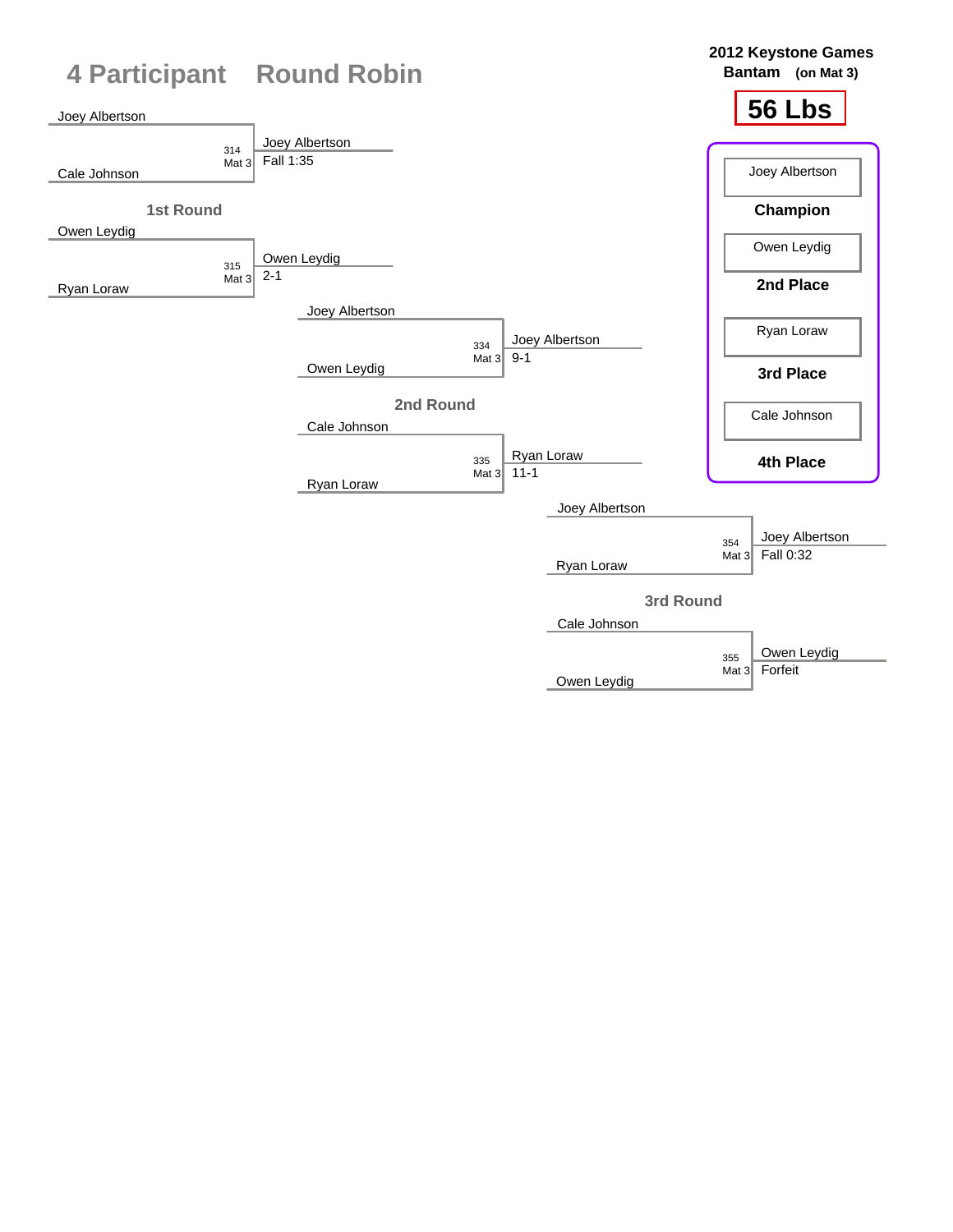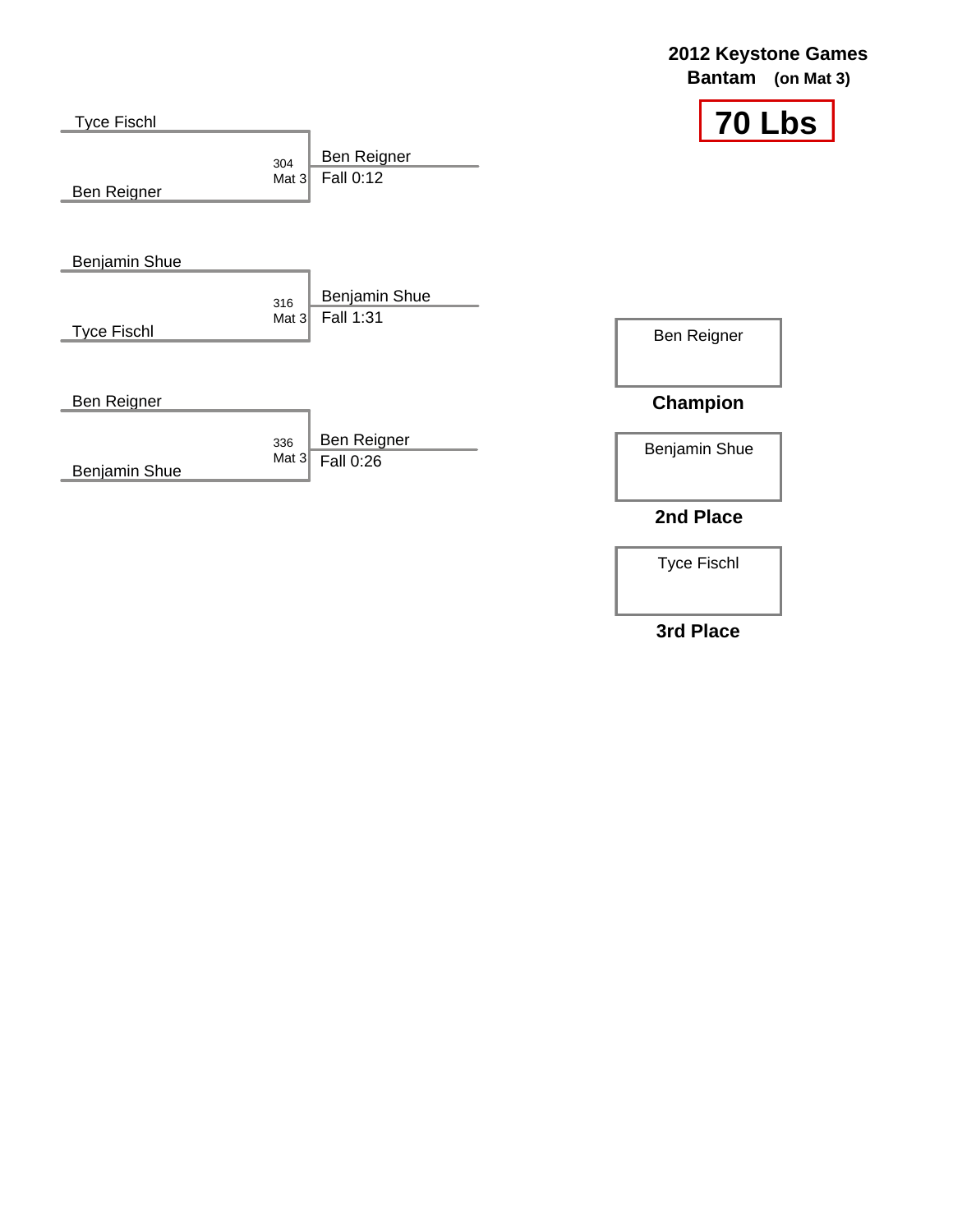| <b>Tyce Fischl</b>        |                                            | 70 Lbs          |
|---------------------------|--------------------------------------------|-----------------|
| 304<br>Ben Reigner        | Ben Reigner<br>Fall 0:12<br>Mat $3$        |                 |
| <b>Benjamin Shue</b>      |                                            |                 |
| 316<br><b>Tyce Fischl</b> | Benjamin Shue<br>Fall 1:31<br>Mat $3$      | Ben Reigner     |
| Ben Reigner               |                                            | <b>Champion</b> |
| Benjamin Shue             | Ben Reigner<br>336<br>Mat $3$<br>Fall 0:26 | Benjamin Shue   |
|                           |                                            | 2nd Place       |

Tyce Fischl

### **3rd Place**

## **2012 Keystone Games**

**Bantam (on Mat 3)**

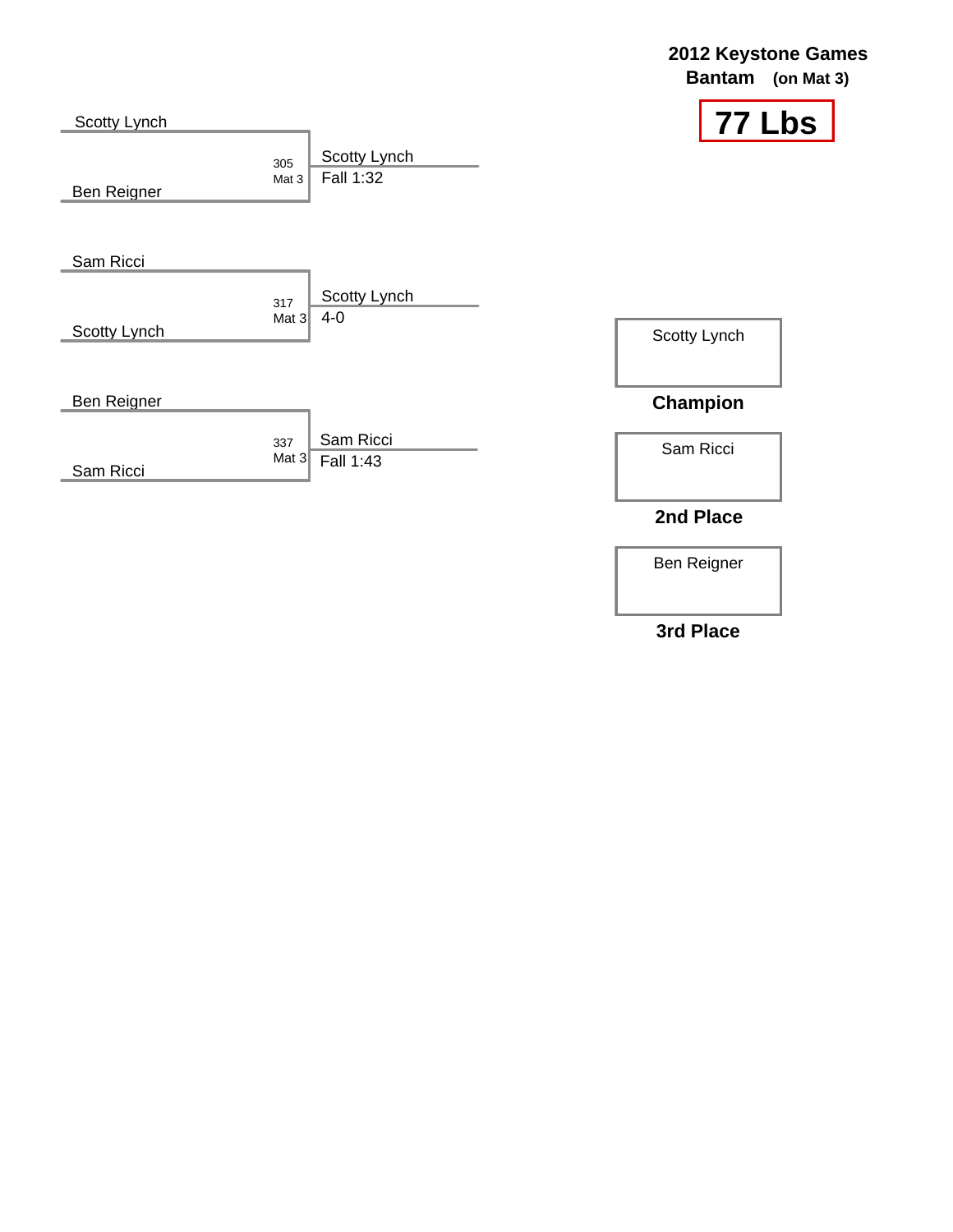| Scotty Lynch |                |                           |                 | <b>77 Lbs</b> |
|--------------|----------------|---------------------------|-----------------|---------------|
| Ben Reigner  | 305<br>Mat 3   | Scotty Lynch<br>Fall 1:32 |                 |               |
| Sam Ricci    |                | Scotty Lynch              |                 |               |
| Scotty Lynch | 317<br>Mat $3$ | 4-0                       | Scotty Lynch    |               |
| Ben Reigner  |                |                           | <b>Champion</b> |               |
| Sam Ricci    | 337<br>Mat $3$ | Sam Ricci<br>Fall 1:43    | Sam Ricci       |               |
|              |                |                           | 2nd Place       |               |

Ben Reigner

### **3rd Place**

## **2012 Keystone Games**

**Bantam (on Mat 3)**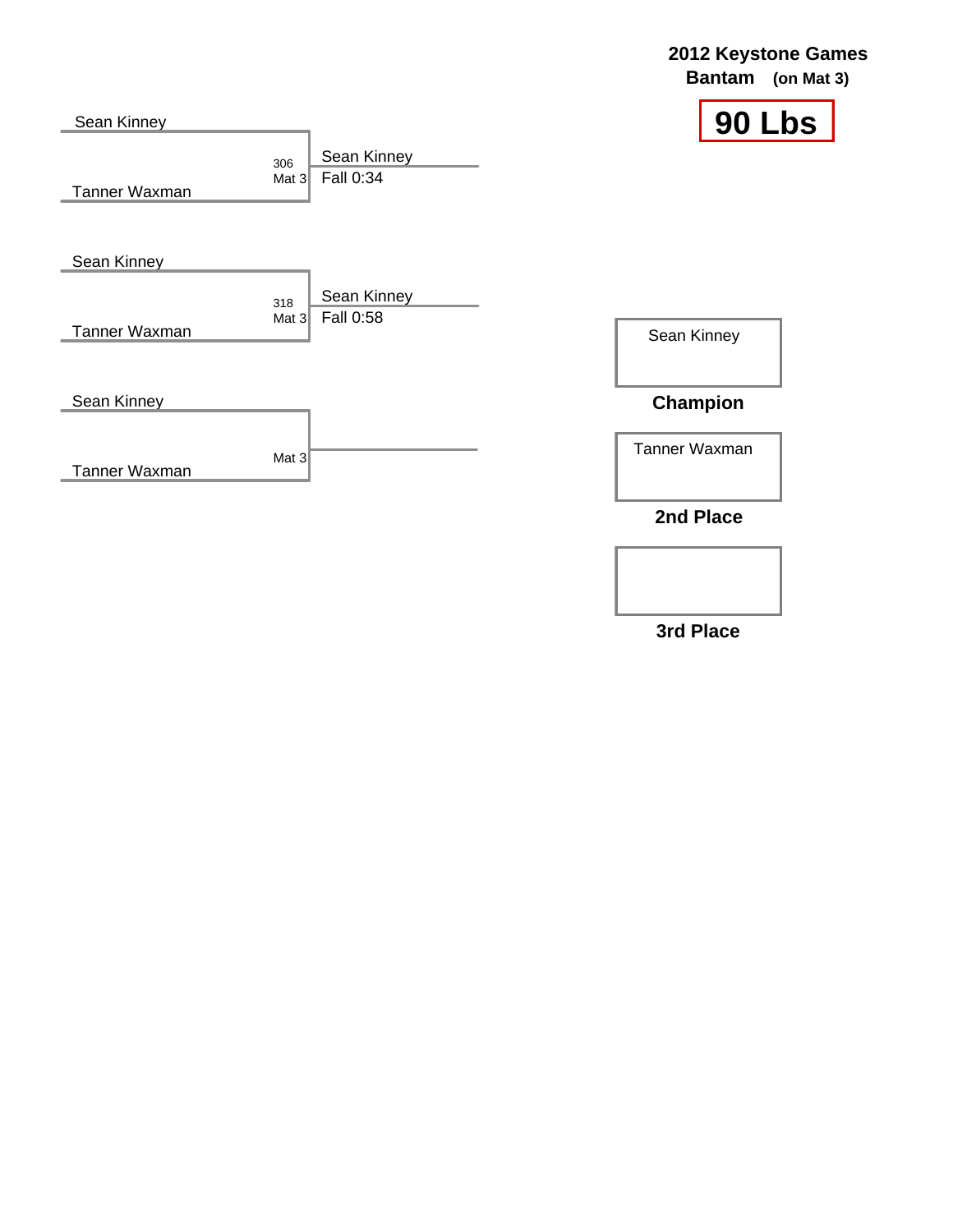|                              |                                            | <b>Bantam</b>   | (on Mat $3)$  |
|------------------------------|--------------------------------------------|-----------------|---------------|
| Sean Kinney<br>Tanner Waxman | Sean Kinney<br>306<br>Fall 0:34<br>Mat $3$ |                 | <b>90 Lbs</b> |
| Sean Kinney                  |                                            |                 |               |
| <b>Tanner Waxman</b>         | Sean Kinney<br>318<br>Fall 0:58<br>Mat $3$ | Sean Kinney     |               |
| Sean Kinney                  |                                            | <b>Champion</b> |               |
| Tanner Waxman                | Mat $3$                                    | Tanner Waxman   |               |
|                              |                                            | 2nd Place       |               |

**3rd Place**

### **2012 Keystone Games**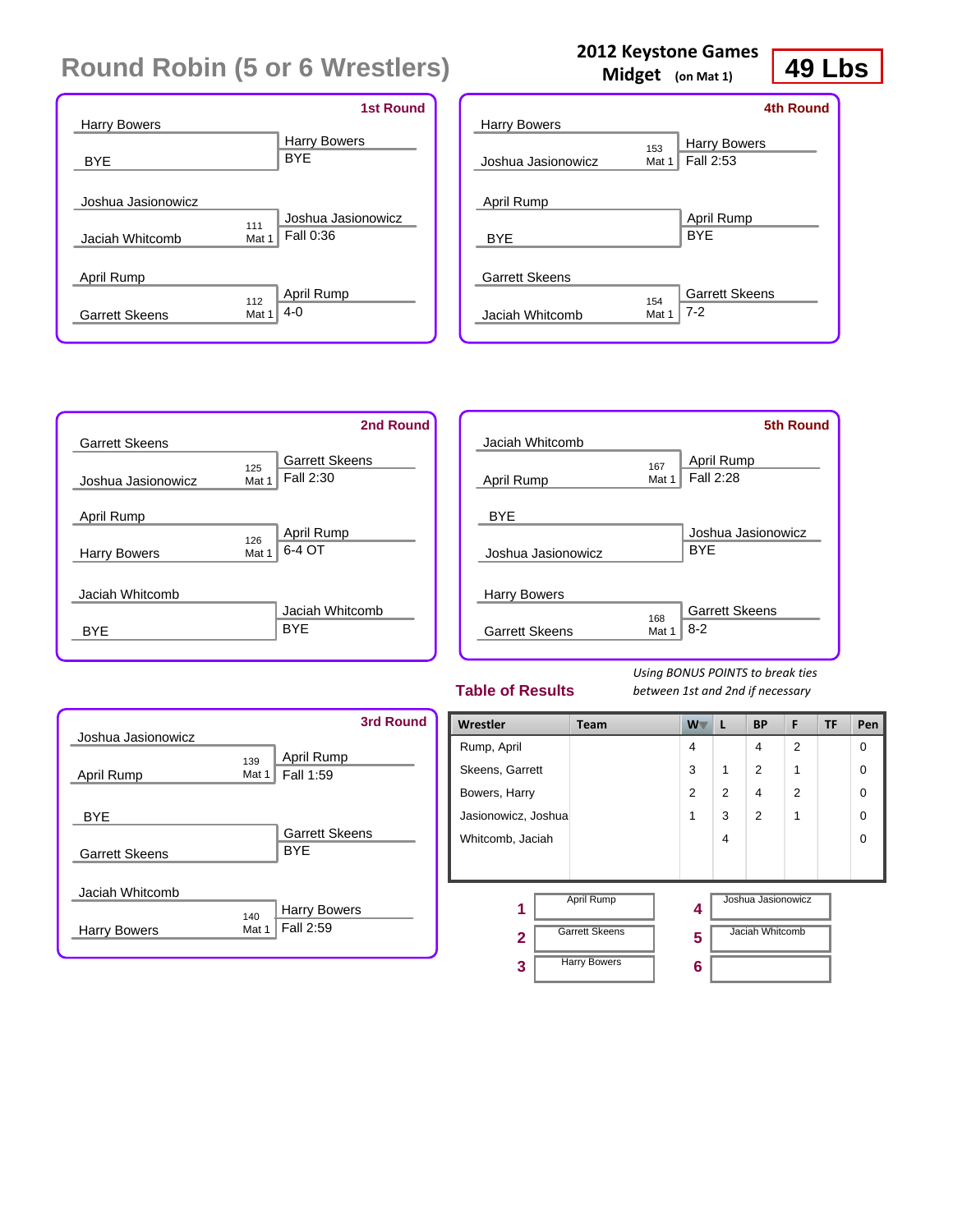|                       | <b>1st Round</b>          |
|-----------------------|---------------------------|
| <b>Harry Bowers</b>   |                           |
|                       | <b>Harry Bowers</b>       |
| <b>BYE</b>            | <b>BYE</b>                |
|                       |                           |
| Joshua Jasionowicz    |                           |
|                       | Joshua Jasionowicz<br>111 |
| Jaciah Whitcomb       | Fall 0:36<br>Mat 1        |
|                       |                           |
| April Rump            |                           |
|                       | April Rump<br>112         |
| <b>Garrett Skeens</b> | $4 - 0$<br>Mat 1          |
|                       |                           |

| <b>Harry Bowers</b>   |              | 4th Round                        |
|-----------------------|--------------|----------------------------------|
| Joshua Jasionowicz    | 153<br>Mat 1 | <b>Harry Bowers</b><br>Fall 2:53 |
| April Rump            |              |                                  |
| <b>BYE</b>            |              | April Rump<br><b>BYF</b>         |
| <b>Garrett Skeens</b> |              |                                  |
| Jaciah Whitcomb       | 154<br>Mat 1 | <b>Garrett Skeens</b><br>$7-2$   |

**2012 Keystone Games Midget (on Mat 1)**

|                       | 2nd Round                                          |
|-----------------------|----------------------------------------------------|
| <b>Garrett Skeens</b> |                                                    |
| Joshua Jasionowicz    | <b>Garrett Skeens</b><br>125<br>Fall 2:30<br>Mat 1 |
| April Rump            |                                                    |
| <b>Harry Bowers</b>   | <b>April Rump</b><br>126<br>6-4 OT<br>Mat 1        |
| Jaciah Whitcomb       | Jaciah Whitcomb                                    |
| <b>BYF</b>            | <b>BYE</b>                                         |

| Jaciah Whitcomb                              |              | <b>5th Round</b>                 |
|----------------------------------------------|--------------|----------------------------------|
| April Rump                                   | 167<br>Mat 1 | <b>April Rump</b><br>Fall 2:28   |
| <b>BYE</b><br>Joshua Jasionowicz             |              | Joshua Jasionowicz<br><b>BYF</b> |
| <b>Harry Bowers</b><br><b>Garrett Skeens</b> | 168<br>Mat 1 | <b>Garrett Skeens</b><br>$8-2$   |

#### **Table of Results**

*Using BONUS POINTS to break ties between 1st and 2nd if necessary*

| Joshua Jasionowicz    | <b>3rd Round</b>                                 |
|-----------------------|--------------------------------------------------|
| April Rump            | April Rump<br>139<br>Fall 1:59<br>Mat 1          |
| <b>BYE</b>            |                                                  |
| <b>Garrett Skeens</b> | <b>Garrett Skeens</b><br><b>BYF</b>              |
| Jaciah Whitcomb       |                                                  |
| Harry Bowers          | <b>Harry Bowers</b><br>140<br>Fall 2:59<br>Mat 1 |

| Wrestler            | <b>Team</b>           | W T            | L              | <b>BP</b>          | F              | TF | Pen      |
|---------------------|-----------------------|----------------|----------------|--------------------|----------------|----|----------|
| Rump, April         |                       | 4              |                | 4                  | $\overline{2}$ |    | 0        |
| Skeens, Garrett     |                       | 3              | 1              | 2                  | 1              |    | 0        |
| Bowers, Harry       |                       | $\overline{2}$ | $\overline{2}$ | 4                  | $\overline{2}$ |    | 0        |
| Jasionowicz, Joshua |                       | 1              | 3              | $\overline{2}$     | 1              |    | 0        |
| Whitcomb, Jaciah    |                       |                | 4              |                    |                |    | $\Omega$ |
|                     |                       |                |                |                    |                |    |          |
| 1                   | April Rump            | 4              |                | Joshua Jasionowicz |                |    |          |
| $\overline{2}$      | <b>Garrett Skeens</b> | 5              |                | Jaciah Whitcomb    |                |    |          |
| 3                   | <b>Harry Bowers</b>   | 6              |                |                    |                |    |          |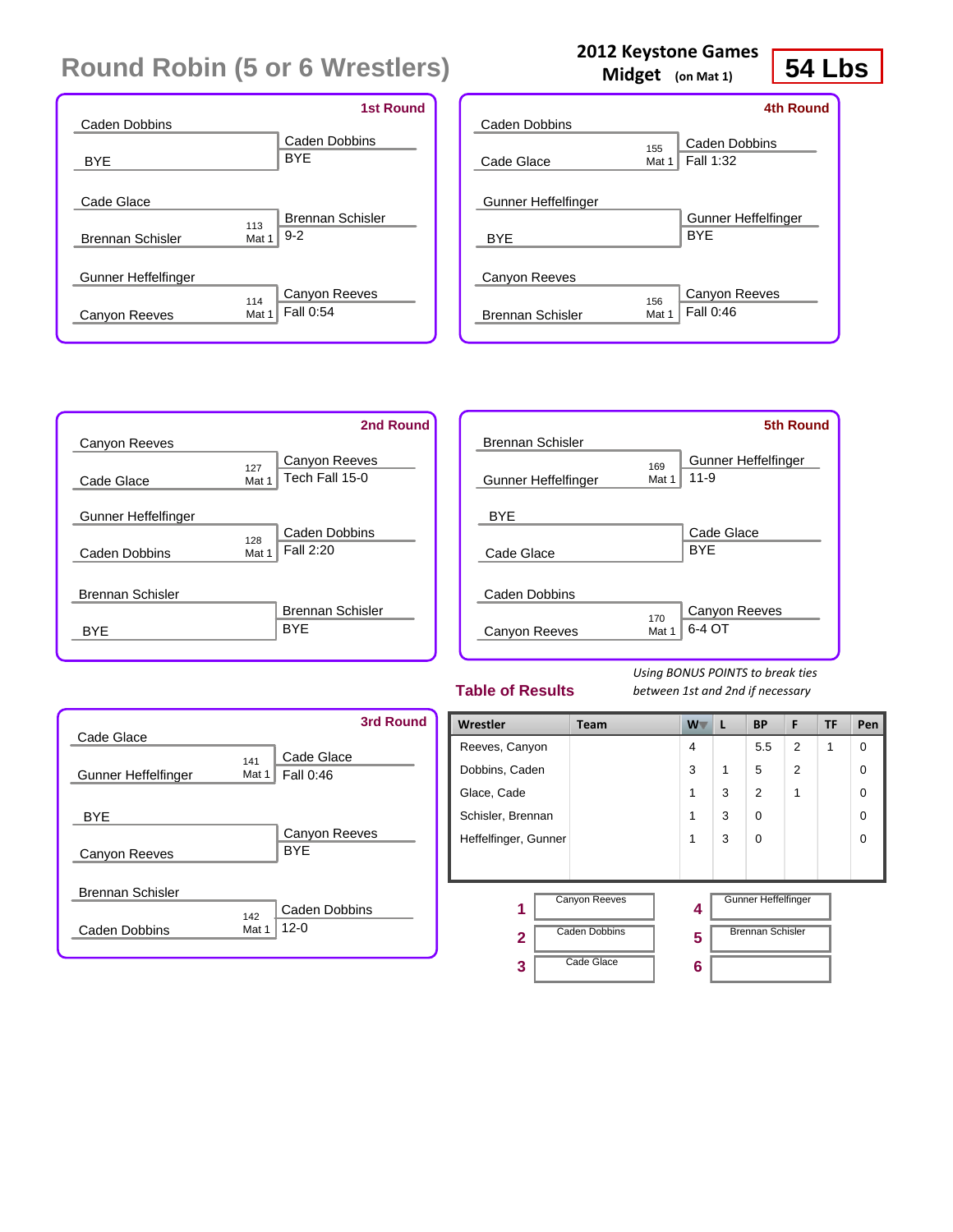|                                       | <b>1st Round</b>                                   |
|---------------------------------------|----------------------------------------------------|
| Caden Dobbins                         | Caden Dobbins                                      |
| <b>BYE</b>                            | <b>BYE</b>                                         |
| Cade Glace<br><b>Brennan Schisler</b> | <b>Brennan Schisler</b><br>113<br>$9 - 2$<br>Mat 1 |
| Gunner Heffelfinger                   | Canyon Reeves                                      |
| Canyon Reeves                         | 114<br>Fall 0:54<br>Mat 1                          |

|                         | Midget (on Mat 1) | 54<br>LK            |
|-------------------------|-------------------|---------------------|
|                         |                   | <b>4th Round</b>    |
| Caden Dobbins           |                   |                     |
|                         | 155               | Caden Dobbins       |
| Cade Glace              | Mat 1             | Fall 1:32           |
| Gunner Heffelfinger     |                   | Gunner Heffelfinger |
| <b>BYE</b>              |                   | <b>BYF</b>          |
| Canyon Reeves           |                   |                     |
|                         | 156               | Canyon Reeves       |
| <b>Brennan Schisler</b> | Mat 1             | Fall 0:46           |

|                         | 2nd Round                                       |
|-------------------------|-------------------------------------------------|
| Canyon Reeves           |                                                 |
| Cade Glace              | Canyon Reeves<br>127<br>Tech Fall 15-0<br>Mat 1 |
| Gunner Heffelfinger     |                                                 |
|                         | Caden Dobbins<br>128                            |
| Caden Dobbins           | Fall 2:20<br>Mat 1                              |
| <b>Brennan Schisler</b> | <b>Brennan Schisler</b>                         |
| <b>BYF</b>              | <b>BYF</b>                                      |

| Brennan Schisler               |              | <b>5th Round</b>                |
|--------------------------------|--------------|---------------------------------|
| Gunner Heffelfinger            | 169<br>Mat 1 | Gunner Heffelfinger<br>$11 - 9$ |
| <b>BYE</b><br>Cade Glace       |              | Cade Glace<br><b>BYE</b>        |
| Caden Dobbins<br>Canyon Reeves | 170<br>Mat 1 | Canyon Reeves<br>6-4 OT         |

#### **Table of Results**

*Using BONUS POINTS to break ties between 1st and 2nd if necessary*

| Cade Glace                               | <b>3rd Round</b>                          |  |
|------------------------------------------|-------------------------------------------|--|
| Gunner Heffelfinger                      | Cade Glace<br>141<br>Fall 0:46<br>Mat 1   |  |
| <b>BYE</b><br>Canyon Reeves              | Canyon Reeves<br><b>BYE</b>               |  |
| <b>Brennan Schisler</b><br>Caden Dobbins | Caden Dobbins<br>142<br>$12 - 0$<br>Mat 1 |  |

| Wrestler             | <b>Team</b>          | W . | L | <b>BP</b>                  | F              | <b>TF</b> | Pen |
|----------------------|----------------------|-----|---|----------------------------|----------------|-----------|-----|
| Reeves, Canyon       |                      | 4   |   | 5.5                        | 2              | 1         | 0   |
| Dobbins, Caden       |                      | 3   | 1 | 5                          | $\overline{2}$ |           | 0   |
| Glace, Cade          |                      | 1   | 3 | $\overline{2}$             | 1              |           | 0   |
| Schisler, Brennan    |                      | 1   | 3 | $\Omega$                   |                |           | 0   |
| Heffelfinger, Gunner |                      | 1   | 3 | $\Omega$                   |                |           | ∩   |
|                      |                      |     |   |                            |                |           |     |
| 1                    | <b>Canyon Reeves</b> | 4   |   | <b>Gunner Heffelfinger</b> |                |           |     |
| $\overline{2}$       | <b>Caden Dobbins</b> | 5   |   | <b>Brennan Schisler</b>    |                |           |     |
| 3                    | Cade Glace           | 6   |   |                            |                |           |     |

#### **2012 Keystone Games**

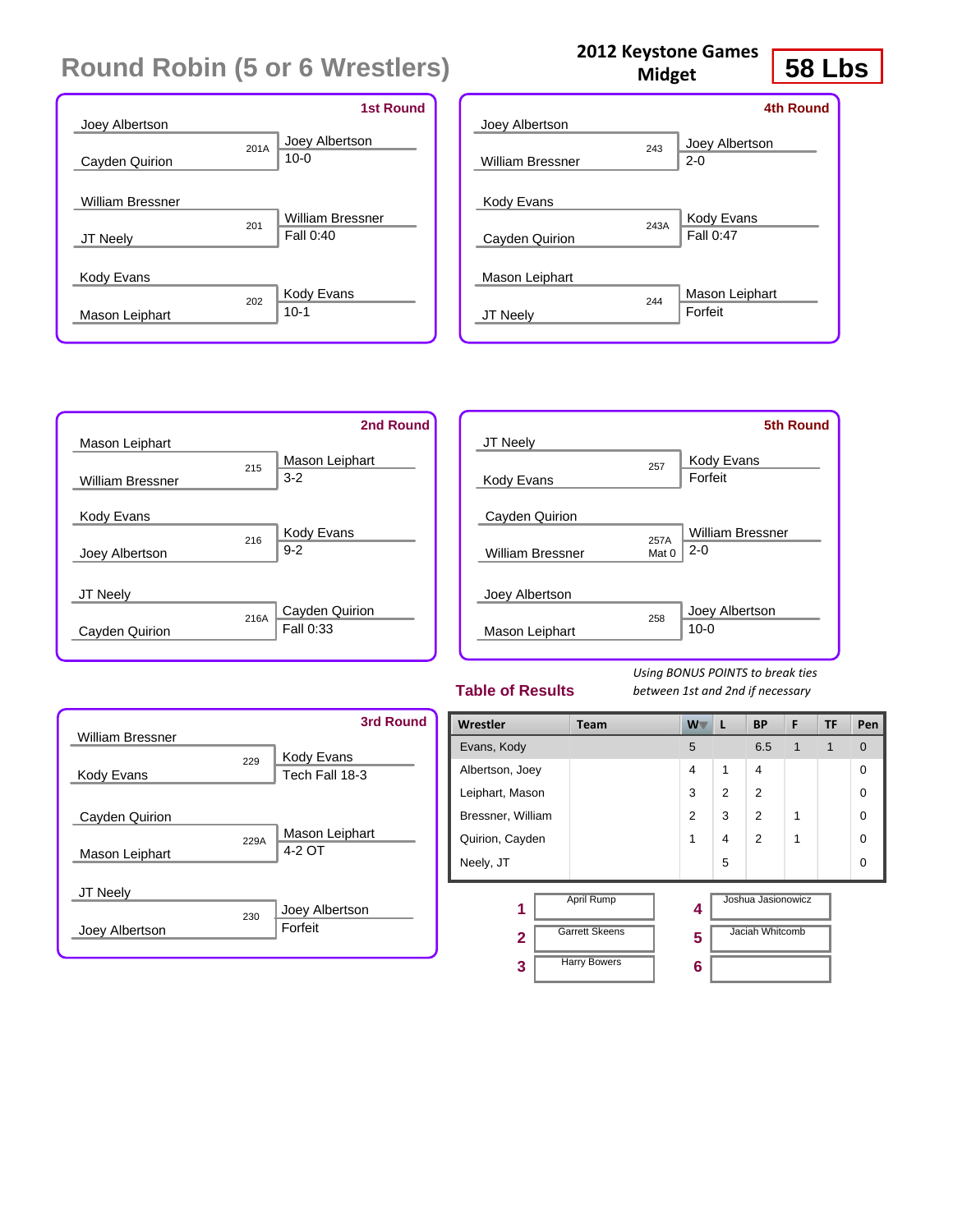|                         |      | <b>1st Round</b>        |
|-------------------------|------|-------------------------|
| Joey Albertson          |      |                         |
|                         | 201A | Joey Albertson          |
| Cayden Quirion          |      | $10-0$                  |
|                         |      |                         |
| <b>William Bressner</b> |      |                         |
|                         | 201  | <b>William Bressner</b> |
| <b>JT Neely</b>         |      | Fall 0:40               |
|                         |      |                         |
| Kody Evans              |      |                         |
|                         | 202  | Kody Evans              |
| Mason Leiphart          |      | $10-1$                  |
|                         |      |                         |

|                         |      | <b>4th Round</b>          |
|-------------------------|------|---------------------------|
| Joey Albertson          |      |                           |
| <b>William Bressner</b> | 243  | Joey Albertson<br>$2 - 0$ |
| Kody Evans              |      |                           |
| Cayden Quirion          | 243A | Kody Evans<br>Fall 0:47   |
| Mason Leiphart          |      |                           |
| JT Neely                | 244  | Mason Leiphart<br>Forfeit |
|                         |      |                           |

**2012 Keystone Games Midget**



| JT Neely                                  |               | <b>5th Round</b>                   |
|-------------------------------------------|---------------|------------------------------------|
| Kody Evans                                | 257           | <b>Kody Evans</b><br>Forfeit       |
| Cayden Quirion<br><b>William Bressner</b> | 257A<br>Mat 0 | <b>William Bressner</b><br>$2 - 0$ |
| Joey Albertson<br>Mason Leiphart          | 258           | Joey Albertson<br>$10 - 0$         |

#### **Table of Results**

*Using BONUS POINTS to break ties between 1st and 2nd if necessary*

| <b>William Bressner</b>          |      | <b>3rd Round</b>             |
|----------------------------------|------|------------------------------|
| Kody Evans                       | 229  | Kody Evans<br>Tech Fall 18-3 |
| Cayden Quirion<br>Mason Leiphart | 229A | Mason Leiphart<br>4-2 OT     |
| JT Neely<br>Joey Albertson       | 230  | Joey Albertson<br>Forfeit    |

| Wrestler               | Team                                                       | $W^-$          | L              | <b>BP</b>                             | F | <b>TF</b>    | Pen            |
|------------------------|------------------------------------------------------------|----------------|----------------|---------------------------------------|---|--------------|----------------|
| Evans, Kody            |                                                            | 5              |                | 6.5                                   | 1 | $\mathbf{1}$ | $\overline{0}$ |
| Albertson, Joey        |                                                            | $\overline{4}$ | 1              | 4                                     |   |              | $\Omega$       |
| Leiphart, Mason        |                                                            | 3              | $\overline{2}$ | $\mathfrak{p}$                        |   |              | 0              |
| Bressner, William      |                                                            | 2              | 3              | 2                                     | 1 |              | $\Omega$       |
| Quirion, Cayden        |                                                            | 1              | 4              | 2                                     | 1 |              | $\Omega$       |
| Neely, JT              |                                                            |                | 5              |                                       |   |              | $\Omega$       |
| 1<br>$\mathbf{2}$<br>3 | April Rump<br><b>Garrett Skeens</b><br><b>Harry Bowers</b> | 4<br>5<br>6    |                | Joshua Jasionowicz<br>Jaciah Whitcomb |   |              |                |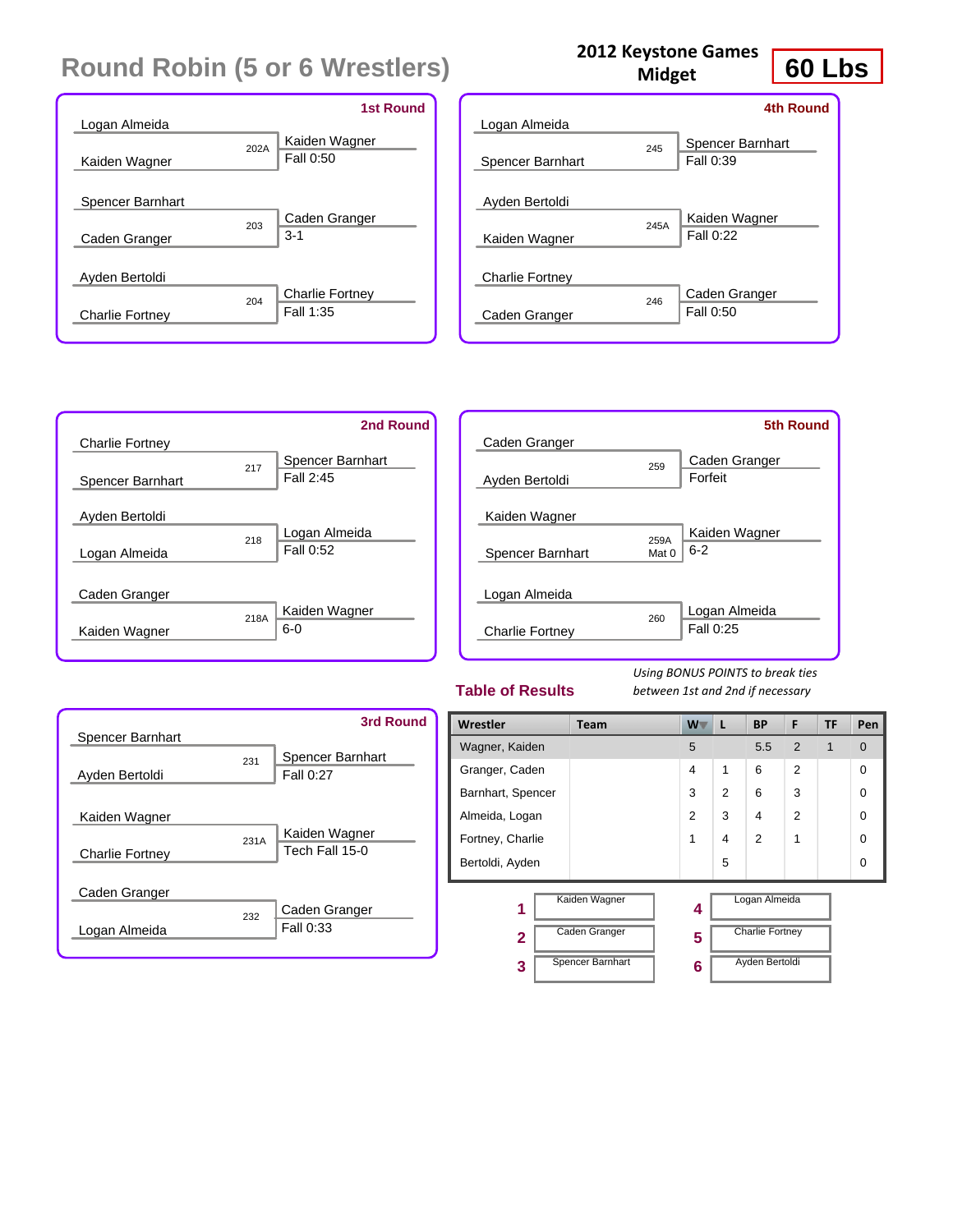| Logan Almeida                     |      | <b>1st Round</b>                    |
|-----------------------------------|------|-------------------------------------|
| Kaiden Wagner                     | 202A | Kaiden Wagner<br>Fall 0:50          |
| Spencer Barnhart<br>Caden Granger | 203  | Caden Granger<br>$3-1$              |
| Ayden Bertoldi                    |      |                                     |
| <b>Charlie Fortney</b>            | 204  | <b>Charlie Fortney</b><br>Fall 1:35 |

| ້                                    |
|--------------------------------------|
| 4th Round                            |
|                                      |
| Spencer Barnhart<br>245<br>Fall 0:39 |
|                                      |
| Kaiden Wagner<br>245A                |
| Fall 0:22                            |
|                                      |
| Caden Granger<br>246                 |
| Fall 0:50                            |
|                                      |

**2012 Keystone Games Midget**



|                        |       | <b>5th Round</b> |
|------------------------|-------|------------------|
| Caden Granger          |       |                  |
|                        | 259   | Caden Granger    |
| Ayden Bertoldi         |       | Forfeit          |
|                        |       |                  |
| Kaiden Wagner          |       |                  |
|                        | 259A  | Kaiden Wagner    |
| Spencer Barnhart       | Mat 0 | $6 - 2$          |
|                        |       |                  |
| Logan Almeida          |       |                  |
|                        | 260   | Logan Almeida    |
| <b>Charlie Fortney</b> |       | Fall 0:25        |
|                        |       |                  |

#### **Table of Results**

*Using BONUS POINTS to break ties between 1st and 2nd if necessary*



| Wrestler          | <b>Team</b>      | $W^-$ | L | <b>BP</b>              | F              | TF | Pen         |
|-------------------|------------------|-------|---|------------------------|----------------|----|-------------|
| Wagner, Kaiden    |                  | 5     |   | 5.5                    | 2              | 1  | $\mathbf 0$ |
| Granger, Caden    |                  | 4     | 1 | 6                      | $\overline{2}$ |    | $\Omega$    |
| Barnhart, Spencer |                  | 3     | 2 | 6                      | 3              |    | $\Omega$    |
| Almeida, Logan    |                  | 2     | 3 | 4                      | $\overline{2}$ |    | $\Omega$    |
| Fortney, Charlie  |                  | 1     | 4 | $\mathfrak{p}$         | 1              |    | $\Omega$    |
| Bertoldi, Ayden   |                  |       | 5 |                        |                |    | $\Omega$    |
| 1                 | Kaiden Wagner    | 4     |   | Logan Almeida          |                |    |             |
| $\overline{2}$    | Caden Granger    | 5     |   | <b>Charlie Fortney</b> |                |    |             |
| 3                 | Spencer Barnhart | 6     |   | Ayden Bertoldi         |                |    |             |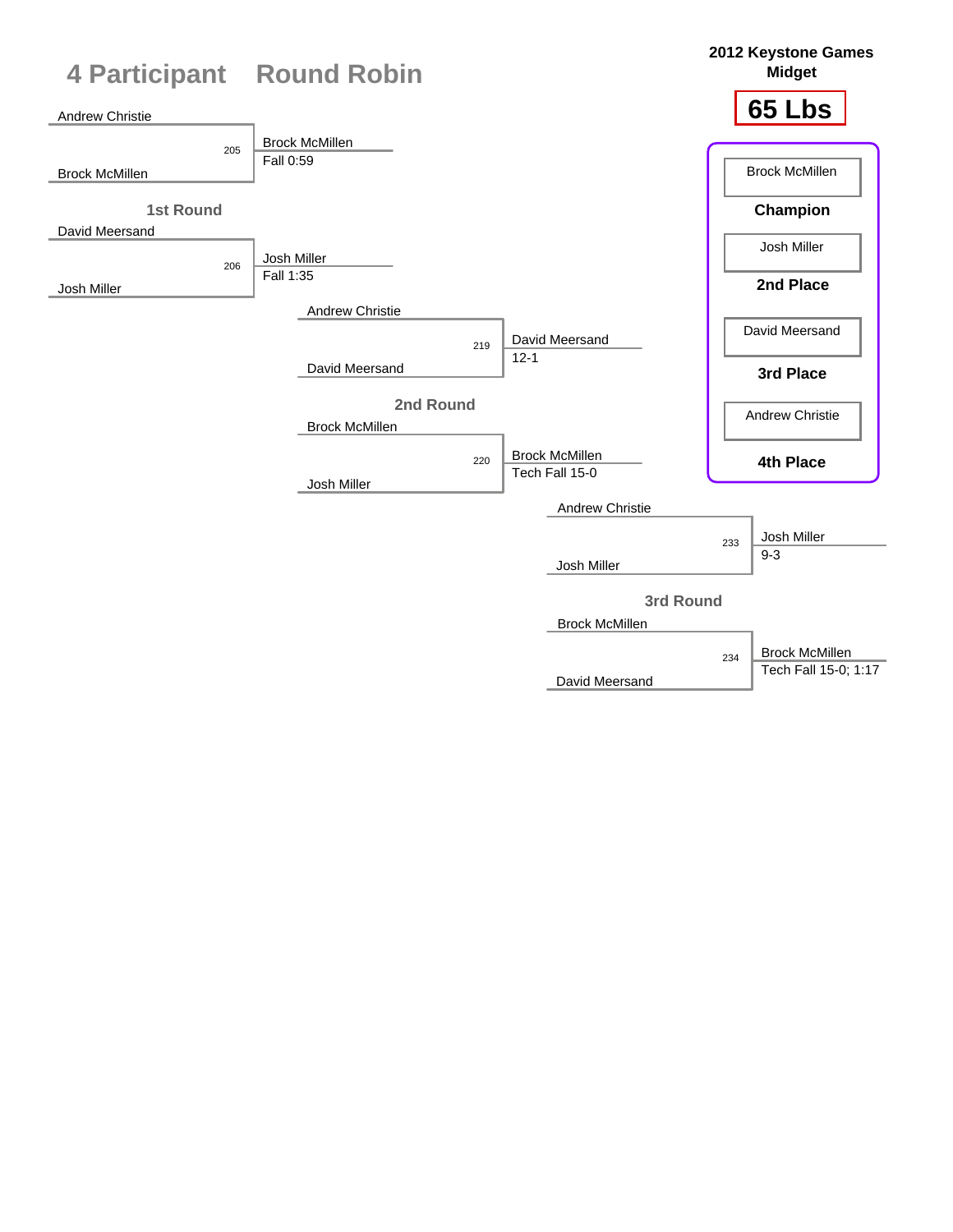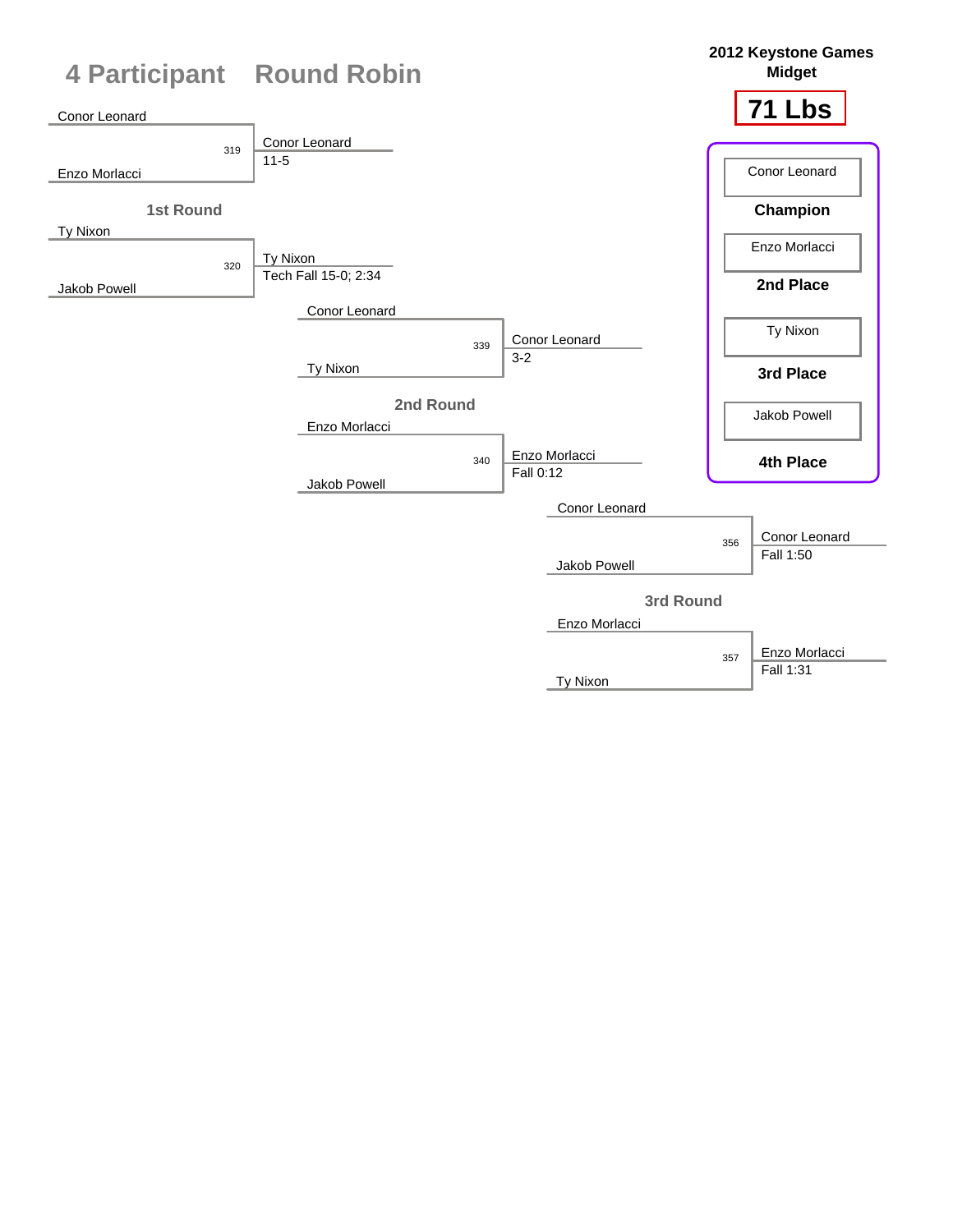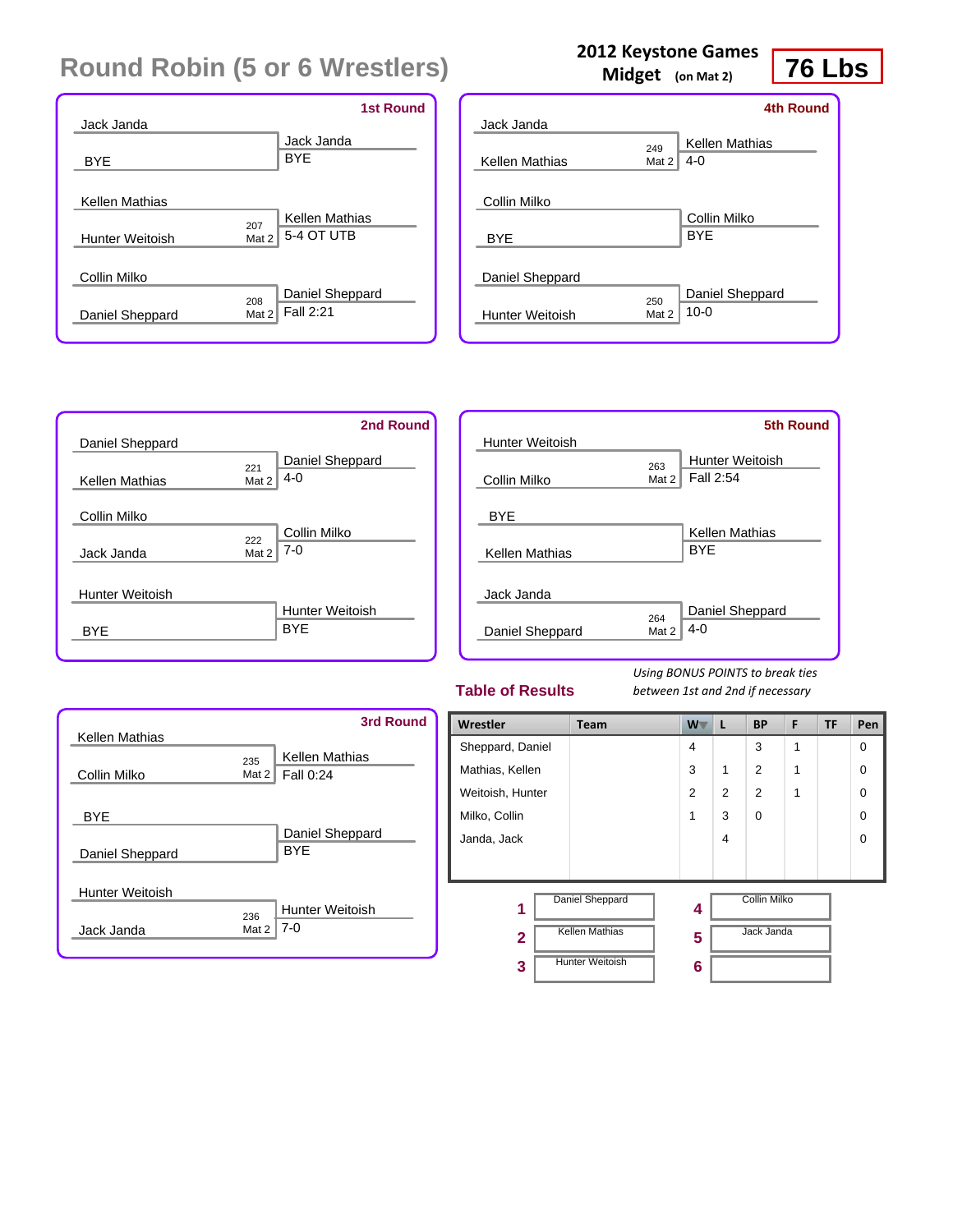|                        |         | <b>1st Round</b>      |
|------------------------|---------|-----------------------|
| Jack Janda             |         |                       |
|                        |         | Jack Janda            |
| BYE                    |         | <b>BYF</b>            |
|                        |         |                       |
| Kellen Mathias         |         |                       |
|                        | 207     | <b>Kellen Mathias</b> |
| <b>Hunter Weitoish</b> | Mat $2$ | 5-4 OT UTB            |
|                        |         |                       |
| Collin Milko           |         |                       |
|                        | 208     | Daniel Sheppard       |
| Daniel Sheppard        | Mat 2   | Fall 2:21             |
|                        |         |                       |

### **2012 Keystone Games**

**Midget (on Mat 2)**

## **76 Lbs**

|                        |       | <b>4th Round</b> |
|------------------------|-------|------------------|
| Jack Janda             |       |                  |
|                        | 249   | Kellen Mathias   |
| Kellen Mathias         | Mat 2 | $4-0$            |
|                        |       |                  |
| Collin Milko           |       |                  |
|                        |       | Collin Milko     |
| <b>BYE</b>             |       | <b>BYF</b>       |
|                        |       |                  |
| Daniel Sheppard        |       |                  |
|                        | 250   | Daniel Sheppard  |
| <b>Hunter Weitoish</b> | Mat 2 | $10 - 0$         |
|                        |       |                  |



|                        |       | <b>5th Round</b>       |
|------------------------|-------|------------------------|
| <b>Hunter Weitoish</b> |       |                        |
|                        | 263   | <b>Hunter Weitoish</b> |
| Collin Milko           | Mat 2 | Fall 2:54              |
| <b>BYE</b>             |       |                        |
|                        |       | Kellen Mathias         |
| Kellen Mathias         |       | <b>BYE</b>             |
|                        |       |                        |
| Jack Janda             |       |                        |
|                        | 264   | Daniel Sheppard        |
| Daniel Sheppard        | Mat 2 | $4 - 0$                |
|                        |       |                        |

#### **Table of Results**

| <b>Kellen Mathias</b>         | <b>3rd Round</b>                            |
|-------------------------------|---------------------------------------------|
| Collin Milko                  | Kellen Mathias<br>235<br>Fall 0:24<br>Mat 2 |
| <b>BYE</b><br>Daniel Sheppard | Daniel Sheppard<br><b>BYE</b>               |
| Hunter Weitoish<br>Jack Janda | Hunter Weitoish<br>236<br>7-0<br>Mat 2      |

| Wrestler         | <b>Team</b>            | W .            | L              | <b>BP</b>           | F | <b>TF</b> | Pen      |
|------------------|------------------------|----------------|----------------|---------------------|---|-----------|----------|
| Sheppard, Daniel |                        | $\overline{4}$ |                | 3                   | 1 |           | 0        |
| Mathias, Kellen  |                        | 3              | $\mathbf{1}$   | $\overline{2}$      | 1 |           | 0        |
| Weitoish, Hunter |                        | $\overline{2}$ | $\overline{2}$ | $\overline{2}$      | 1 |           | $\Omega$ |
| Milko, Collin    |                        | 1              | 3              | $\Omega$            |   |           | $\Omega$ |
| Janda, Jack      |                        |                | 4              |                     |   |           | 0        |
|                  |                        |                |                |                     |   |           |          |
| 1                | Daniel Sheppard        | 4              |                | <b>Collin Milko</b> |   |           |          |
| $\mathbf{2}$     | <b>Kellen Mathias</b>  | 5              |                | Jack Janda          |   |           |          |
| 3                | <b>Hunter Weitoish</b> | 6              |                |                     |   |           |          |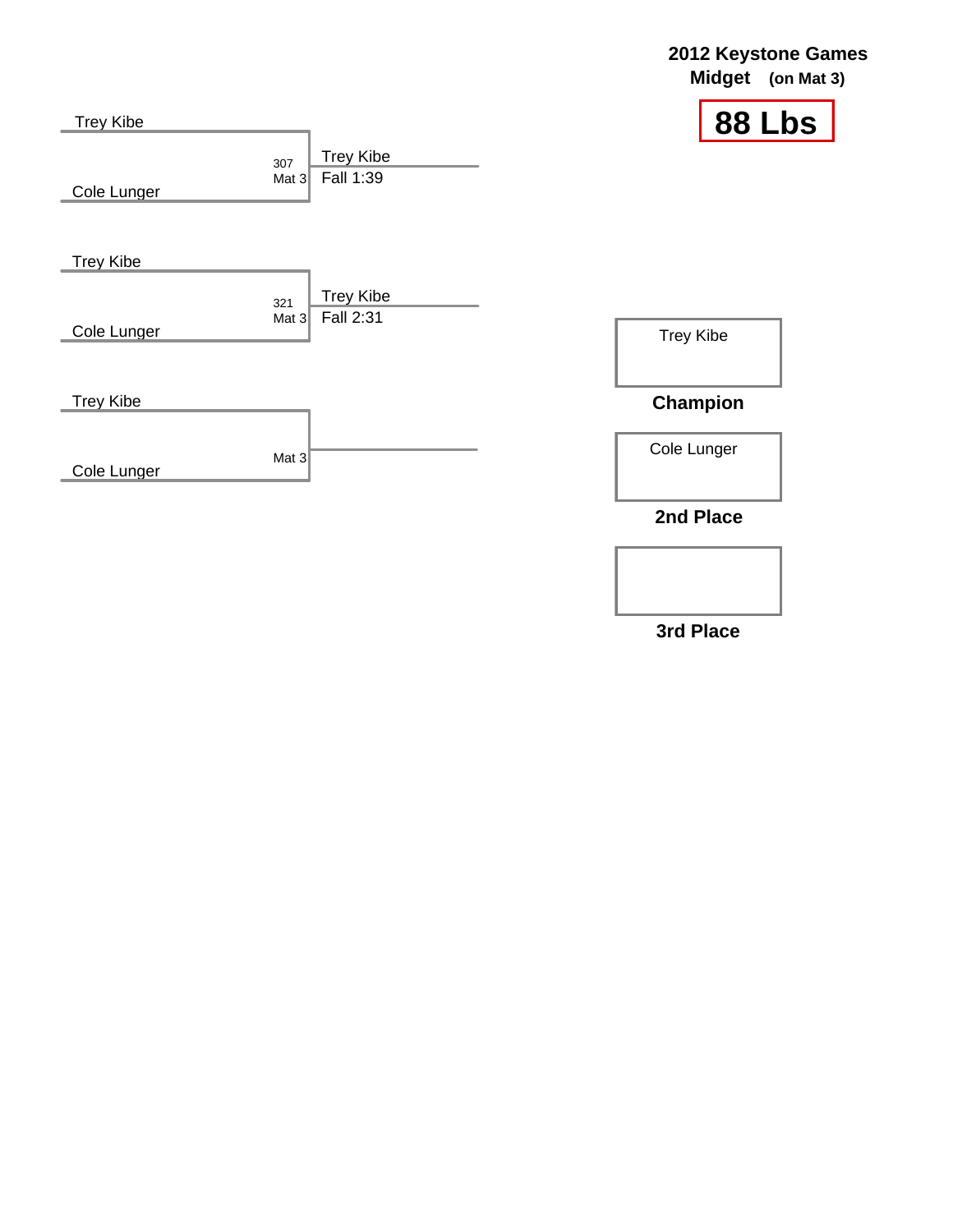| <b>Trey Kibe</b> |                                                 | 88 Lbs           |
|------------------|-------------------------------------------------|------------------|
| Cole Lunger      | <b>Trey Kibe</b><br>307<br>Fall 1:39<br>Mat $3$ |                  |
| <b>Trey Kibe</b> |                                                 |                  |
| Cole Lunger      | <b>Trey Kibe</b><br>321<br>Fall 2:31<br>Mat $3$ | <b>Trey Kibe</b> |
| <b>Trey Kibe</b> |                                                 | <b>Champion</b>  |
| Cole Lunger      | Mat $3$                                         | Cole Lunger      |
|                  |                                                 | 2nd Place        |
|                  |                                                 |                  |

**3rd Place**

# **2012 Keystone Games**

**Midget (on Mat 3)**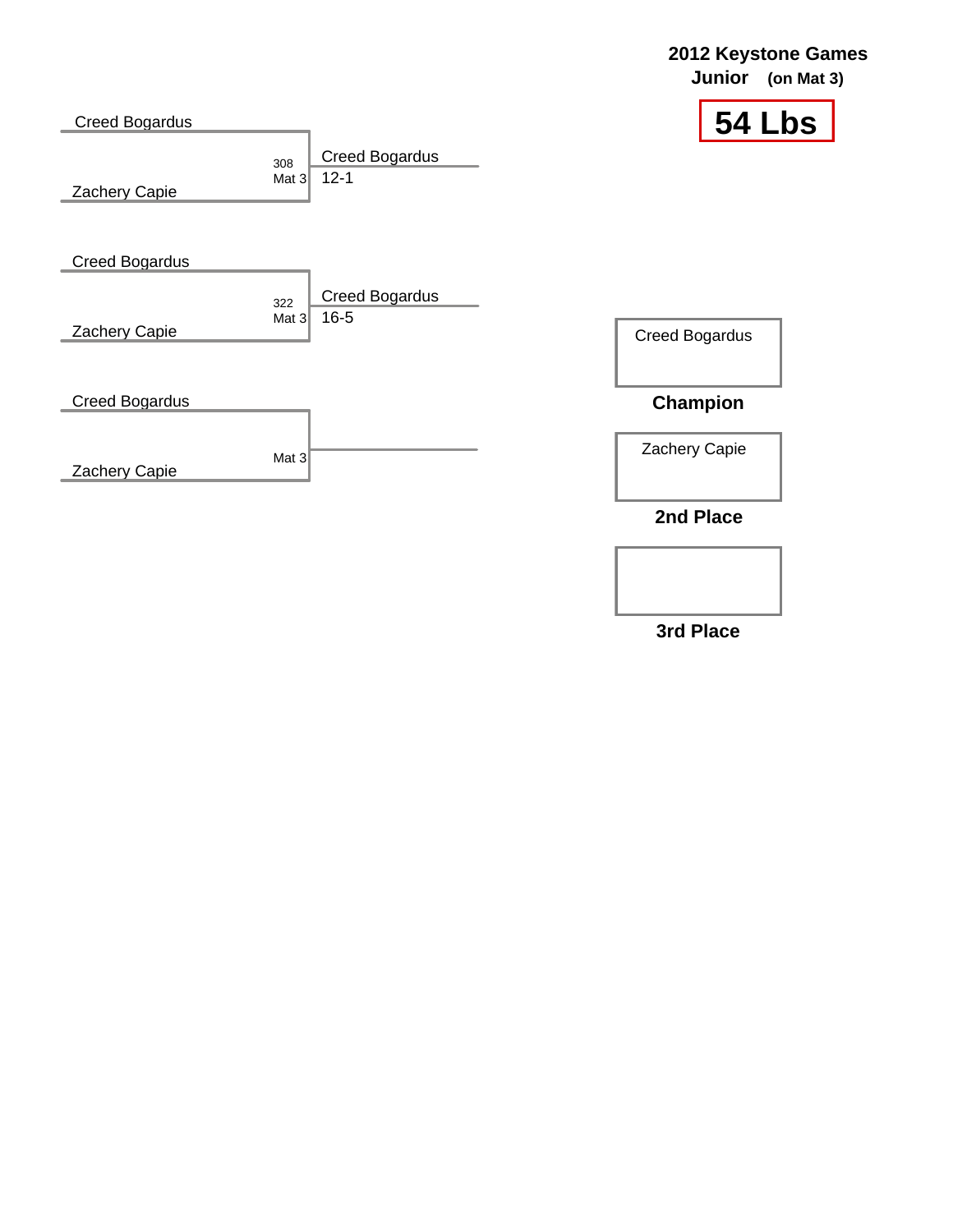|                                        |                                                     | <b>Junior</b><br>(on Mat 3) |
|----------------------------------------|-----------------------------------------------------|-----------------------------|
| <b>Creed Bogardus</b><br>Zachery Capie | <b>Creed Bogardus</b><br>308<br>$12 - 1$<br>Mat $3$ | 54 Lbs                      |
| <b>Creed Bogardus</b>                  | <b>Creed Bogardus</b><br>322                        |                             |
| Zachery Capie                          | $16 - 5$<br>Mat $3$                                 | <b>Creed Bogardus</b>       |
| <b>Creed Bogardus</b>                  |                                                     | Champion                    |
| Zachery Capie                          | Mat $3$                                             | Zachery Capie               |
|                                        |                                                     | 2nd Place                   |

**3rd Place**

### **2012 Keystone Games**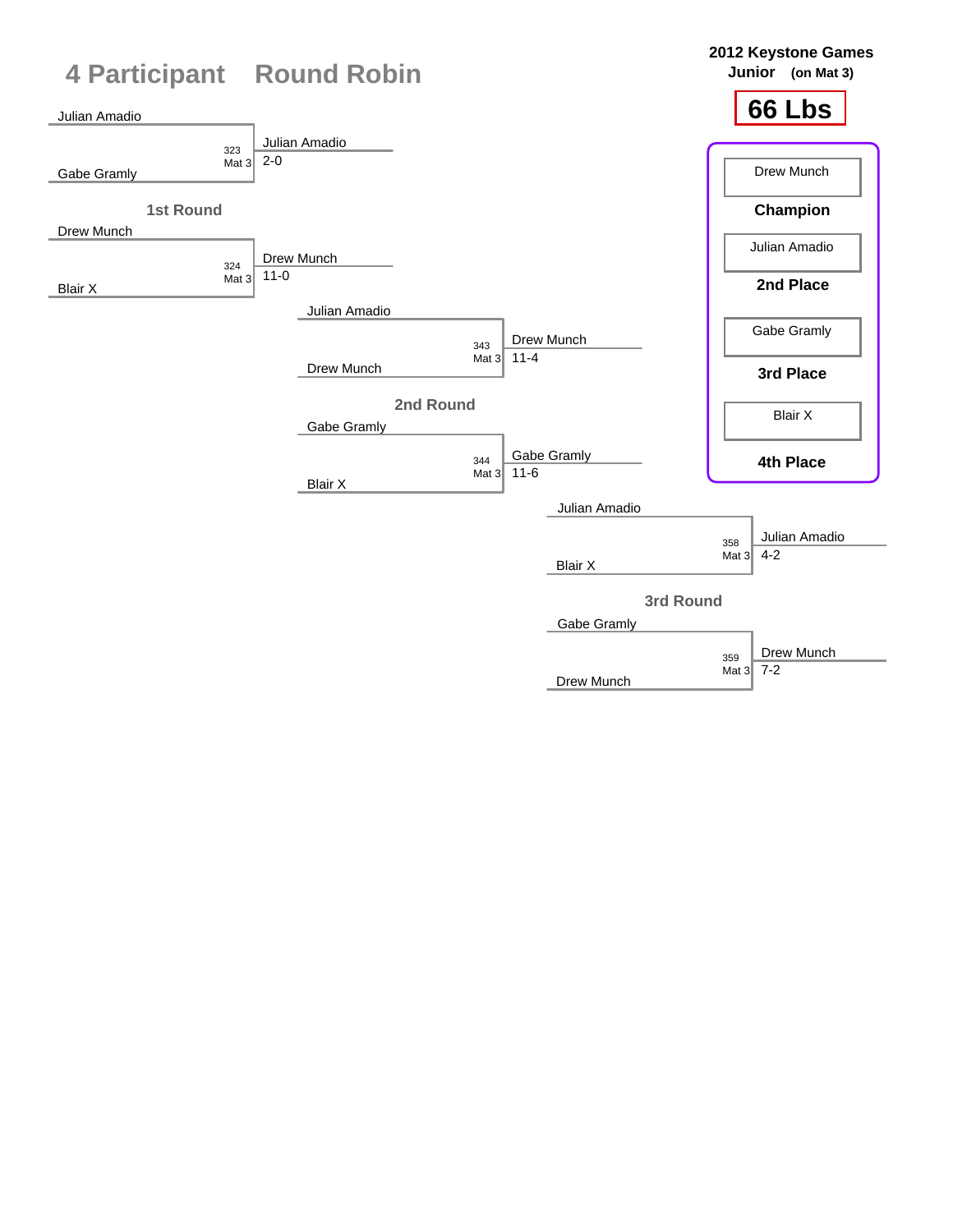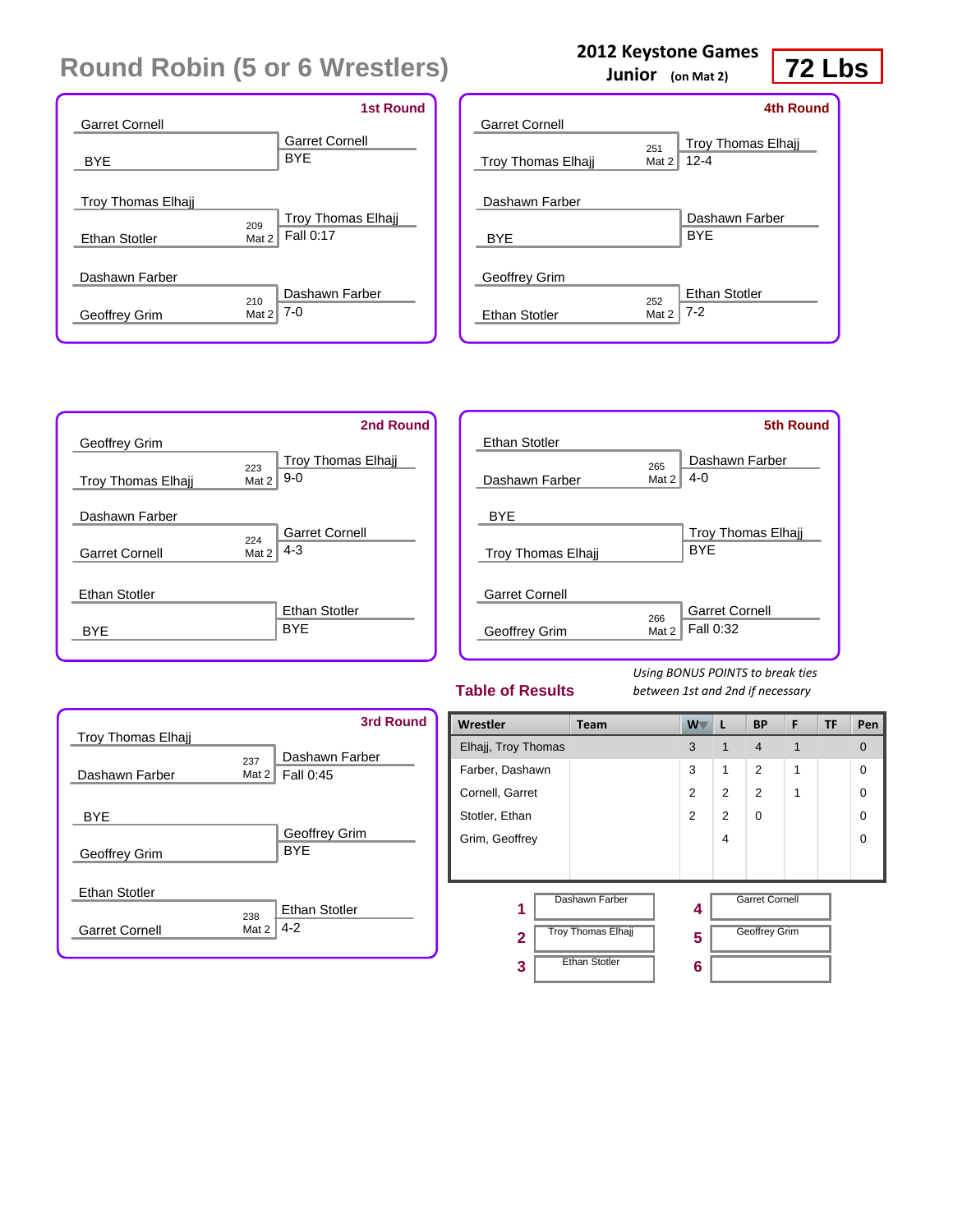|                           | <b>1st Round</b>                 |
|---------------------------|----------------------------------|
| <b>Garret Cornell</b>     |                                  |
|                           | <b>Garret Cornell</b>            |
| BYE                       | <b>BYF</b>                       |
|                           |                                  |
| <b>Troy Thomas Elhaji</b> |                                  |
|                           | <b>Troy Thomas Elhajj</b><br>209 |
| <b>Ethan Stotler</b>      | Fall 0:17<br>Mat 2               |
|                           |                                  |
| Dashawn Farber            |                                  |
|                           | Dashawn Farber<br>210            |
| Geoffrey Grim             | $7-0$<br>Mat 2                   |
|                           |                                  |

|                           |              | 4th Round                             |
|---------------------------|--------------|---------------------------------------|
| <b>Garret Cornell</b>     |              |                                       |
| <b>Troy Thomas Elhajj</b> | 251<br>Mat 2 | <b>Troy Thomas Elhaji</b><br>$12 - 4$ |
| Dashawn Farber            |              |                                       |
| <b>BYE</b>                |              | Dashawn Farber<br><b>BYF</b>          |
| Geoffrey Grim             |              |                                       |
| <b>Ethan Stotler</b>      | 252<br>Mat 2 | <b>Ethan Stotler</b><br>$7-2$         |

|                           |       | 2nd Round                 |
|---------------------------|-------|---------------------------|
| Geoffrey Grim             |       |                           |
|                           | 223   | <b>Troy Thomas Elhajj</b> |
| <b>Troy Thomas Elhajj</b> | Mat 2 | $9-0$                     |
|                           |       |                           |
| Dashawn Farber            |       |                           |
|                           | 224   | <b>Garret Cornell</b>     |
| <b>Garret Cornell</b>     | Mat 2 | 4-3                       |
|                           |       |                           |
| <b>Ethan Stotler</b>      |       |                           |
|                           |       | <b>Ethan Stotler</b>      |
| BYF                       |       | <b>BYE</b>                |
|                           |       |                           |

|                           |       | <b>5th Round</b>          |
|---------------------------|-------|---------------------------|
| <b>Ethan Stotler</b>      |       |                           |
|                           | 265   | Dashawn Farber            |
| Dashawn Farber            | Mat 2 | $4 - 0$                   |
|                           |       |                           |
| <b>BYE</b>                |       |                           |
|                           |       | <b>Troy Thomas Elhaji</b> |
| <b>Troy Thomas Elhaji</b> |       | <b>BYE</b>                |
|                           |       |                           |
| <b>Garret Cornell</b>     |       |                           |
|                           | 266   | <b>Garret Cornell</b>     |
| Geoffrey Grim             | Mat 2 | Fall 0:32                 |
|                           |       |                           |

#### **Table of Results**

*Using BONUS POINTS to break ties between 1st and 2nd if necessary*

| <b>Troy Thomas Elhaji</b>   |                 | <b>3rd Round</b>            |
|-----------------------------|-----------------|-----------------------------|
| Dashawn Farber              | 237<br>Mat $2 $ | Dashawn Farber<br>Fall 0:45 |
| <b>BYE</b><br>Geoffrey Grim |                 | Geoffrey Grim<br><b>BYE</b> |
| <b>Ethan Stotler</b>        | 238             | <b>Ethan Stotler</b>        |
| <b>Garret Cornell</b>       | Mat 2           | $4 - 2$                     |

| Wrestler            | Team                      | $W^-$ | L              | <b>BP</b>             | F | <b>TF</b> | Pen      |
|---------------------|---------------------------|-------|----------------|-----------------------|---|-----------|----------|
| Elhajj, Troy Thomas |                           | 3     | 1              | $\overline{4}$        | 1 |           | $\Omega$ |
| Farber, Dashawn     |                           | 3     | 1              | 2                     | 1 |           | $\Omega$ |
| Cornell, Garret     |                           | 2     | $\overline{2}$ | 2                     | 1 |           | 0        |
| Stotler, Ethan      |                           | 2     | 2              | $\Omega$              |   |           | 0        |
| Grim, Geoffrey      |                           |       | 4              |                       |   |           | 0        |
|                     |                           |       |                |                       |   |           |          |
| 1                   | Dashawn Farber            | 4     |                | <b>Garret Cornell</b> |   |           |          |
| $\overline{2}$      | <b>Troy Thomas Elhajj</b> | 5     |                | <b>Geoffrey Grim</b>  |   |           |          |
| 3                   | <b>Ethan Stotler</b>      | 6     |                |                       |   |           |          |

**2012 Keystone Games**

**Junior (on Mat 2)**

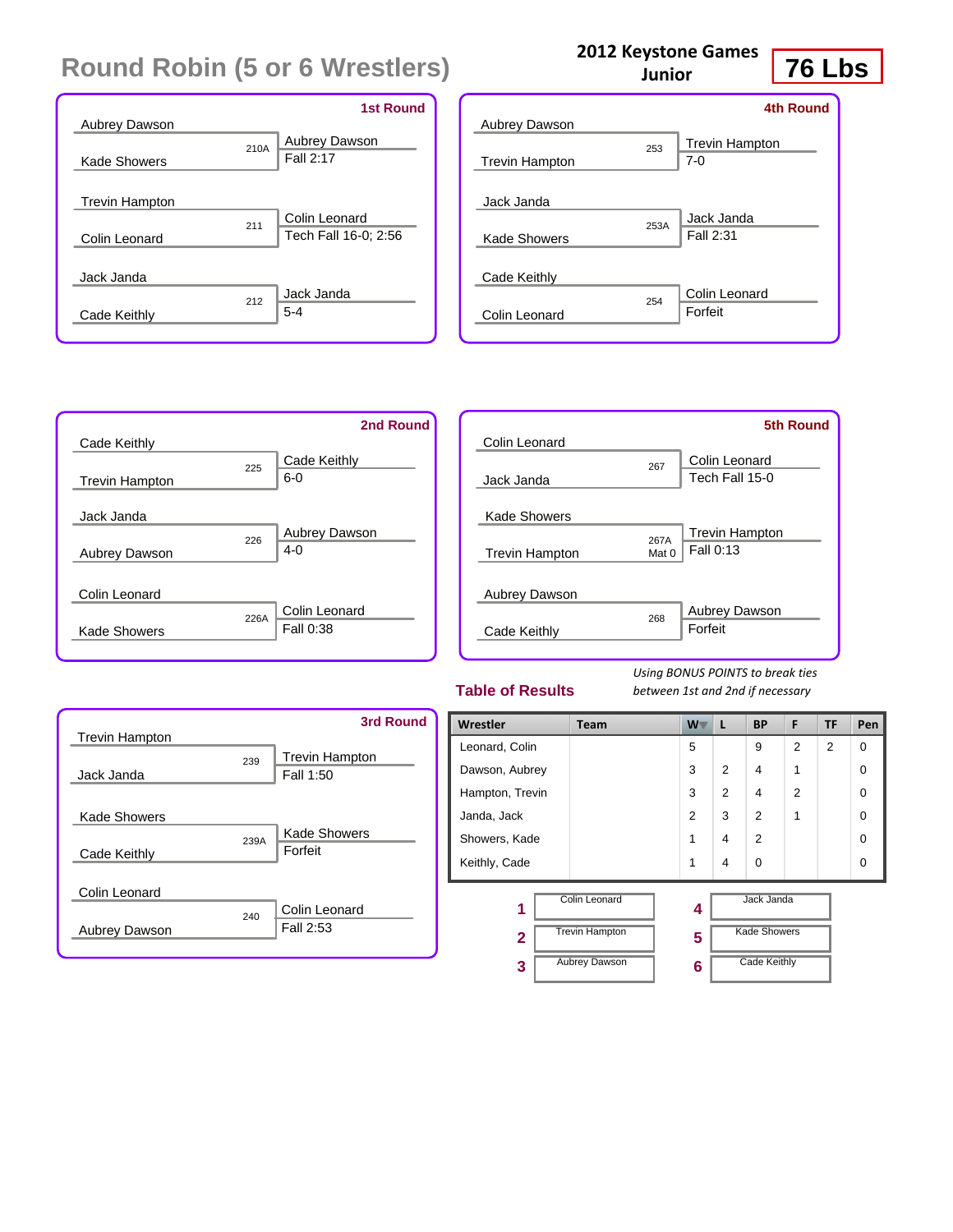|                       |      | <b>1st Round</b>                  |
|-----------------------|------|-----------------------------------|
| <b>Aubrey Dawson</b>  |      |                                   |
| Kade Showers          | 210A | <b>Aubrey Dawson</b><br>Fall 2:17 |
|                       |      |                                   |
| <b>Trevin Hampton</b> |      |                                   |
|                       | 211  | Colin Leonard                     |
| Colin Leonard         |      | Tech Fall 16-0; 2:56              |
|                       |      |                                   |
| Jack Janda            |      |                                   |
|                       | 212  | Jack Janda                        |
| Cade Keithly          |      | $5 - 4$                           |
|                       |      |                                   |

|      | 4th Round                      |
|------|--------------------------------|
| 253  | <b>Trevin Hampton</b><br>$7-0$ |
|      |                                |
| 253A | Jack Janda<br>Fall 2:31        |
|      |                                |
| 254  | Colin Leonard<br>Forfeit       |
|      |                                |

**2012 Keystone Games Junior**



|                       |       | 5th Round             |
|-----------------------|-------|-----------------------|
| Colin Leonard         |       |                       |
|                       | 267   | Colin Leonard         |
| Jack Janda            |       | Tech Fall 15-0        |
|                       |       |                       |
| Kade Showers          |       |                       |
|                       | 267A  | <b>Trevin Hampton</b> |
| <b>Trevin Hampton</b> | Mat 0 | Fall 0:13             |
|                       |       |                       |
| Aubrey Dawson         |       |                       |
|                       | 268   | <b>Aubrey Dawson</b>  |
| Cade Keithly          |       | Forfeit               |
|                       |       |                       |

#### **Table of Results**

*Using BONUS POINTS to break ties between 1st and 2nd if necessary*



| Wrestler        | <b>Team</b>           | W              | L              | <b>BP</b>           | F              | <b>TF</b>      | Pen      |
|-----------------|-----------------------|----------------|----------------|---------------------|----------------|----------------|----------|
| Leonard, Colin  |                       | 5              |                | 9                   | $\overline{2}$ | $\overline{2}$ | $\Omega$ |
| Dawson, Aubrey  |                       | 3              | $\overline{2}$ | 4                   | 1              |                | $\Omega$ |
| Hampton, Trevin |                       | 3              | $\overline{2}$ | 4                   | $\overline{2}$ |                | $\Omega$ |
| Janda, Jack     |                       | $\mathfrak{p}$ | 3              | 2                   | 1              |                | $\Omega$ |
| Showers, Kade   |                       | 1              | 4              | $\overline{2}$      |                |                | $\Omega$ |
| Keithly, Cade   |                       | 1              | 4              | $\Omega$            |                |                | $\Omega$ |
| 1               | Colin Leonard         | 4              |                | Jack Janda          |                |                |          |
| $\mathbf{2}$    | <b>Trevin Hampton</b> | 5              |                | <b>Kade Showers</b> |                |                |          |
| 3               | <b>Aubrey Dawson</b>  | 6              |                | <b>Cade Keithly</b> |                |                |          |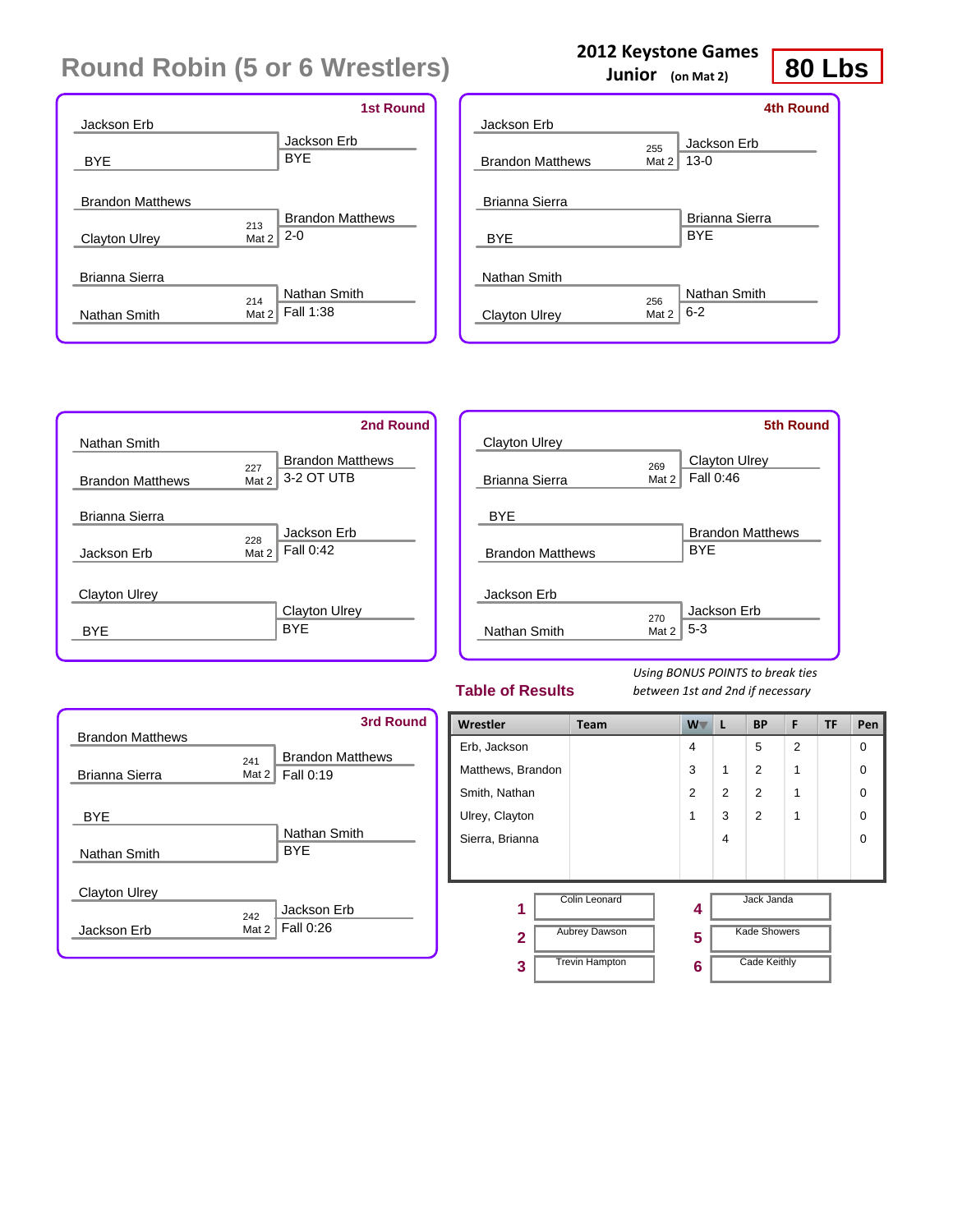|                         |       | <b>1st Round</b>        |
|-------------------------|-------|-------------------------|
| Jackson Erb             |       |                         |
|                         |       | Jackson Erb             |
| <b>BYE</b>              |       | <b>BYE</b>              |
|                         |       |                         |
| <b>Brandon Matthews</b> |       |                         |
|                         | 213   | <b>Brandon Matthews</b> |
| <b>Clayton Ulrey</b>    | Mat 2 | $2 - 0$                 |
|                         |       |                         |
| Brianna Sierra          |       |                         |
|                         | 214   | Nathan Smith            |
| Nathan Smith            | Mat 2 | Fall 1:38               |
|                         |       |                         |

### **2012 Keystone Games**

**Junior (on Mat 2)**

**80 Lbs**

|                         |       | 4th Round      |
|-------------------------|-------|----------------|
| Jackson Erb             |       |                |
|                         | 255   | Jackson Erb    |
| <b>Brandon Matthews</b> | Mat 2 | $13-0$         |
|                         |       |                |
| Brianna Sierra          |       |                |
|                         |       | Brianna Sierra |
| <b>BYE</b>              |       | <b>BYF</b>     |
|                         |       |                |
| Nathan Smith            |       |                |
|                         | 256   | Nathan Smith   |
| Clayton Ulrey           | Mat 2 | $6 - 2$        |
|                         |       |                |

|                         | 2nd Round                      |
|-------------------------|--------------------------------|
| Nathan Smith            |                                |
|                         | <b>Brandon Matthews</b><br>227 |
| <b>Brandon Matthews</b> | 3-2 OT UTB<br>Mat 2            |
| Brianna Sierra          |                                |
|                         | Jackson Erb<br>228             |
| Jackson Erb             | Fall 0:42<br>Mat 2             |
|                         |                                |
| <b>Clayton Ulrey</b>    | <b>Clayton Ulrey</b>           |
| RYF                     | <b>BYF</b>                     |

|                         |              | <b>5th Round</b>           |
|-------------------------|--------------|----------------------------|
| Clayton Ulrey           |              |                            |
| Brianna Sierra          | 269<br>Mat 2 | Clayton Ulrey<br>Fall 0:46 |
| <b>BYE</b>              |              |                            |
|                         |              | <b>Brandon Matthews</b>    |
| <b>Brandon Matthews</b> |              | <b>BYE</b>                 |
| Jackson Erb             |              |                            |
| Nathan Smith            | 270<br>Mat 2 | Jackson Erb<br>$5 - 3$     |

#### **Table of Results**

| <b>Brandon Matthews</b> |                                                      | <b>3rd Round</b> |
|-------------------------|------------------------------------------------------|------------------|
| Brianna Sierra          | <b>Brandon Matthews</b><br>241<br>Fall 0:19<br>Mat 2 |                  |
| <b>BYE</b>              |                                                      |                  |
| Nathan Smith            | Nathan Smith<br><b>BYF</b>                           |                  |
| <b>Clayton Ulrey</b>    |                                                      |                  |
| Jackson Erb             | Jackson Erb<br>242<br>Fall 0:26<br>Mat 2             |                  |

| Wrestler                | <b>Team</b>           | $W^-$          | L              | <b>BP</b>           | F              | <b>TF</b> | Pen         |
|-------------------------|-----------------------|----------------|----------------|---------------------|----------------|-----------|-------------|
| Erb, Jackson            |                       | 4              |                | 5                   | $\overline{2}$ |           | $\mathbf 0$ |
| Matthews, Brandon       |                       | 3              | 1              | 2                   | 1              |           | $\Omega$    |
| Smith, Nathan           |                       | $\overline{2}$ | $\overline{2}$ | 2                   | 1              |           | $\Omega$    |
| Ulrey, Clayton          |                       | 1              | 3              | 2                   | 1              |           | $\Omega$    |
| Sierra, Brianna         |                       |                | 4              |                     |                |           | $\Omega$    |
|                         |                       |                |                |                     |                |           |             |
| 1                       | Colin Leonard         | 4              |                | Jack Janda          |                |           |             |
| $\overline{\mathbf{2}}$ | <b>Aubrey Dawson</b>  | 5              |                | <b>Kade Showers</b> |                |           |             |
| 3                       | <b>Trevin Hampton</b> | 6              |                | <b>Cade Keithly</b> |                |           |             |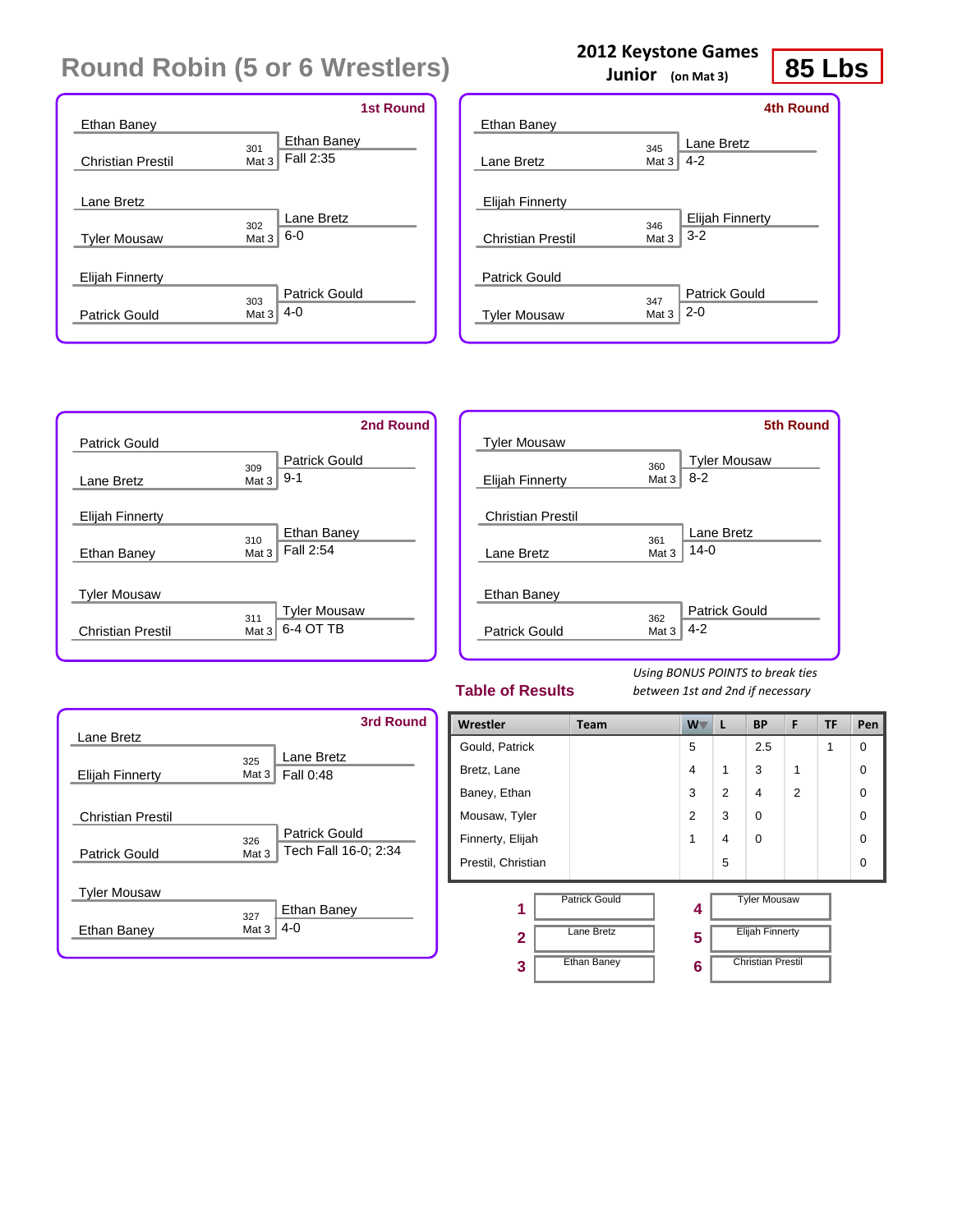|                          | <b>1st Round</b>            |
|--------------------------|-----------------------------|
| Ethan Baney              |                             |
|                          | Ethan Baney<br>301          |
| <b>Christian Prestil</b> | Fall 2:35<br>Mat 3          |
|                          |                             |
| Lane Bretz               |                             |
|                          | Lane Bretz<br>302           |
| <b>Tyler Mousaw</b>      | $6-0$<br>Mat 3              |
|                          |                             |
| Elijah Finnerty          |                             |
|                          | <b>Patrick Gould</b><br>303 |
| <b>Patrick Gould</b>     | $4 - 0$<br>Mat 3            |
|                          |                             |

### **2012 Keystone Games**

**Junior (on Mat 3)**

**85 Lbs**

|                          |                         | <b>4th Round</b>                  |
|--------------------------|-------------------------|-----------------------------------|
| Ethan Baney              |                         |                                   |
| Lane Bretz               | 345<br>Mat 3            | Lane Bretz<br>$4 - 2$             |
| Elijah Finnerty          |                         |                                   |
| <b>Christian Prestil</b> | 346<br>Mat 3            | <b>Elijah Finnerty</b><br>$3 - 2$ |
| Patrick Gould            |                         | Patrick Gould                     |
| <b>Tyler Mousaw</b>      | 347<br>Mat <sub>3</sub> | $2 - 0$                           |

|                          | 2nd Round                 |
|--------------------------|---------------------------|
| <b>Patrick Gould</b>     |                           |
|                          | Patrick Gould<br>309      |
| Lane Bretz               | $9 - 1$<br>Mat 3          |
| <b>Elijah Finnerty</b>   |                           |
|                          | Ethan Baney               |
| Ethan Baney              | 310<br>Fall 2:54<br>Mat 3 |
| <b>Tyler Mousaw</b>      |                           |
|                          | <b>Tyler Mousaw</b>       |
| <b>Christian Prestil</b> | 311<br>6-4 OT TB<br>Mat 3 |

|                          |       | <b>5th Round</b>     |
|--------------------------|-------|----------------------|
| <b>Tyler Mousaw</b>      |       |                      |
|                          | 360   | <b>Tyler Mousaw</b>  |
| Elijah Finnerty          | Mat 3 | $8 - 2$              |
|                          |       |                      |
| <b>Christian Prestil</b> |       |                      |
|                          | 361   | Lane Bretz           |
| Lane Bretz               | Mat 3 | $14-0$               |
|                          |       |                      |
| Ethan Baney              |       |                      |
|                          | 362   | <b>Patrick Gould</b> |
| Patrick Gould            | Mat 3 | $4 - 2$              |
|                          |       |                      |

#### **Table of Results**

| Lane Bretz                                       | <b>3rd Round</b>                                      |
|--------------------------------------------------|-------------------------------------------------------|
| <b>Elijah Finnerty</b>                           | Lane Bretz<br>325<br>Fall 0:48<br>Mat $31$            |
| <b>Christian Prestil</b><br><b>Patrick Gould</b> | Patrick Gould<br>326<br>Tech Fall 16-0; 2:34<br>Mat 3 |
| <b>Tyler Mousaw</b>                              | Ethan Baney<br>327                                    |
| Ethan Baney                                      | $4 - 0$<br>Mat 3                                      |

| Wrestler           | <b>Team</b>          | $W^-$          | L              | <b>BP</b>                | F              | <b>TF</b> | Pen      |
|--------------------|----------------------|----------------|----------------|--------------------------|----------------|-----------|----------|
| Gould, Patrick     |                      | 5              |                | 2.5                      |                | 1         | $\Omega$ |
| Bretz, Lane        |                      | 4              | 1              | 3                        | 1              |           | $\Omega$ |
| Baney, Ethan       |                      | 3              | $\overline{2}$ | 4                        | $\overline{2}$ |           | $\Omega$ |
| Mousaw, Tyler      |                      | $\overline{2}$ | 3              | 0                        |                |           | $\Omega$ |
| Finnerty, Elijah   |                      | 1              | 4              | $\mathbf 0$              |                |           | $\Omega$ |
| Prestil, Christian |                      |                | 5              |                          |                |           | $\Omega$ |
| 1                  | <b>Patrick Gould</b> | 4              |                | <b>Tyler Mousaw</b>      |                |           |          |
| $\mathbf{2}$       | Lane Bretz           | 5              |                | <b>Elijah Finnerty</b>   |                |           |          |
| 3                  | <b>Ethan Baney</b>   | 6              |                | <b>Christian Prestil</b> |                |           |          |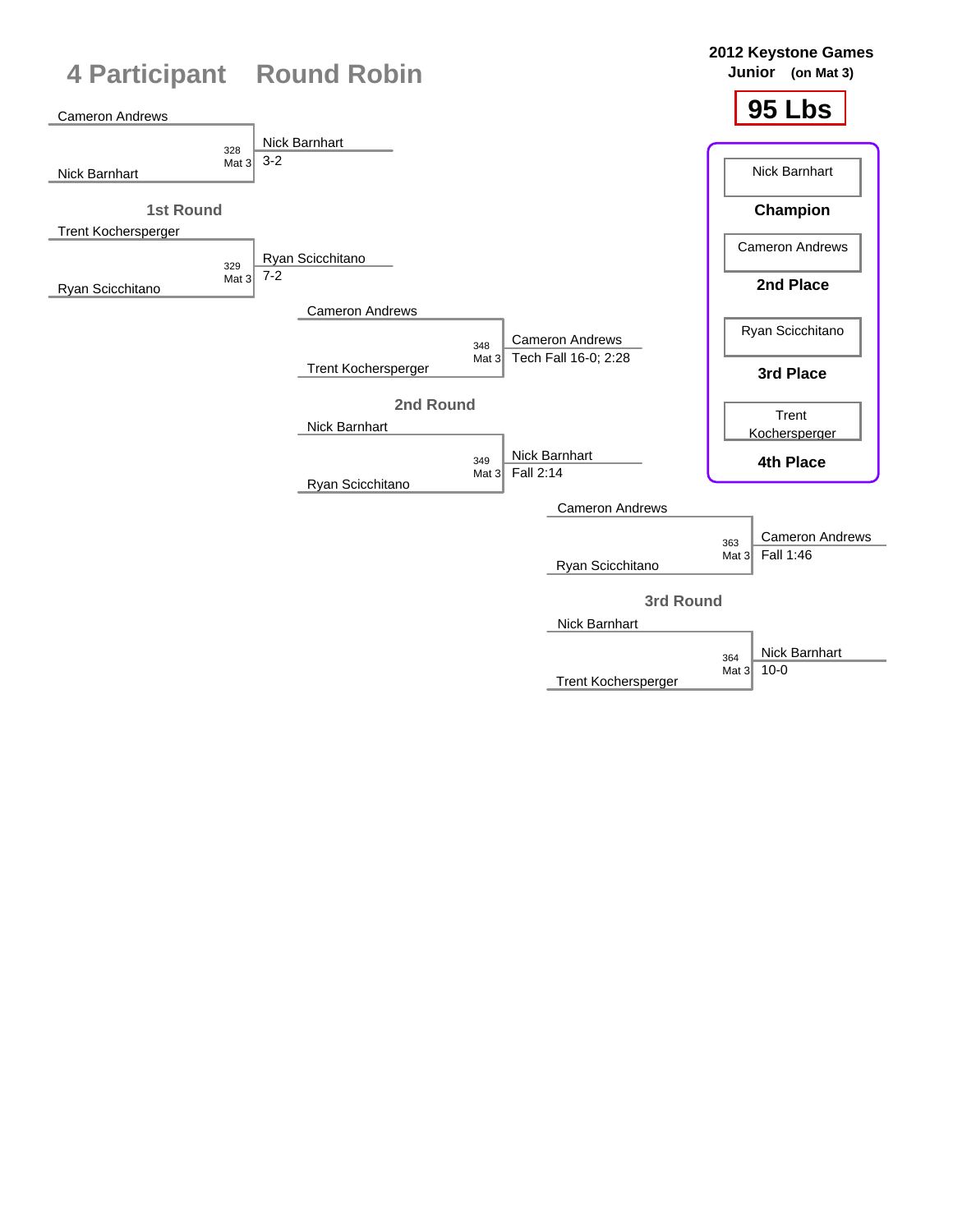

Trent Kochersperger

10-0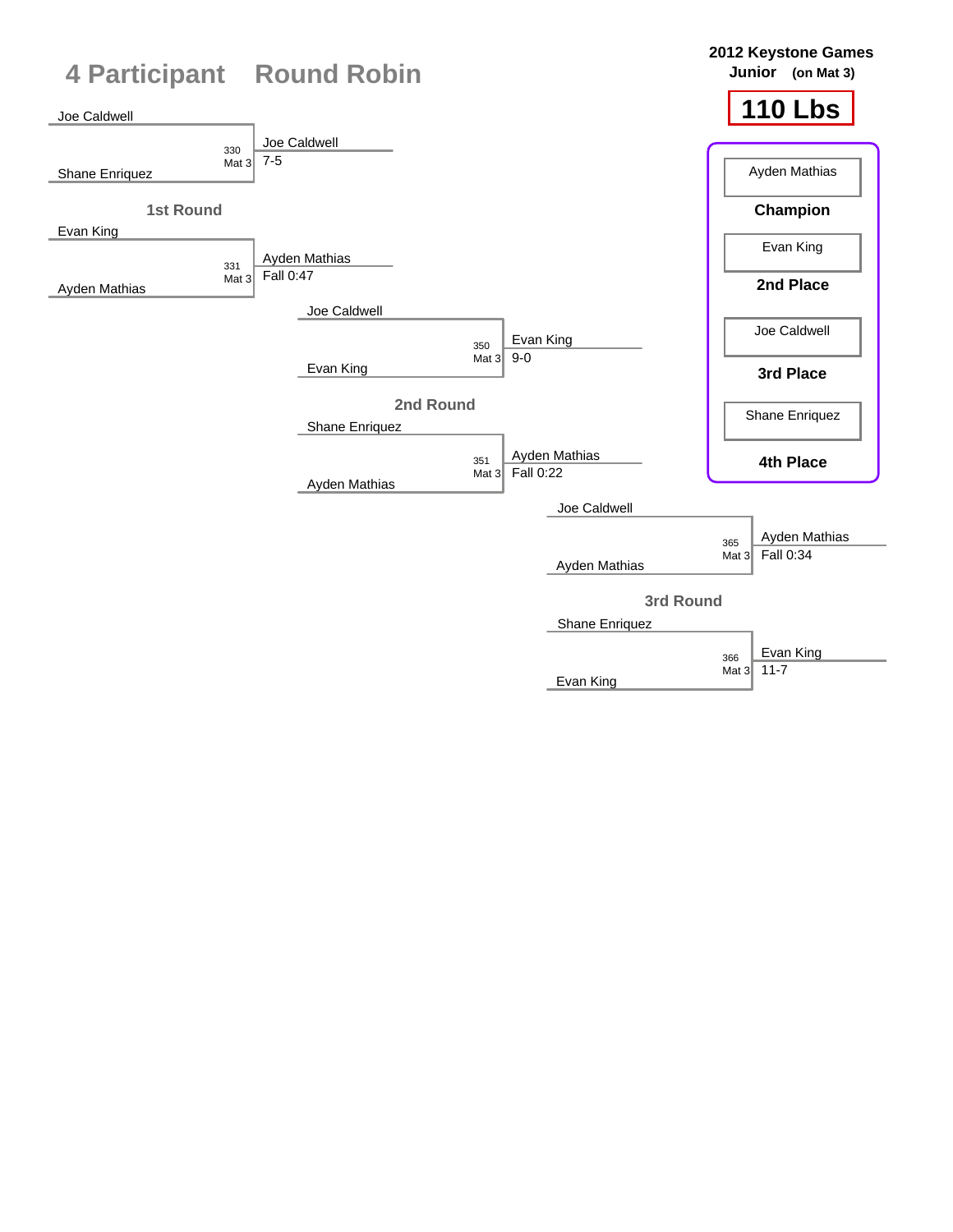

Evan King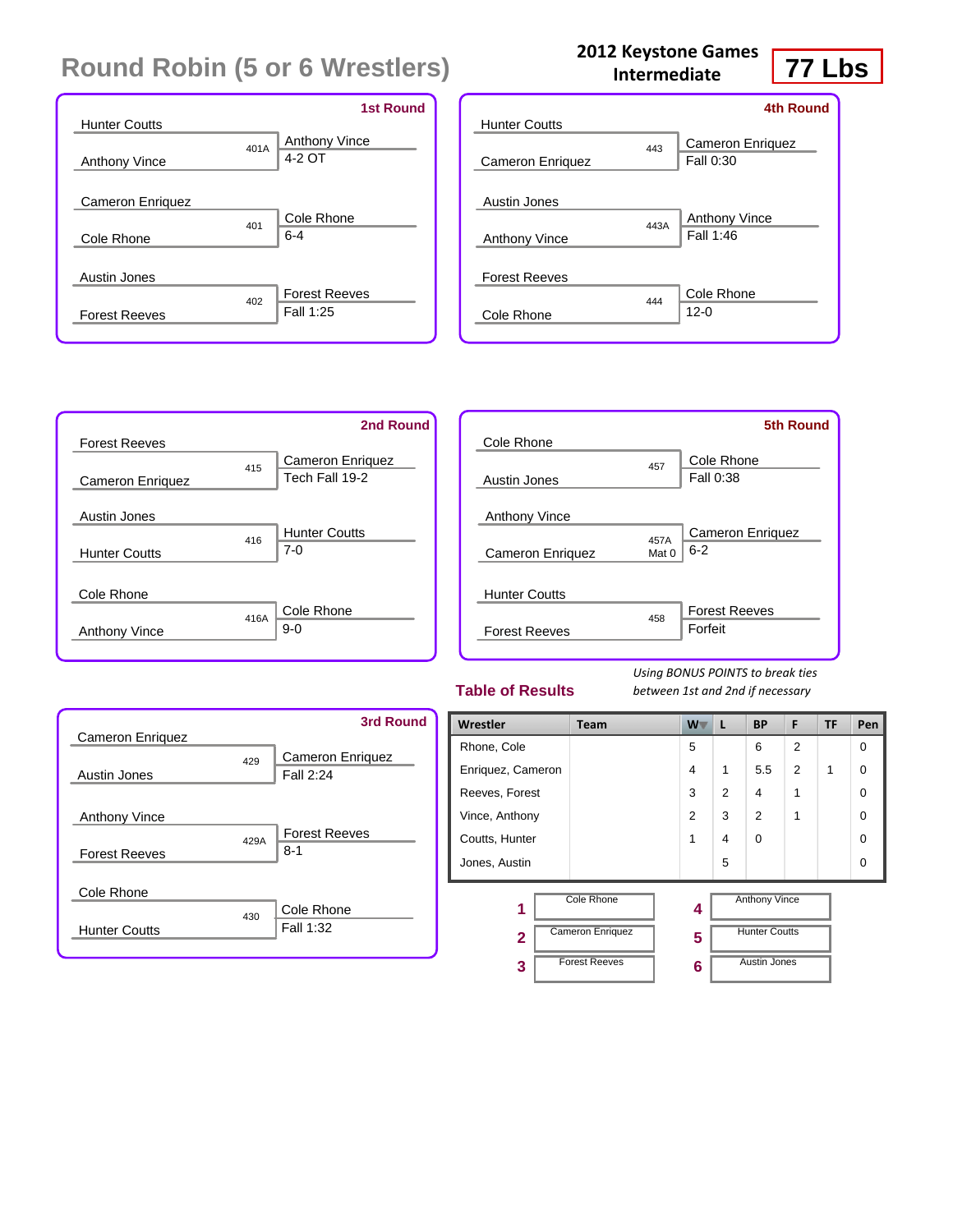|                         |      | <b>1st Round</b>     |
|-------------------------|------|----------------------|
| <b>Hunter Coutts</b>    |      |                      |
|                         | 401A | <b>Anthony Vince</b> |
| <b>Anthony Vince</b>    |      | 4-2 OT               |
|                         |      |                      |
| <b>Cameron Enriguez</b> |      |                      |
|                         | 401  | Cole Rhone           |
| Cole Rhone              |      | $6 - 4$              |
|                         |      |                      |
| Austin Jones            |      |                      |
|                         | 402  | <b>Forest Reeves</b> |
| <b>Forest Reeves</b>    |      | Fall 1:25            |
|                         |      |                      |

#### **2012 Keystone Games Intermediate**



|                      |      | 4th Round                     |
|----------------------|------|-------------------------------|
| <b>Hunter Coutts</b> |      |                               |
| Cameron Enriquez     | 443  | Cameron Enriquez<br>Fall 0:30 |
| Austin Jones         |      |                               |
|                      | 443A | Anthony Vince                 |
| <b>Anthony Vince</b> |      | Fall 1:46                     |
| <b>Forest Reeves</b> |      |                               |
|                      | 444  | Cole Rhone                    |
| Cole Rhone           |      | $12 - 0$                      |



|                         |       | <b>5th Round</b>        |
|-------------------------|-------|-------------------------|
| Cole Rhone              |       |                         |
|                         | 457   | Cole Rhone              |
| Austin Jones            |       | Fall 0:38               |
|                         |       |                         |
| <b>Anthony Vince</b>    |       |                         |
|                         | 457A  | <b>Cameron Enriquez</b> |
| <b>Cameron Enriquez</b> | Mat 0 | $6 - 2$                 |
|                         |       |                         |
| <b>Hunter Coutts</b>    |       |                         |
|                         | 458   | <b>Forest Reeves</b>    |
| <b>Forest Reeves</b>    |       | Forfeit                 |
|                         |       |                         |

#### **Table of Results**

| <b>Cameron Enriguez</b>                      |      | <b>3rd Round</b>                     |
|----------------------------------------------|------|--------------------------------------|
| Austin Jones                                 | 429  | <b>Cameron Enriguez</b><br>Fall 2:24 |
| <b>Anthony Vince</b><br><b>Forest Reeves</b> | 429A | <b>Forest Reeves</b><br>$8 - 1$      |
| Cole Rhone<br><b>Hunter Coutts</b>           | 430  | Cole Rhone<br>Fall 1:32              |

| Wrestler          | Team                                  | $W^-$         | L              | <b>BP</b>                             | F              | TF | Pen      |
|-------------------|---------------------------------------|---------------|----------------|---------------------------------------|----------------|----|----------|
| Rhone, Cole       |                                       | 5             |                | 6                                     | $\overline{2}$ |    | $\Omega$ |
| Enriquez, Cameron |                                       | 4             | 1              | 5.5                                   | $\overline{2}$ | 1  | $\Omega$ |
| Reeves, Forest    |                                       | 3             | $\overline{2}$ | 4                                     | 1              |    | $\Omega$ |
| Vince, Anthony    |                                       | $\mathcal{P}$ | 3              | 2                                     | 1              |    | $\Omega$ |
| Coutts, Hunter    |                                       | 1             | 4              | $\Omega$                              |                |    | $\Omega$ |
| Jones, Austin     |                                       |               | 5              |                                       |                |    | $\Omega$ |
| 1                 | Cole Rhone<br><b>Cameron Enriquez</b> | 4             |                | Anthony Vince<br><b>Hunter Coutts</b> |                |    |          |
| $\mathbf{2}$      |                                       | 5             |                |                                       |                |    |          |
| 3                 | <b>Forest Reeves</b>                  | 6             |                | <b>Austin Jones</b>                   |                |    |          |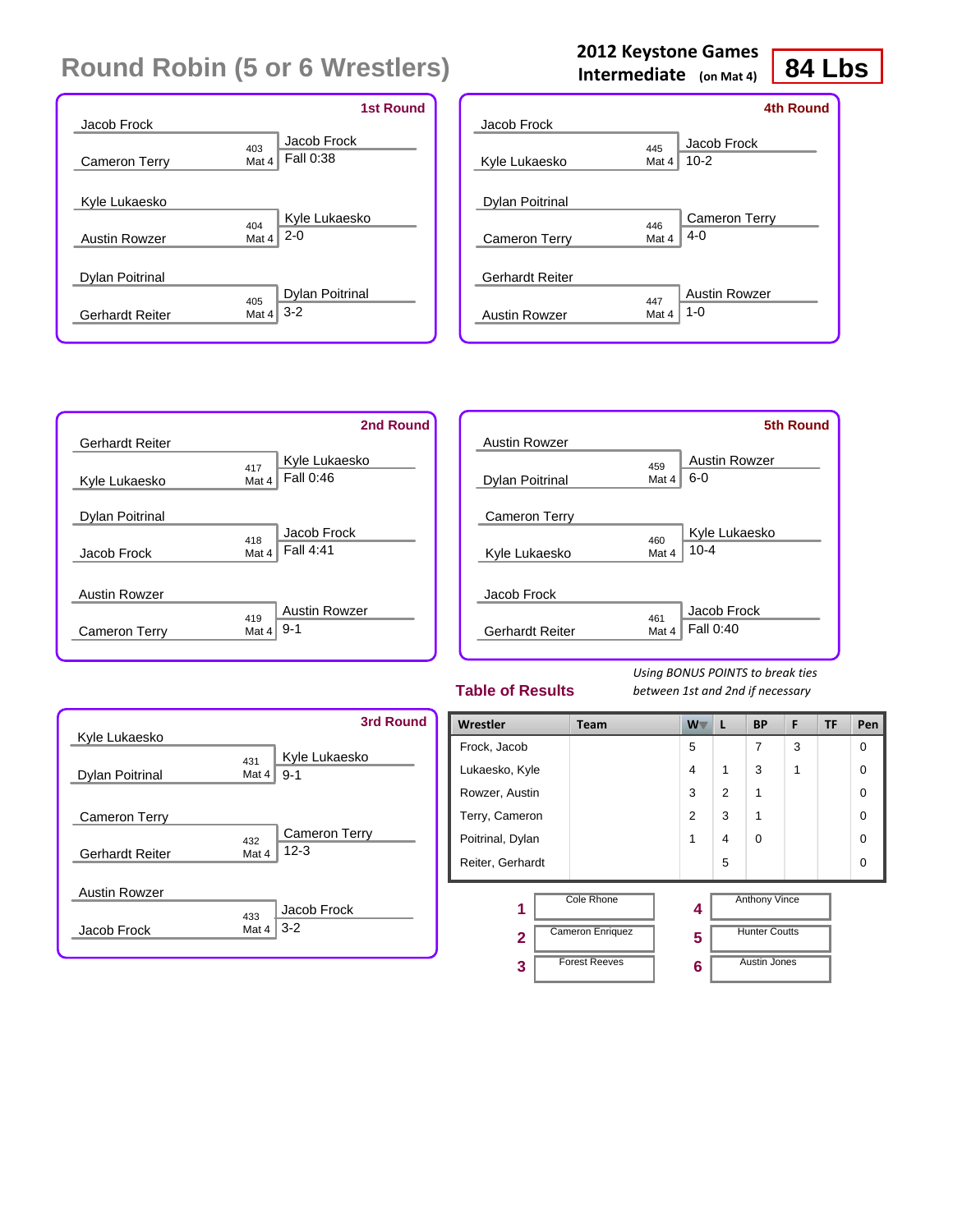#### Jacob Frock 403 Cameron Terry Kyle Lukaesko  $\begin{array}{c} 404 \\ \text{Mat } 4 \end{array}$ Austin Rowzer Dylan Poitrinal 405 Gerhardt Reiter Jacob Frock Mat  $4$  Fall 0:38 Kyle Lukaesko 2-0 Dylan Poitrinal Mat 4  $3-2$ **1st Round**

#### Jacob Frock 445 Kyle Lukaesko Dylan Poitrinal 446<br>Mat 4 Cameron Terry Gerhardt Reiter 447<br>Mat 4 Austin Rowzer Jacob Frock Mat 4  $| 10-2$ Cameron Terry 4-0 Austin Rowzer 1-0 **4th Round**

**2012 Keystone Games Intermediate (on Mat 4)**



|                        |       | <b>5th Round</b> |
|------------------------|-------|------------------|
| <b>Austin Rowzer</b>   |       |                  |
|                        | 459   | Austin Rowzer    |
| <b>Dylan Poitrinal</b> | Mat 4 | $6 - 0$          |
|                        |       |                  |
| <b>Cameron Terry</b>   |       |                  |
|                        | 460   | Kyle Lukaesko    |
| Kyle Lukaesko          | Mat 4 | $10 - 4$         |
|                        |       |                  |
| Jacob Frock            |       |                  |
|                        | 461   | Jacob Frock      |
| <b>Gerhardt Reiter</b> | Mat 4 | Fall 0:40        |
|                        |       |                  |

#### **Table of Results**

*Using BONUS POINTS to break ties between 1st and 2nd if necessary*



| Wrestler               | Team                                                          | $W^-$          | L              | <b>BP</b>                                                           | F | TF | Pen      |
|------------------------|---------------------------------------------------------------|----------------|----------------|---------------------------------------------------------------------|---|----|----------|
| Frock, Jacob           |                                                               | 5              |                | 7                                                                   | 3 |    | $\Omega$ |
| Lukaesko, Kyle         |                                                               | 4              | 1              | 3                                                                   | 1 |    | $\Omega$ |
| Rowzer, Austin         |                                                               | 3              | $\overline{2}$ | 1                                                                   |   |    | $\Omega$ |
| Terry, Cameron         |                                                               | $\overline{2}$ | 3              | 1                                                                   |   |    | $\Omega$ |
| Poitrinal, Dylan       |                                                               | 1              | 4              | $\Omega$                                                            |   |    | $\Omega$ |
| Reiter, Gerhardt       |                                                               |                | 5              |                                                                     |   |    | $\Omega$ |
| 1<br>$\mathbf{2}$<br>3 | Cole Rhone<br><b>Cameron Enriquez</b><br><b>Forest Reeves</b> | 4<br>5<br>6    |                | <b>Anthony Vince</b><br><b>Hunter Coutts</b><br><b>Austin Jones</b> |   |    |          |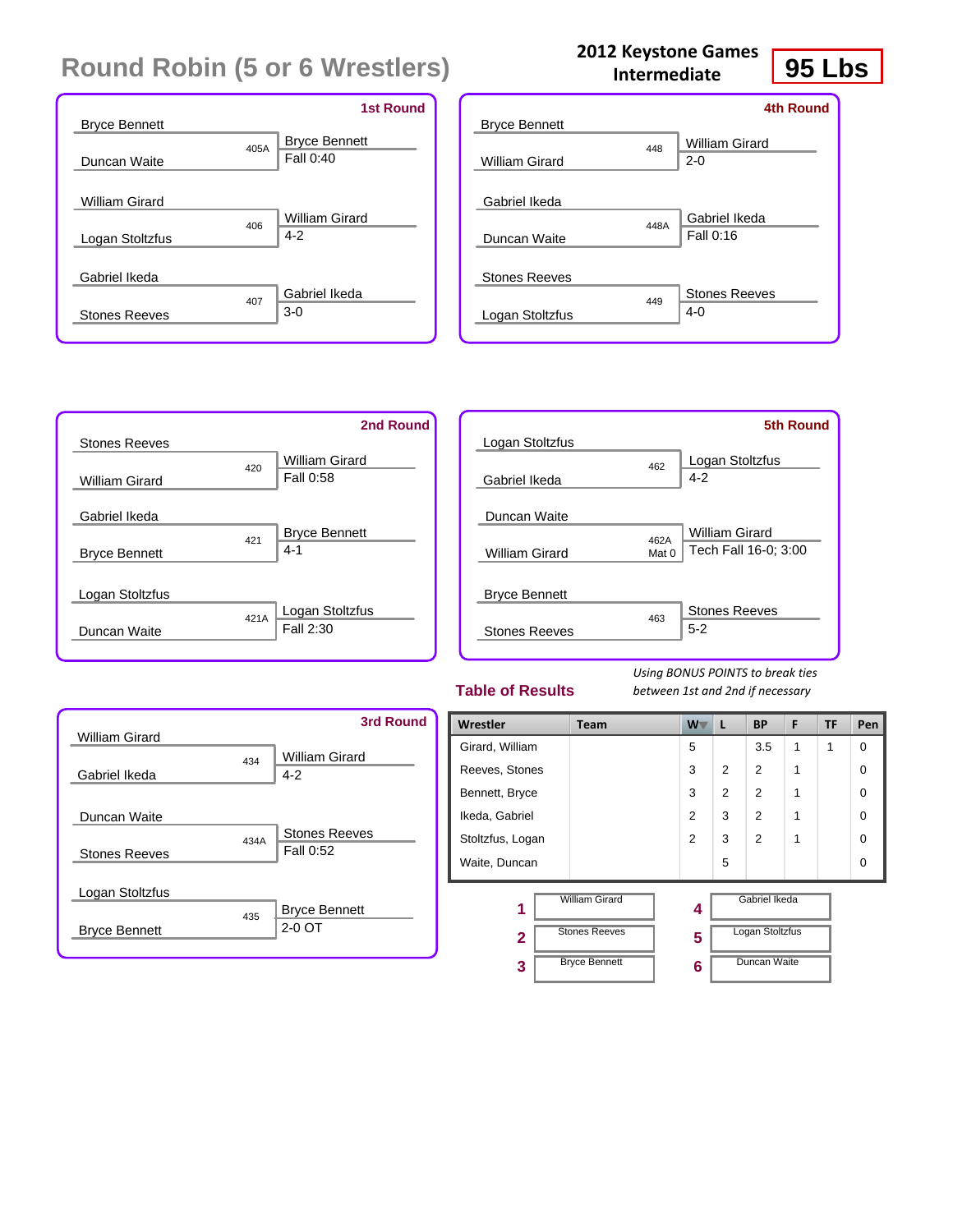|                      |      | <b>1st Round</b>     |
|----------------------|------|----------------------|
| <b>Bryce Bennett</b> |      |                      |
|                      | 405A | <b>Bryce Bennett</b> |
| Duncan Waite         |      | Fall 0:40            |
|                      |      |                      |
| William Girard       |      |                      |
|                      | 406  | William Girard       |
| Logan Stoltzfus      |      | $4-2$                |
|                      |      |                      |
| Gabriel Ikeda        |      |                      |
|                      | 407  | Gabriel Ikeda        |
| <b>Stones Reeves</b> |      | $3-0$                |
|                      |      |                      |

| <b>Bryce Bennett</b>  |      | <b>4th Round</b>     |
|-----------------------|------|----------------------|
|                       |      |                      |
|                       | 448  | William Girard       |
| <b>William Girard</b> |      | $2 - 0$              |
| Gabriel Ikeda         |      |                      |
|                       |      | Gabriel Ikeda        |
| Duncan Waite          | 448A | Fall 0:16            |
|                       |      |                      |
| <b>Stones Reeves</b>  |      |                      |
|                       | 449  | <b>Stones Reeves</b> |
| Logan Stoltzfus       |      | $4-0$                |
|                       |      |                      |

**2012 Keystone Games Intermediate**



|                      |       | <b>5th Round</b>     |
|----------------------|-------|----------------------|
| Logan Stoltzfus      |       |                      |
|                      | 462   | Logan Stoltzfus      |
| Gabriel Ikeda        |       | $4 - 2$              |
|                      |       |                      |
| Duncan Waite         |       |                      |
|                      | 462A  | William Girard       |
| William Girard       | Mat 0 | Tech Fall 16-0; 3:00 |
|                      |       |                      |
| <b>Bryce Bennett</b> |       |                      |
|                      | 463   | <b>Stones Reeves</b> |
| <b>Stones Reeves</b> |       | $5 - 2$              |
|                      |       |                      |

#### **Table of Results**

*Using BONUS POINTS to break ties between 1st and 2nd if necessary*



| Wrestler          | Team                                          | <b>W</b>       | L              | <b>BP</b>                        | F | TF | Pen      |
|-------------------|-----------------------------------------------|----------------|----------------|----------------------------------|---|----|----------|
| Girard, William   |                                               | 5              |                | 3.5                              | 1 | 1  | $\Omega$ |
| Reeves, Stones    |                                               | 3              | $\overline{2}$ | 2                                | 1 |    | $\Omega$ |
| Bennett, Bryce    |                                               | 3              | $\overline{2}$ | $\overline{2}$                   | 1 |    | $\Omega$ |
| Ikeda, Gabriel    |                                               | $\overline{2}$ | 3              | $\overline{2}$                   | 1 |    | $\Omega$ |
| Stoltzfus, Logan  |                                               | 2              | 3              | $\overline{2}$                   | 1 |    | $\Omega$ |
| Waite, Duncan     |                                               |                | 5              |                                  |   |    | $\Omega$ |
| 1<br>$\mathbf{2}$ | <b>William Girard</b><br><b>Stones Reeves</b> | 4<br>5         |                | Gabriel Ikeda<br>Logan Stoltzfus |   |    |          |
| 3                 | <b>Bryce Bennett</b>                          | 6              |                | Duncan Waite                     |   |    |          |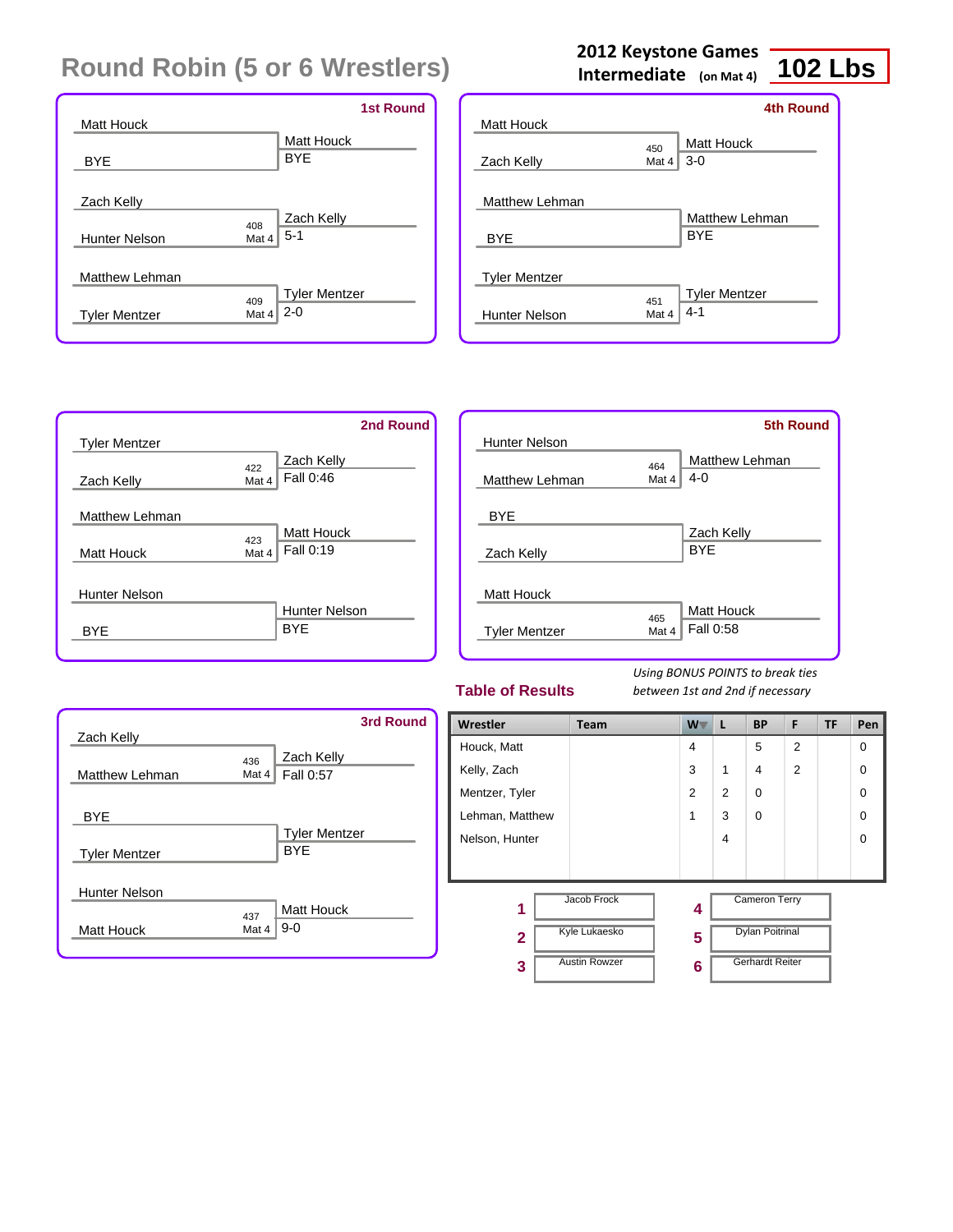|                       |              |                                 | <b>1st Round</b> |
|-----------------------|--------------|---------------------------------|------------------|
| Matt Houck            |              | Matt Houck                      |                  |
| <b>BYE</b>            |              | <b>BYE</b>                      |                  |
|                       |              |                                 |                  |
| Zach Kelly            |              |                                 |                  |
| <b>Hunter Nelson</b>  | 408<br>Mat 4 | Zach Kelly<br>$5-1$             |                  |
| <b>Matthew Lehman</b> |              |                                 |                  |
| <b>Tyler Mentzer</b>  | 409<br>Mat 4 | <b>Tyler Mentzer</b><br>$2 - 0$ |                  |

## **2012 Keystone Games**

**Intermediate (on Mat 4)**

## **102 Lbs**

|                      |       | 4th Round            |
|----------------------|-------|----------------------|
| <b>Matt Houck</b>    |       |                      |
|                      | 450   | Matt Houck           |
| Zach Kelly           | Mat 4 | $3-0$                |
|                      |       |                      |
| Matthew Lehman       |       |                      |
|                      |       | Matthew Lehman       |
| <b>BYE</b>           |       | <b>BYE</b>           |
|                      |       |                      |
| <b>Tyler Mentzer</b> |       |                      |
|                      | 451   | <b>Tyler Mentzer</b> |
| <b>Hunter Nelson</b> | Mat 4 | $4 - 1$              |
|                      |       |                      |

|                      | 2nd Round            |
|----------------------|----------------------|
| <b>Tyler Mentzer</b> |                      |
|                      | Zach Kelly<br>422    |
| Zach Kelly           | Fall 0:46<br>Mat 4   |
|                      |                      |
| Matthew Lehman       |                      |
|                      | Matt Houck<br>423    |
| <b>Matt Houck</b>    | Fall 0:19<br>Mat 4   |
|                      |                      |
| <b>Hunter Nelson</b> |                      |
|                      | <b>Hunter Nelson</b> |
| BYF                  | <b>BYE</b>           |
|                      |                      |

|                      |       | <b>5th Round</b>          |
|----------------------|-------|---------------------------|
| <b>Hunter Nelson</b> |       |                           |
|                      | 464   | Matthew Lehman<br>$4 - 0$ |
| Matthew Lehman       | Mat 4 |                           |
| <b>BYE</b>           |       |                           |
|                      |       | Zach Kelly                |
| Zach Kelly           |       | <b>BYE</b>                |
|                      |       |                           |
| <b>Matt Houck</b>    |       |                           |
|                      | 465   | <b>Matt Houck</b>         |
| <b>Tyler Mentzer</b> | Mat 4 | Fall 0:58                 |
|                      |       |                           |

#### **Table of Results**

| Zach Kelly                                   |              | 3rd Round                    |
|----------------------------------------------|--------------|------------------------------|
| Matthew Lehman                               | 436<br>Mat 4 | Zach Kelly<br>Fall 0:57      |
| <b>BYE</b>                                   |              | <b>Tyler Mentzer</b>         |
| <b>Tyler Mentzer</b><br><b>Hunter Nelson</b> |              | <b>BYF</b>                   |
| Matt Houck                                   | 437<br>Mat 4 | <b>Matt Houck</b><br>$9 - 0$ |

| Wrestler        | Team                 | $W^-$          | L              | <b>BP</b>              | F              | TF | Pen         |
|-----------------|----------------------|----------------|----------------|------------------------|----------------|----|-------------|
| Houck, Matt     |                      | $\overline{4}$ |                | 5                      | $\overline{2}$ |    | $\Omega$    |
| Kelly, Zach     |                      | 3              | 1              | $\overline{4}$         | $\overline{2}$ |    | 0           |
| Mentzer, Tyler  |                      | $\overline{2}$ | $\overline{2}$ | $\mathbf 0$            |                |    | $\mathbf 0$ |
| Lehman, Matthew |                      | 1              | 3              | $\mathbf 0$            |                |    | $\mathbf 0$ |
| Nelson, Hunter  |                      |                | 4              |                        |                |    | $\mathbf 0$ |
|                 |                      |                |                |                        |                |    |             |
| 1               | Jacob Frock          | 4              |                | <b>Cameron Terry</b>   |                |    |             |
| $\overline{2}$  | <b>Kyle Lukaesko</b> | 5              |                | <b>Dylan Poitrinal</b> |                |    |             |
| 3               | <b>Austin Rowzer</b> | 6              |                | <b>Gerhardt Reiter</b> |                |    |             |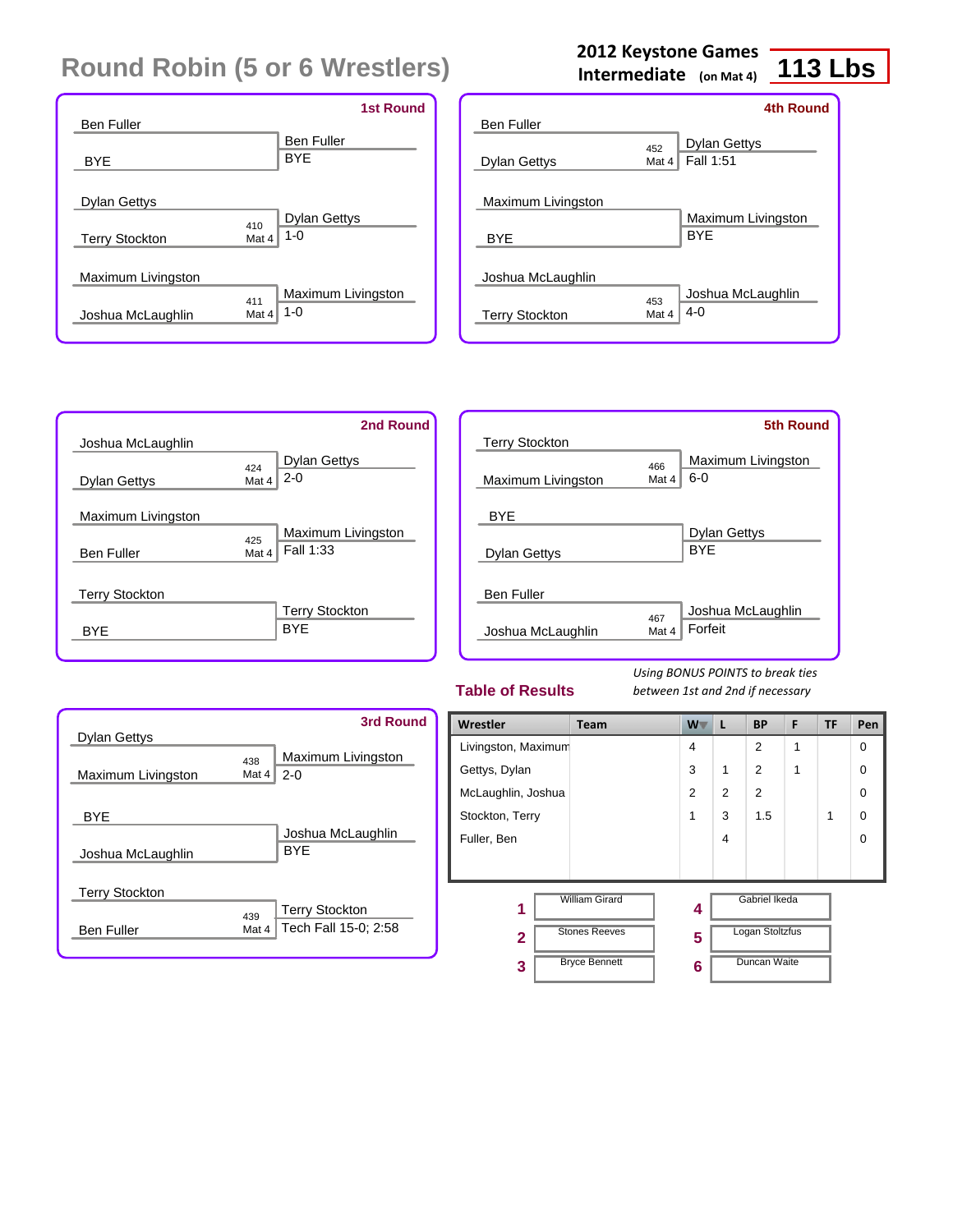| <b>Ben Fuller</b>                                            | <b>1st Round</b>                |
|--------------------------------------------------------------|---------------------------------|
| <b>BYE</b>                                                   | <b>Ben Fuller</b><br><b>BYE</b> |
| <b>Dylan Gettys</b><br>410<br>Mat 4<br><b>Terry Stockton</b> | <b>Dylan Gettys</b><br>$1 - 0$  |
| Maximum Livingston                                           |                                 |
| 411<br>Mat 4<br>Joshua McLaughlin                            | Maximum Livingston<br>$1 - 0$   |

### **2012 Keystone Games**

**Intermediate (on Mat 4)**

## **113 Lbs**

|                       |       | 4th Round           |
|-----------------------|-------|---------------------|
| <b>Ben Fuller</b>     |       |                     |
|                       | 452   | <b>Dylan Gettys</b> |
| <b>Dylan Gettys</b>   | Mat 4 | Fall 1:51           |
| Maximum Livingston    |       |                     |
|                       |       | Maximum Livingston  |
| <b>BYE</b>            |       | <b>BYF</b>          |
| Joshua McLaughlin     |       |                     |
|                       | 453   | Joshua McLaughlin   |
| <b>Terry Stockton</b> | Mat 4 | $4 - 0$             |
|                       |       |                     |

| 2nd Round                  |
|----------------------------|
|                            |
| <b>Dylan Gettys</b><br>424 |
| $2 - 0$<br>Mat 4           |
|                            |
| Maximum Livingston<br>425  |
| Fall 1:33<br>Mat 4         |
|                            |
|                            |
| <b>Terry Stockton</b>      |
| <b>BYE</b>                 |
|                            |

|                       |       | 5th Round           |
|-----------------------|-------|---------------------|
| <b>Terry Stockton</b> |       |                     |
|                       | 466   | Maximum Livingston  |
| Maximum Livingston    | Mat 4 | $6 - 0$             |
|                       |       |                     |
| <b>BYE</b>            |       |                     |
|                       |       | <b>Dylan Gettys</b> |
| <b>Dylan Gettys</b>   |       | <b>BYF</b>          |
|                       |       |                     |
| <b>Ben Fuller</b>     |       |                     |
|                       | 467   | Joshua McLaughlin   |
| Joshua McLaughlin     | Mat 4 | Forfeit             |
|                       |       |                     |

#### **Table of Results**

| <b>Dylan Gettys</b>             |              | 3rd Round                       |
|---------------------------------|--------------|---------------------------------|
| Maximum Livingston              | 438<br>Mat 4 | Maximum Livingston<br>$2 - 0$   |
| <b>BYF</b><br>Joshua McLaughlin |              | Joshua McLaughlin<br><b>BYF</b> |
| <b>Terry Stockton</b>           | 439          | <b>Terry Stockton</b>           |
| <b>Ben Fuller</b>               | Mat 4        | Tech Fall 15-0; 2:58            |

| Wrestler            | <b>Team</b>           | $W^-$          | L | <b>BP</b>           | F | <b>TF</b> | Pen      |
|---------------------|-----------------------|----------------|---|---------------------|---|-----------|----------|
| Livingston, Maximum |                       | $\overline{4}$ |   | $\overline{2}$      | 1 |           | $\Omega$ |
| Gettys, Dylan       |                       | 3              | 1 | 2                   | 1 |           | $\Omega$ |
| McLaughlin, Joshua  |                       | 2              | 2 | $\overline{2}$      |   |           | $\Omega$ |
| Stockton, Terry     |                       | 1              | 3 | 1.5                 |   | 1         | $\Omega$ |
| Fuller, Ben         |                       |                | 4 |                     |   |           | $\Omega$ |
|                     |                       |                |   |                     |   |           |          |
| 1                   | <b>William Girard</b> | 4              |   | Gabriel Ikeda       |   |           |          |
| $\overline{2}$      | <b>Stones Reeves</b>  | 5              |   | Logan Stoltzfus     |   |           |          |
| 3                   | <b>Bryce Bennett</b>  | 6              |   | <b>Duncan Waite</b> |   |           |          |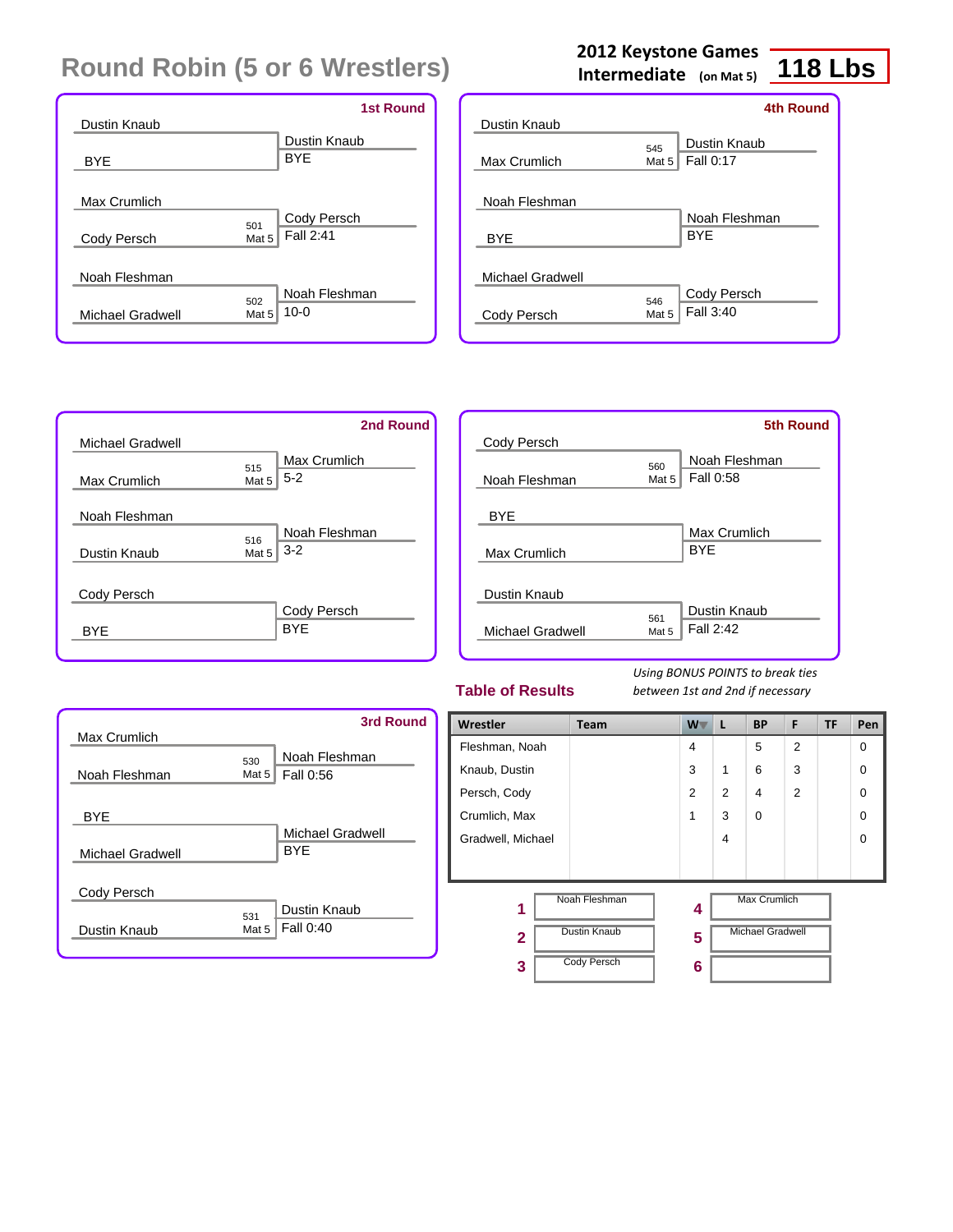|                                             | <b>1st Round</b>          |
|---------------------------------------------|---------------------------|
| Dustin Knaub                                | Dustin Knaub              |
| <b>BYE</b>                                  | <b>BYE</b>                |
| Max Crumlich                                |                           |
| 501<br>Mat 5<br>Cody Persch                 | Cody Persch<br>Fall 2:41  |
| Noah Fleshman                               |                           |
| 502<br>Michael Gradwell<br>Mat <sub>5</sub> | Noah Fleshman<br>$10 - 0$ |

### **2012 Keystone Games**

**Intermediate (on Mat 5)**

## **118 Lbs**

|                  |          | <b>4th Round</b> |
|------------------|----------|------------------|
| Dustin Knaub     |          |                  |
|                  | 545      | Dustin Knaub     |
| Max Crumlich     | Mat $52$ | Fall 0:17        |
|                  |          |                  |
| Noah Fleshman    |          |                  |
|                  |          | Noah Fleshman    |
| <b>BYE</b>       |          | <b>BYF</b>       |
|                  |          |                  |
| Michael Gradwell |          |                  |
|                  | 546      | Cody Persch      |
| Cody Persch      | Mat 5    | Fall 3:40        |
|                  |          |                  |

|                         | 2nd Round                  |
|-------------------------|----------------------------|
| <b>Michael Gradwell</b> |                            |
|                         | <b>Max Crumlich</b><br>515 |
| Max Crumlich            | $5 - 2$<br>Mat 5           |
| Noah Fleshman           |                            |
|                         | Noah Fleshman              |
| Dustin Knaub            | 516<br>$3 - 2$<br>Mat 5    |
| Cody Persch             |                            |
|                         | Cody Persch                |
| BYF                     | <b>BYF</b>                 |
|                         |                            |

|                  |              | <b>5th Round</b>           |
|------------------|--------------|----------------------------|
| Cody Persch      |              |                            |
| Noah Fleshman    | 560<br>Mat 5 | Noah Fleshman<br>Fall 0:58 |
| <b>BYE</b>       |              |                            |
| Max Crumlich     |              | Max Crumlich<br><b>BYF</b> |
| Dustin Knaub     |              |                            |
| Michael Gradwell | 561<br>Mat 5 | Dustin Knaub<br>Fall 2:42  |
|                  |              |                            |

#### **Table of Results**

| Max Crumlich     |         | 3rd Round        |
|------------------|---------|------------------|
|                  | 530     | Noah Fleshman    |
| Noah Fleshman    | Mat $5$ | Fall 0:56        |
| <b>BYE</b>       |         |                  |
|                  |         | Michael Gradwell |
| Michael Gradwell |         | <b>BYF</b>       |
| Cody Persch      |         |                  |
|                  | 531     | Dustin Knaub     |
| Dustin Knaub     | Mat 5   | Fall 0:40        |
|                  |         |                  |

| Wrestler          | <b>Team</b>         | W T            | L              | <b>BP</b>               | F              | TF | Pen |
|-------------------|---------------------|----------------|----------------|-------------------------|----------------|----|-----|
| Fleshman, Noah    |                     | 4              |                | 5                       | $\overline{2}$ |    | 0   |
| Knaub, Dustin     |                     | 3              | 1              | 6                       | 3              |    | 0   |
| Persch, Cody      |                     | $\overline{2}$ | $\overline{2}$ | 4                       | $\overline{2}$ |    | 0   |
| Crumlich, Max     |                     | 1              | 3              | $\Omega$                |                |    | 0   |
| Gradwell, Michael |                     |                | 4              |                         |                |    | 0   |
|                   |                     |                |                |                         |                |    |     |
| 1                 | Noah Fleshman       | 4              |                | <b>Max Crumlich</b>     |                |    |     |
| $\overline{2}$    | <b>Dustin Knaub</b> | 5              |                | <b>Michael Gradwell</b> |                |    |     |
| 3                 | <b>Cody Persch</b>  | 6              |                |                         |                |    |     |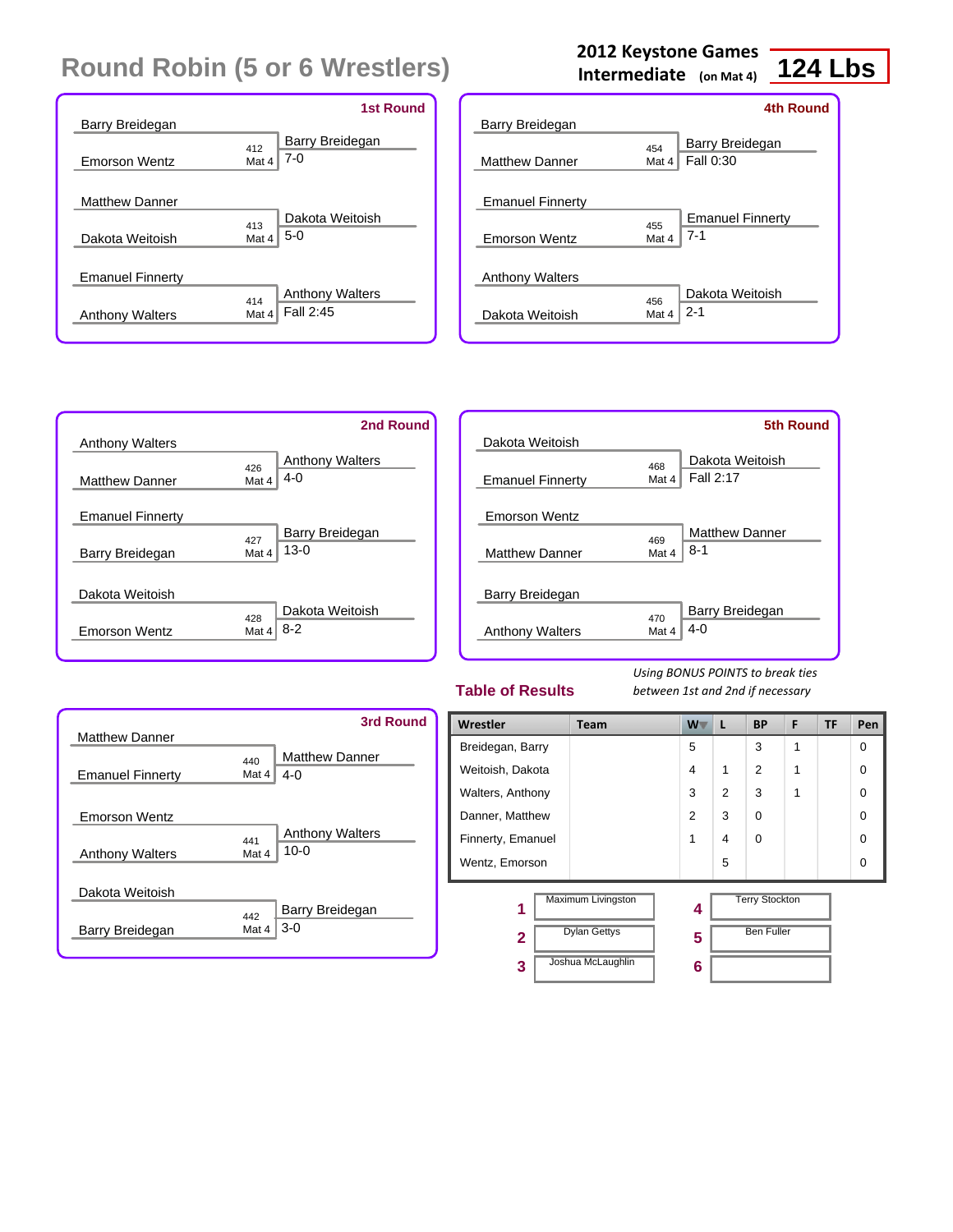|                                                   | <b>1st Round</b>                                    |
|---------------------------------------------------|-----------------------------------------------------|
| Barry Breidegan                                   |                                                     |
| <b>Emorson Wentz</b>                              | Barry Breidegan<br>412<br>$7 - 0$<br>Mat 4          |
| <b>Matthew Danner</b><br>Dakota Weitoish          | Dakota Weitoish<br>413<br>$5-0$<br>Mat 4            |
| <b>Emanuel Finnerty</b><br><b>Anthony Walters</b> | <b>Anthony Walters</b><br>414<br>Fall 2:45<br>Mat 4 |

### **2012 Keystone Games**

**Intermediate (on Mat 4)**

### **124 Lbs**

|                         |              | <b>4th Round</b>                   |
|-------------------------|--------------|------------------------------------|
| Barry Breidegan         |              |                                    |
| <b>Matthew Danner</b>   | 454<br>Mat 4 | Barry Breidegan<br>Fall 0:30       |
| <b>Emanuel Finnerty</b> |              |                                    |
| <b>Emorson Wentz</b>    | 455<br>Mat 4 | <b>Emanuel Finnerty</b><br>$7 - 1$ |
| <b>Anthony Walters</b>  |              |                                    |
| Dakota Weitoish         | 456<br>Mat 4 | Dakota Weitoish<br>$2 - 1$         |



|                         |              | <b>5th Round</b>             |
|-------------------------|--------------|------------------------------|
| Dakota Weitoish         |              |                              |
| <b>Emanuel Finnerty</b> | 468<br>Mat 4 | Dakota Weitoish<br>Fall 2:17 |
| <b>Emorson Wentz</b>    |              |                              |
|                         | 469          | <b>Matthew Danner</b>        |
| <b>Matthew Danner</b>   | Mat 4        | $8 - 1$                      |
| Barry Breidegan         |              |                              |
|                         | 470          | Barry Breidegan              |
| <b>Anthony Walters</b>  | Mat 4        | $4 - 0$                      |
|                         |              |                              |

#### **Table of Results**



| Wrestler          | <b>Team</b>                               | W              | L              | <b>BP</b>                                  | F | <b>TF</b> | Pen      |
|-------------------|-------------------------------------------|----------------|----------------|--------------------------------------------|---|-----------|----------|
| Breidegan, Barry  |                                           | 5              |                | 3                                          | 1 |           | 0        |
| Weitoish, Dakota  |                                           | 4              | 1              | $\overline{2}$                             | 1 |           | 0        |
| Walters, Anthony  |                                           | 3              | $\overline{2}$ | 3                                          | 1 |           | $\Omega$ |
| Danner, Matthew   |                                           | $\overline{2}$ | 3              | $\Omega$                                   |   |           | 0        |
| Finnerty, Emanuel |                                           | 1              | 4              | $\Omega$                                   |   |           | $\Omega$ |
| Wentz, Emorson    |                                           |                | 5              |                                            |   |           | 0        |
| 1<br>$\mathbf{2}$ | Maximum Livingston<br><b>Dylan Gettys</b> | 4<br>5         |                | <b>Terry Stockton</b><br><b>Ben Fuller</b> |   |           |          |
| 3                 | Joshua McLaughlin                         | 6              |                |                                            |   |           |          |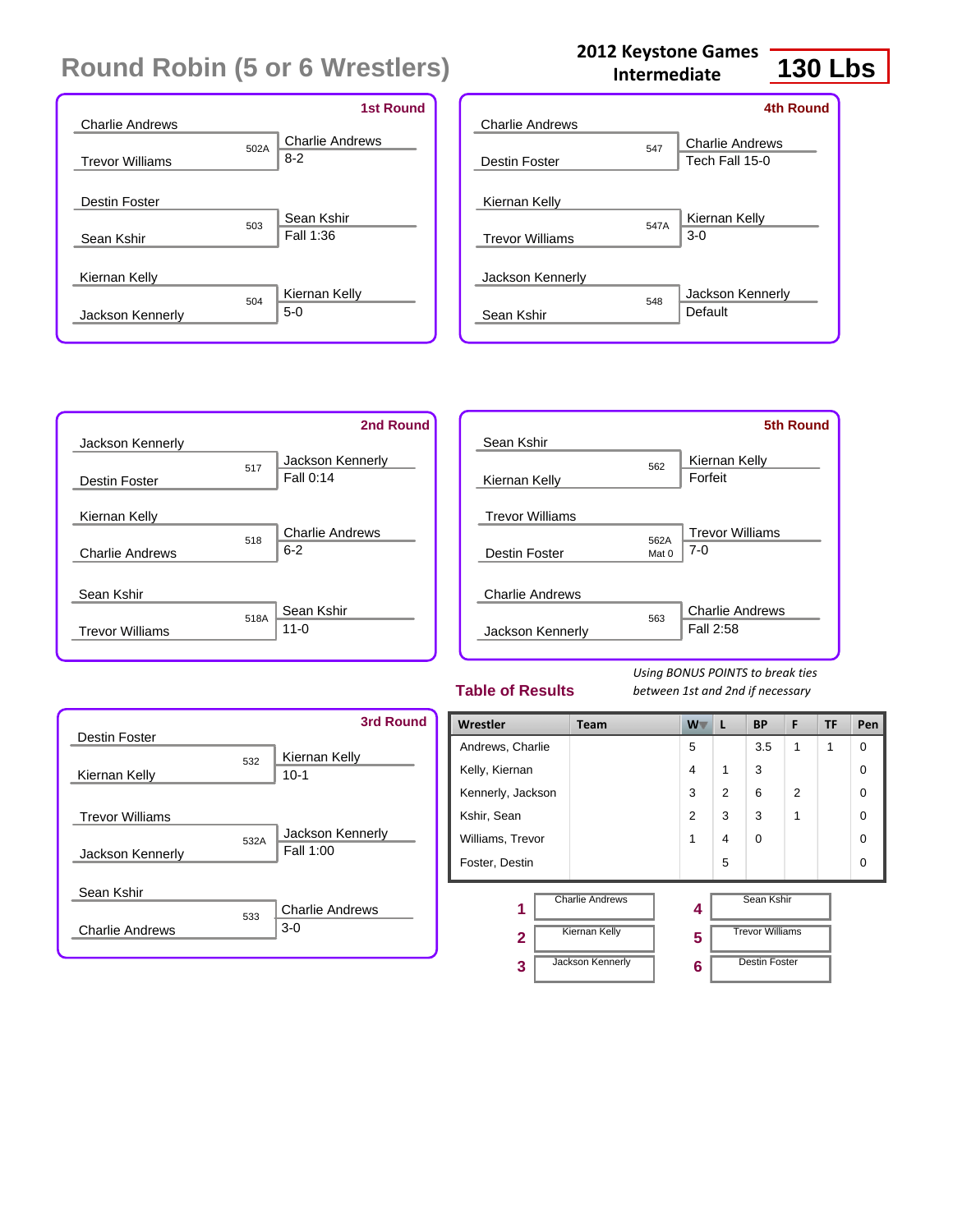|                        |      | <b>1st Round</b>       |
|------------------------|------|------------------------|
| <b>Charlie Andrews</b> |      |                        |
|                        | 502A | <b>Charlie Andrews</b> |
| <b>Trevor Williams</b> |      | $8-2$                  |
|                        |      |                        |
| Destin Foster          |      |                        |
|                        | 503  | Sean Kshir             |
| Sean Kshir             |      | Fall 1:36              |
|                        |      |                        |
| Kiernan Kelly          |      |                        |
|                        | 504  | Kiernan Kelly          |
| Jackson Kennerly       |      | $5-0$                  |
|                        |      |                        |

| <b>Charlie Andrews</b> |      | 4th Round                                |
|------------------------|------|------------------------------------------|
| Destin Foster          | 547  | <b>Charlie Andrews</b><br>Tech Fall 15-0 |
| Kiernan Kelly          |      |                                          |
| <b>Trevor Williams</b> | 547A | Kiernan Kelly<br>$3-0$                   |
| Jackson Kennerly       |      |                                          |
| Sean Kshir             | 548  | Jackson Kennerly<br>Default              |
|                        |      |                                          |

**Intermediate**



|                        |               | <b>5th Round</b>                    |
|------------------------|---------------|-------------------------------------|
| Sean Kshir             | 562           | Kiernan Kelly                       |
| Kiernan Kelly          |               | Forfeit                             |
| <b>Trevor Williams</b> |               |                                     |
| Destin Foster          | 562A<br>Mat 0 | <b>Trevor Williams</b><br>$7-0$     |
|                        |               |                                     |
| Charlie Andrews        |               |                                     |
| Jackson Kennerly       | 563           | <b>Charlie Andrews</b><br>Fall 2:58 |
|                        |               |                                     |

#### **Table of Results**

*Using BONUS POINTS to break ties between 1st and 2nd if necessary*

| Destin Foster                              |      | <b>3rd Round</b>                |
|--------------------------------------------|------|---------------------------------|
| Kiernan Kelly                              | 532  | Kiernan Kelly<br>$10 - 1$       |
| <b>Trevor Williams</b><br>Jackson Kennerly | 532A | Jackson Kennerly<br>Fall 1:00   |
| Sean Kshir<br><b>Charlie Andrews</b>       | 533  | <b>Charlie Andrews</b><br>$3-0$ |

| Wrestler          | Team                   | $W^-$          | L             | <b>BP</b>              | F              | TF | Pen      |
|-------------------|------------------------|----------------|---------------|------------------------|----------------|----|----------|
| Andrews, Charlie  |                        | 5              |               | 3.5                    | 1              | 1  | $\Omega$ |
| Kelly, Kiernan    |                        | $\overline{4}$ | 1             | 3                      |                |    | $\Omega$ |
| Kennerly, Jackson |                        | 3              | $\mathcal{P}$ | 6                      | $\mathfrak{p}$ |    | $\Omega$ |
| Kshir, Sean       |                        | $\overline{2}$ | 3             | 3                      | 1              |    | $\Omega$ |
| Williams, Trevor  |                        | 1              | 4             | $\Omega$               |                |    | $\Omega$ |
| Foster, Destin    |                        |                | 5             |                        |                |    | $\Omega$ |
| 1                 | <b>Charlie Andrews</b> | 4              |               | Sean Kshir             |                |    |          |
| $\mathbf{2}$      | <b>Kiernan Kelly</b>   | 5              |               | <b>Trevor Williams</b> |                |    |          |
| 3                 | Jackson Kennerly       | 6              |               | <b>Destin Foster</b>   |                |    |          |

**130 Lbs 2012 Keystone Games**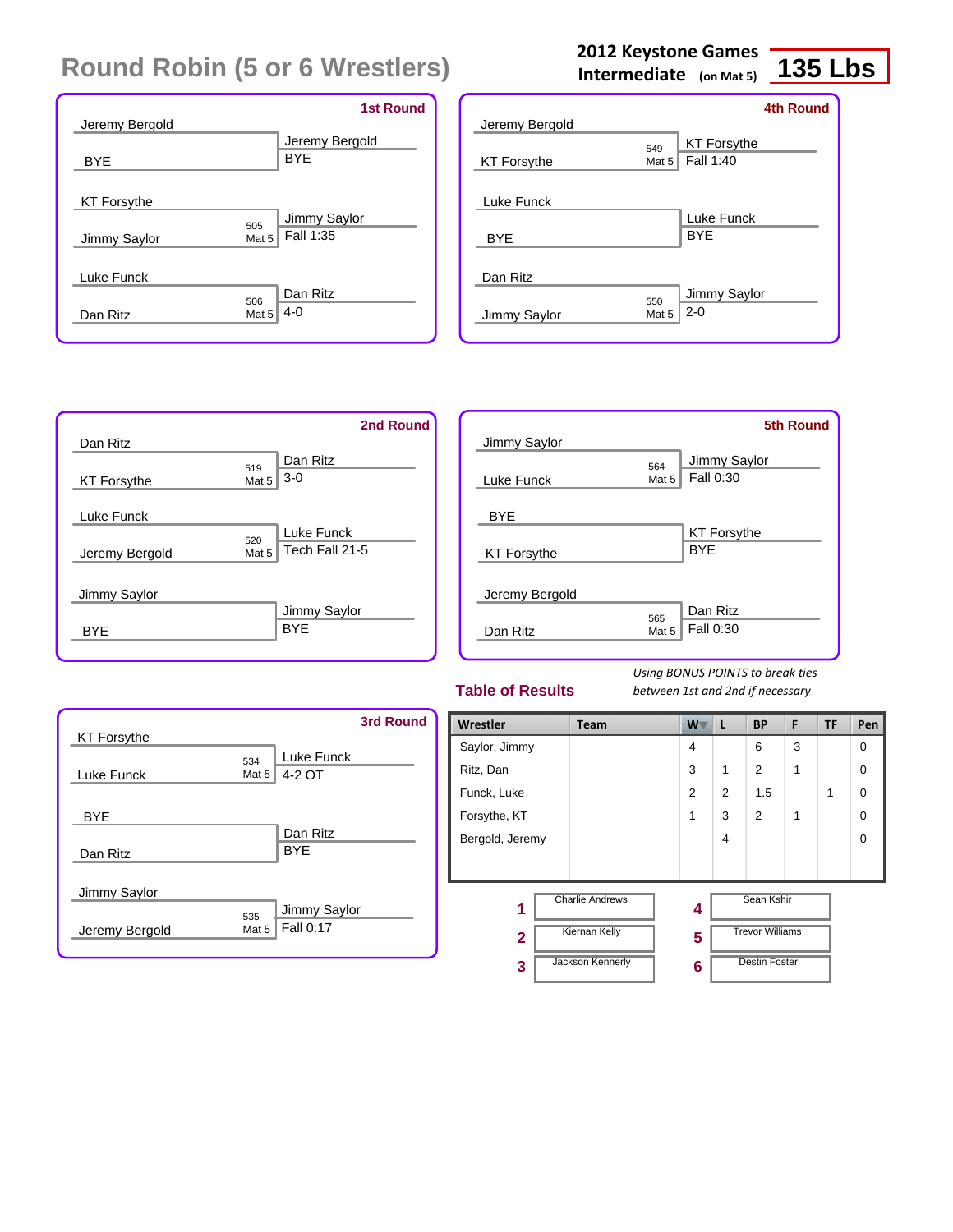|                    |       | <b>1st Round</b> |
|--------------------|-------|------------------|
| Jeremy Bergold     |       |                  |
|                    |       | Jeremy Bergold   |
| <b>BYE</b>         |       | <b>BYE</b>       |
|                    |       |                  |
| <b>KT Forsythe</b> |       |                  |
|                    | 505   | Jimmy Saylor     |
| Jimmy Saylor       | Mat 5 | Fall 1:35        |
|                    |       |                  |
| <b>Luke Funck</b>  |       |                  |
|                    | 506   | Dan Ritz         |
| Dan Ritz           | Mat 5 | 4-0              |
|                    |       |                  |

|                          |              | <b>4th Round</b>         |
|--------------------------|--------------|--------------------------|
| Jeremy Bergold           |              |                          |
|                          | 549          | <b>KT Forsythe</b>       |
| <b>KT Forsythe</b>       | Mat 5        | Fall 1:40                |
| Luke Funck<br><b>BYE</b> |              | Luke Funck<br><b>BYF</b> |
| Dan Ritz                 |              |                          |
| Jimmy Saylor             | 550<br>Mat 5 | Jimmy Saylor<br>$2 - 0$  |

**2012 Keystone Games Intermediate (on Mat 5)**

|                    |                           | 2nd Round |
|--------------------|---------------------------|-----------|
| Dan Ritz           |                           |           |
|                    | Dan Ritz<br>519           |           |
| <b>KT Forsythe</b> | $3-0$<br>Mat <sub>5</sub> |           |
|                    |                           |           |
| Luke Funck         |                           |           |
|                    | Luke Funck<br>520         |           |
| Jeremy Bergold     | Tech Fall 21-5<br>Mat 5   |           |
|                    |                           |           |
| Jimmy Saylor       |                           |           |
|                    | Jimmy Saylor              |           |
| <b>BYE</b>         | <b>BYF</b>                |           |
|                    |                           |           |

|                    |       | <b>5th Round</b>   |
|--------------------|-------|--------------------|
| Jimmy Saylor       |       |                    |
|                    | 564   | Jimmy Saylor       |
| Luke Funck         | Mat 5 | Fall 0:30          |
|                    |       |                    |
| <b>BYE</b>         |       |                    |
|                    |       | <b>KT Forsythe</b> |
| <b>KT Forsythe</b> |       | <b>BYF</b>         |
|                    |       |                    |
| Jeremy Bergold     |       |                    |
|                    | 565   | Dan Ritz           |
| Dan Ritz           | Mat 5 | Fall 0:30          |
|                    |       |                    |

#### **Table of Results**

*Using BONUS POINTS to break ties between 1st and 2nd if necessary*

| <b>KT Forsythe</b>     |                | <b>3rd Round</b>            |
|------------------------|----------------|-----------------------------|
| Luke Funck             | 534<br>Mat $5$ | Luke Funck<br>4-2 OT        |
| <b>BYE</b><br>Dan Ritz |                | Dan Ritz<br><b>BYE</b>      |
| Jimmy Saylor           |                |                             |
| Jeremy Bergold         | 535<br>Mat 5   | Jimmy Saylor<br>  Fall 0:17 |

| Wrestler        | Team                   | W <sub>V</sub> | L                       | <b>BP</b>              | F | <b>TF</b> | Pen         |
|-----------------|------------------------|----------------|-------------------------|------------------------|---|-----------|-------------|
| Saylor, Jimmy   |                        | 4              |                         | 6                      | 3 |           | $\Omega$    |
| Ritz, Dan       |                        | 3              | 1                       | 2                      | 1 |           | $\Omega$    |
| Funck, Luke     |                        | $\overline{2}$ | $\overline{2}$          | 1.5                    |   | 1         | 0           |
| Forsythe, KT    |                        | 1              | 3                       | 2                      | 1 |           | 0           |
| Bergold, Jeremy |                        |                | $\overline{\mathbf{4}}$ |                        |   |           | $\mathbf 0$ |
|                 |                        |                |                         |                        |   |           |             |
| 1               | <b>Charlie Andrews</b> | 4              |                         | Sean Kshir             |   |           |             |
| $\mathbf{2}$    | <b>Kiernan Kelly</b>   | 5              |                         | <b>Trevor Williams</b> |   |           |             |
| 3               | Jackson Kennerly       | 6              |                         | <b>Destin Foster</b>   |   |           |             |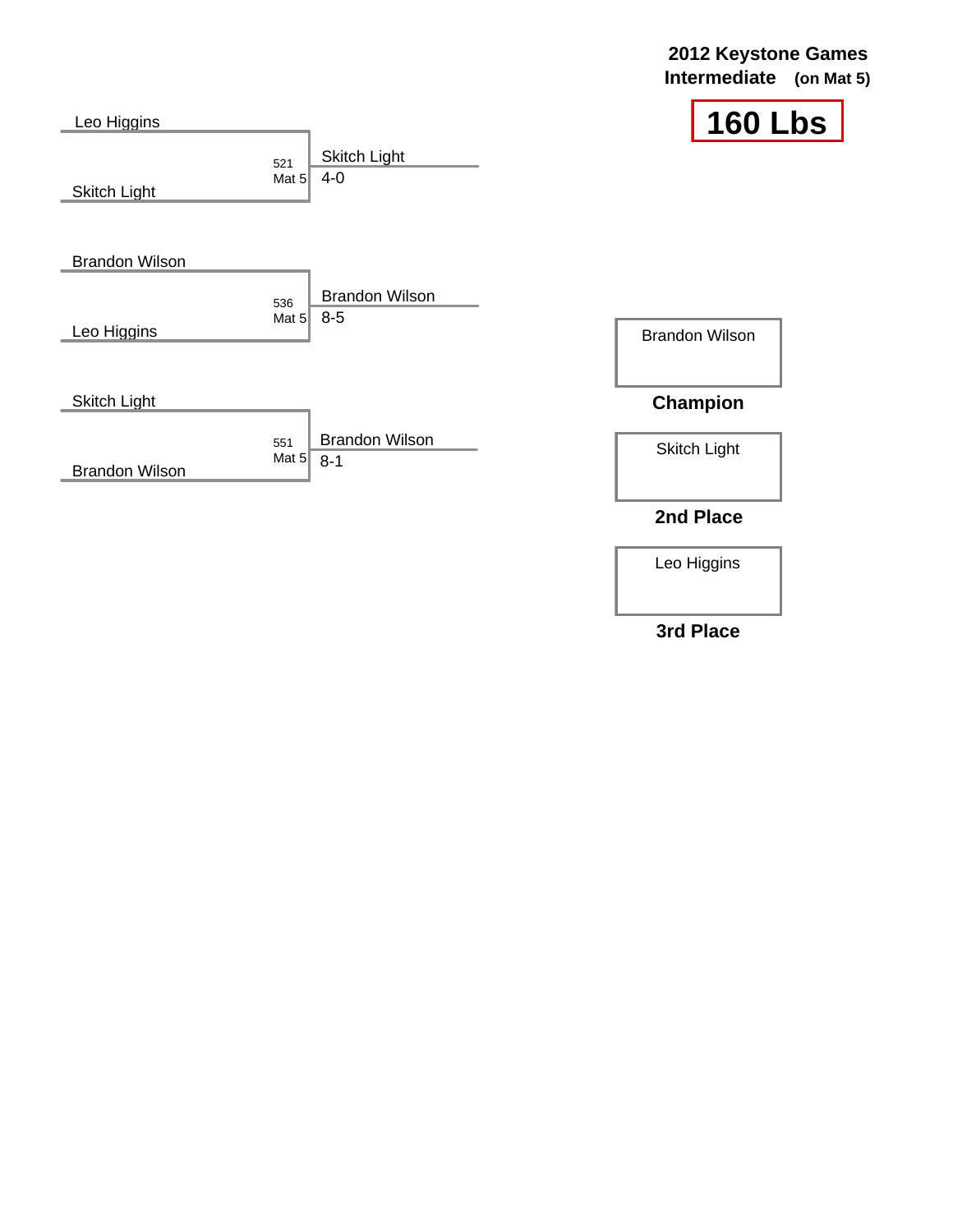#### **2012 Keystone Games Intermediate (on Mat 5)**

٦

| Leo Higgins           |                                                    | 160                   |
|-----------------------|----------------------------------------------------|-----------------------|
| <b>Skitch Light</b>   | <b>Skitch Light</b><br>521<br>$4 - 0$<br>Mat $52$  |                       |
| <b>Brandon Wilson</b> |                                                    |                       |
|                       | <b>Brandon Wilson</b><br>536<br>$8-5$<br>Mat $5$   |                       |
| Leo Higgins           |                                                    | <b>Brandon Wilson</b> |
| <b>Skitch Light</b>   |                                                    | <b>Champion</b>       |
|                       | <b>Brandon Wilson</b><br>551<br>Mat $5$<br>$8 - 1$ | <b>Skitch Light</b>   |
| <b>Brandon Wilson</b> |                                                    |                       |
|                       |                                                    | 2nd Place             |

Leo Higgins

**3rd Place**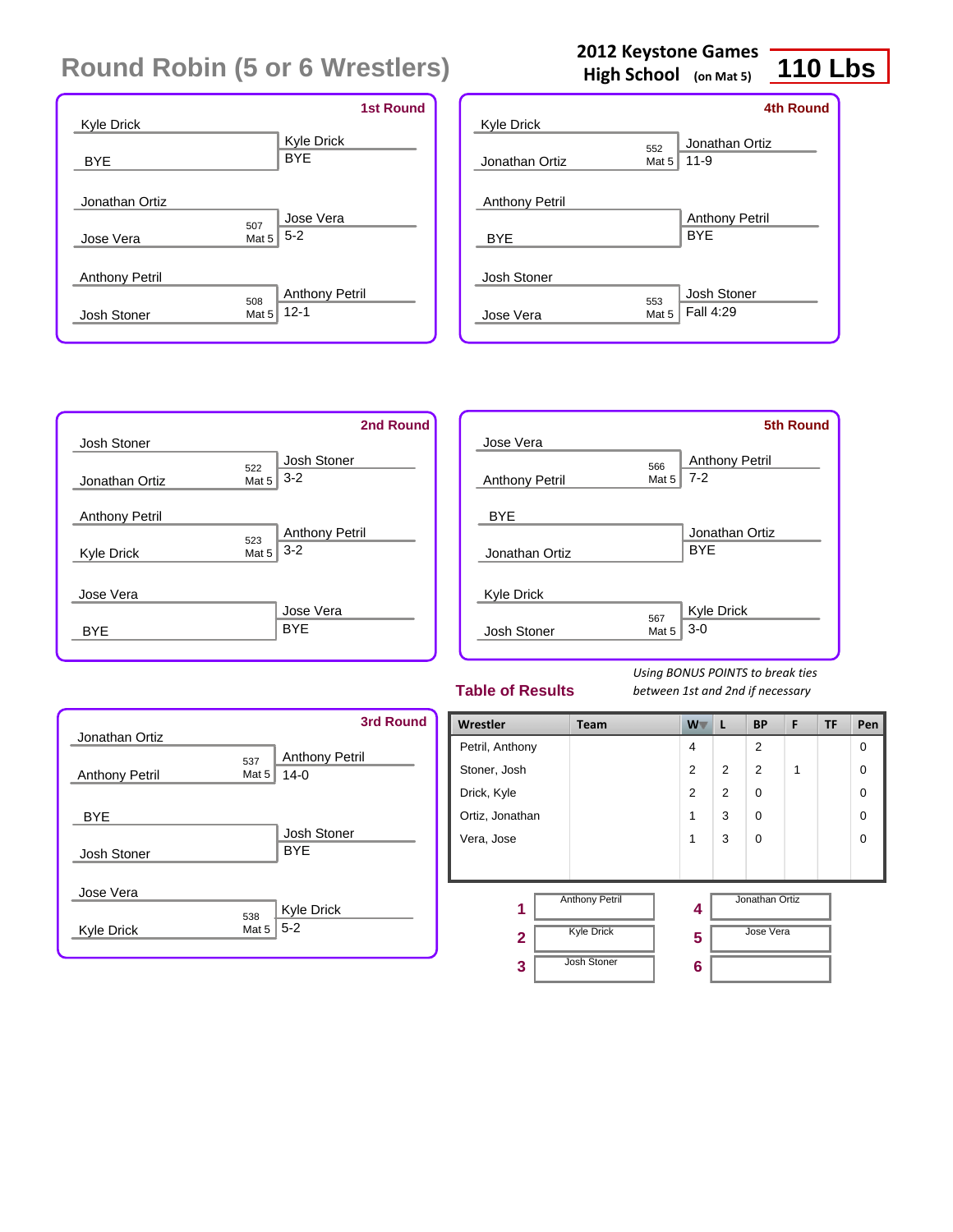| <b>Kyle Drick</b>     | <b>1st Round</b>                                  |
|-----------------------|---------------------------------------------------|
| <b>BYE</b>            | Kyle Drick<br><b>BYE</b>                          |
| Jonathan Ortiz        |                                                   |
|                       | Jose Vera<br>507                                  |
| Jose Vera             | $5 - 2$<br>Mat 5                                  |
| <b>Anthony Petril</b> |                                                   |
| Josh Stoner           | <b>Anthony Petril</b><br>508<br>$12 - 1$<br>Mat 5 |

### **2012 Keystone Games**

**High School (on Mat 5)**

# **110 Lbs**

|                                     |              | <b>4th Round</b>                    |
|-------------------------------------|--------------|-------------------------------------|
| <b>Kyle Drick</b>                   |              |                                     |
| Jonathan Ortiz                      | 552<br>Mat 5 | Jonathan Ortiz<br>$11 - 9$          |
| <b>Anthony Petril</b><br><b>BYE</b> |              | <b>Anthony Petril</b><br><b>BYF</b> |
| Josh Stoner                         |              |                                     |
| Jose Vera                           | 553<br>Mat 5 | Josh Stoner<br>Fall 4:29            |



|                       |              | <b>5th Round</b>                 |
|-----------------------|--------------|----------------------------------|
| Jose Vera             |              |                                  |
| <b>Anthony Petril</b> | 566<br>Mat 5 | <b>Anthony Petril</b><br>$7 - 2$ |
| <b>BYE</b>            |              |                                  |
| Jonathan Ortiz        |              | Jonathan Ortiz<br><b>BYE</b>     |
| <b>Kyle Drick</b>     |              |                                  |
| Josh Stoner           | 567<br>Mat 5 | Kyle Drick<br>$3-0$              |

#### **Table of Results**

| Jonathan Ortiz        |              | 3rd Round                       |
|-----------------------|--------------|---------------------------------|
| <b>Anthony Petril</b> | 537<br>Mat 5 | <b>Anthony Petril</b><br>$14-0$ |
| <b>BYE</b>            |              | Josh Stoner                     |
| Josh Stoner           |              | <b>BYE</b>                      |
| Jose Vera             |              |                                 |
| <b>Kyle Drick</b>     | 538<br>Mat 5 | Kyle Drick<br>$5 - 2$           |

| Wrestler        | Team                  | W <sub>V</sub> | L              | <b>BP</b>      | F | <b>TF</b> | Pen      |
|-----------------|-----------------------|----------------|----------------|----------------|---|-----------|----------|
| Petril, Anthony |                       | $\overline{4}$ |                | $\overline{2}$ |   |           | 0        |
| Stoner, Josh    |                       | 2              | $\overline{2}$ | 2              | 1 |           | $\Omega$ |
| Drick, Kyle     |                       | 2              | $\overline{2}$ | $\Omega$       |   |           | $\Omega$ |
| Ortiz, Jonathan |                       | 1              | 3              | $\Omega$       |   |           | $\Omega$ |
| Vera, Jose      |                       | 1              | 3              | $\Omega$       |   |           | $\Omega$ |
|                 |                       |                |                |                |   |           |          |
| 1               | <b>Anthony Petril</b> | 4              |                | Jonathan Ortiz |   |           |          |
| $\overline{2}$  | <b>Kyle Drick</b>     | 5              |                | Jose Vera      |   |           |          |
| 3               | <b>Josh Stoner</b>    | 6              |                |                |   |           |          |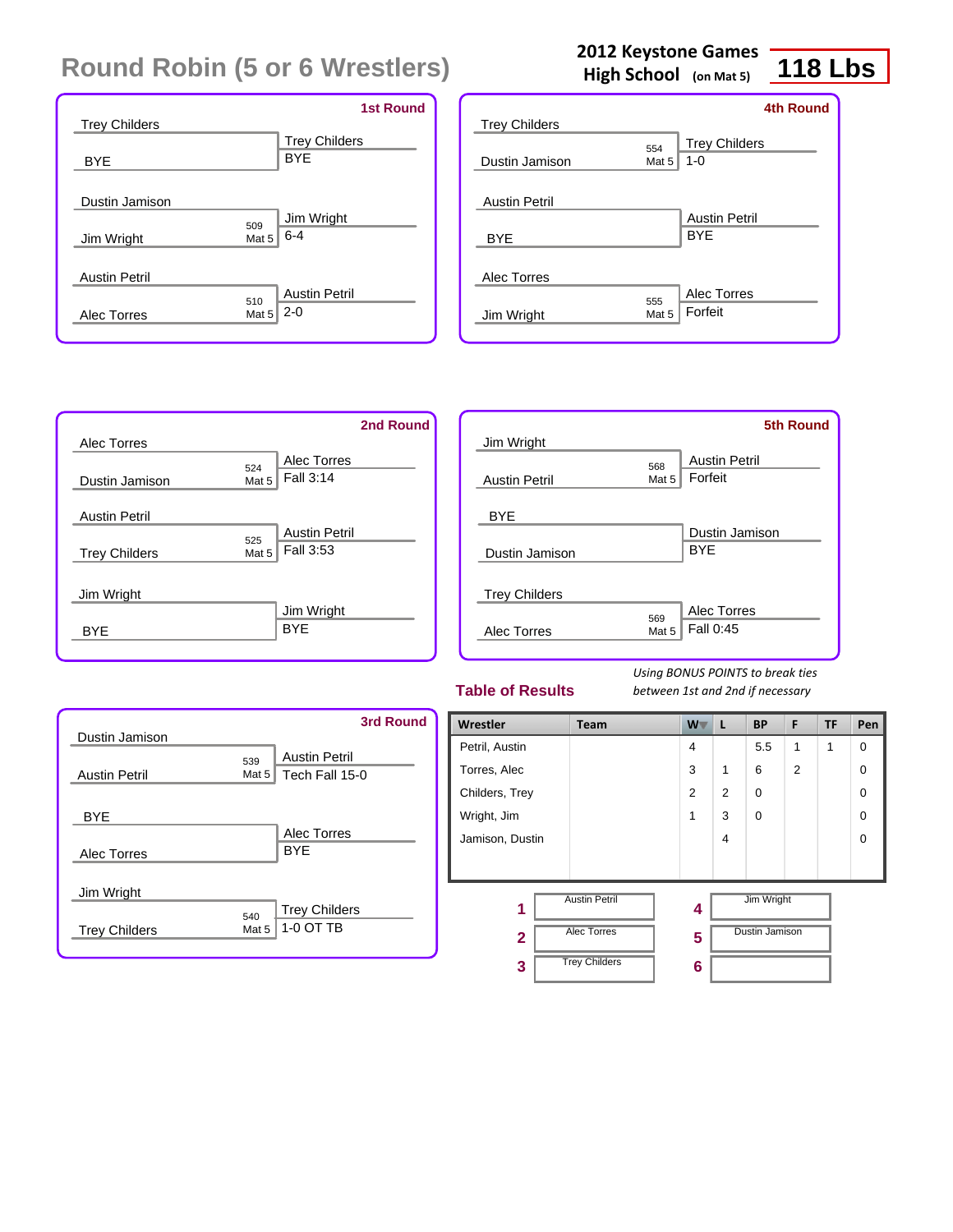|                      | <b>1st Round</b>            |
|----------------------|-----------------------------|
| <b>Trey Childers</b> |                             |
|                      | <b>Trey Childers</b>        |
| <b>BYE</b>           | <b>BYE</b>                  |
|                      |                             |
| Dustin Jamison       |                             |
|                      | Jim Wright<br>509           |
| Jim Wright           | $6 - 4$<br>Mat 5            |
|                      |                             |
| <b>Austin Petril</b> |                             |
|                      | <b>Austin Petril</b><br>510 |
| Alec Torres          | $2 - 0$<br>Mat <sub>5</sub> |
|                      |                             |

### **2012 Keystone Games**

**High School (on Mat 5)**

# **118 Lbs**

|                      |              | <b>4th Round</b>                |
|----------------------|--------------|---------------------------------|
| <b>Trey Childers</b> |              |                                 |
| Dustin Jamison       | 554<br>Mat 5 | <b>Trey Childers</b><br>$1 - 0$ |
| <b>Austin Petril</b> |              | <b>Austin Petril</b>            |
| <b>BYE</b>           |              | <b>BYF</b>                      |
| Alec Torres          |              |                                 |
|                      | 555          | Alec Torres                     |
| Jim Wright           | Mat 5        | Forfeit                         |
|                      |              |                                 |

|                      |       |                      | 2nd Round |
|----------------------|-------|----------------------|-----------|
| Alec Torres          |       |                      |           |
|                      | 524   | Alec Torres          |           |
| Dustin Jamison       | Mat 5 | Fall 3:14            |           |
| <b>Austin Petril</b> |       |                      |           |
|                      | 525   | <b>Austin Petril</b> |           |
| <b>Trey Childers</b> | Mat 5 | Fall 3:53            |           |
|                      |       |                      |           |
| Jim Wright           |       |                      |           |
|                      |       | Jim Wright           |           |
| <b>BYF</b>           |       | <b>BYE</b>           |           |
|                      |       |                      |           |

|                      |       | <b>5th Round</b>     |
|----------------------|-------|----------------------|
| Jim Wright           |       |                      |
|                      | 568   | <b>Austin Petril</b> |
| <b>Austin Petril</b> | Mat 5 | Forfeit              |
|                      |       |                      |
| <b>BYE</b>           |       |                      |
|                      |       | Dustin Jamison       |
| Dustin Jamison       |       | <b>BYE</b>           |
|                      |       |                      |
| <b>Trey Childers</b> |       |                      |
|                      | 569   | Alec Torres          |
| Alec Torres          | Mat 5 | Fall 0:45            |
|                      |       |                      |

#### **Table of Results**

| Dustin Jamison       |                | <b>3rd Round</b>                       |
|----------------------|----------------|----------------------------------------|
| <b>Austin Petril</b> | 539<br>Mat $5$ | <b>Austin Petril</b><br>Tech Fall 15-0 |
| <b>BYE</b>           |                | Alec Torres                            |
| Alec Torres          |                | <b>BYF</b>                             |
| Jim Wright           |                |                                        |
| <b>Trey Childers</b> | 540<br>Mat 5   | <b>Trey Childers</b><br>1-0 OT TB      |

| Wrestler        | Team                 | W              | L              | <b>BP</b>      | F | <b>TF</b> | Pen      |
|-----------------|----------------------|----------------|----------------|----------------|---|-----------|----------|
| Petril, Austin  |                      | $\overline{4}$ |                | 5.5            | 1 | 1         | $\Omega$ |
| Torres, Alec    |                      | 3              | 1              | 6              | 2 |           | $\Omega$ |
| Childers, Trey  |                      | 2              | $\overline{2}$ | $\Omega$       |   |           | $\Omega$ |
| Wright, Jim     |                      | 1              | 3              | $\Omega$       |   |           | $\Omega$ |
| Jamison, Dustin |                      |                | 4              |                |   |           | $\Omega$ |
|                 |                      |                |                |                |   |           |          |
| 1               | <b>Austin Petril</b> | 4              |                | Jim Wright     |   |           |          |
| $\mathbf{2}$    | <b>Alec Torres</b>   | 5              |                | Dustin Jamison |   |           |          |
| 3               | <b>Trey Childers</b> | 6              |                |                |   |           |          |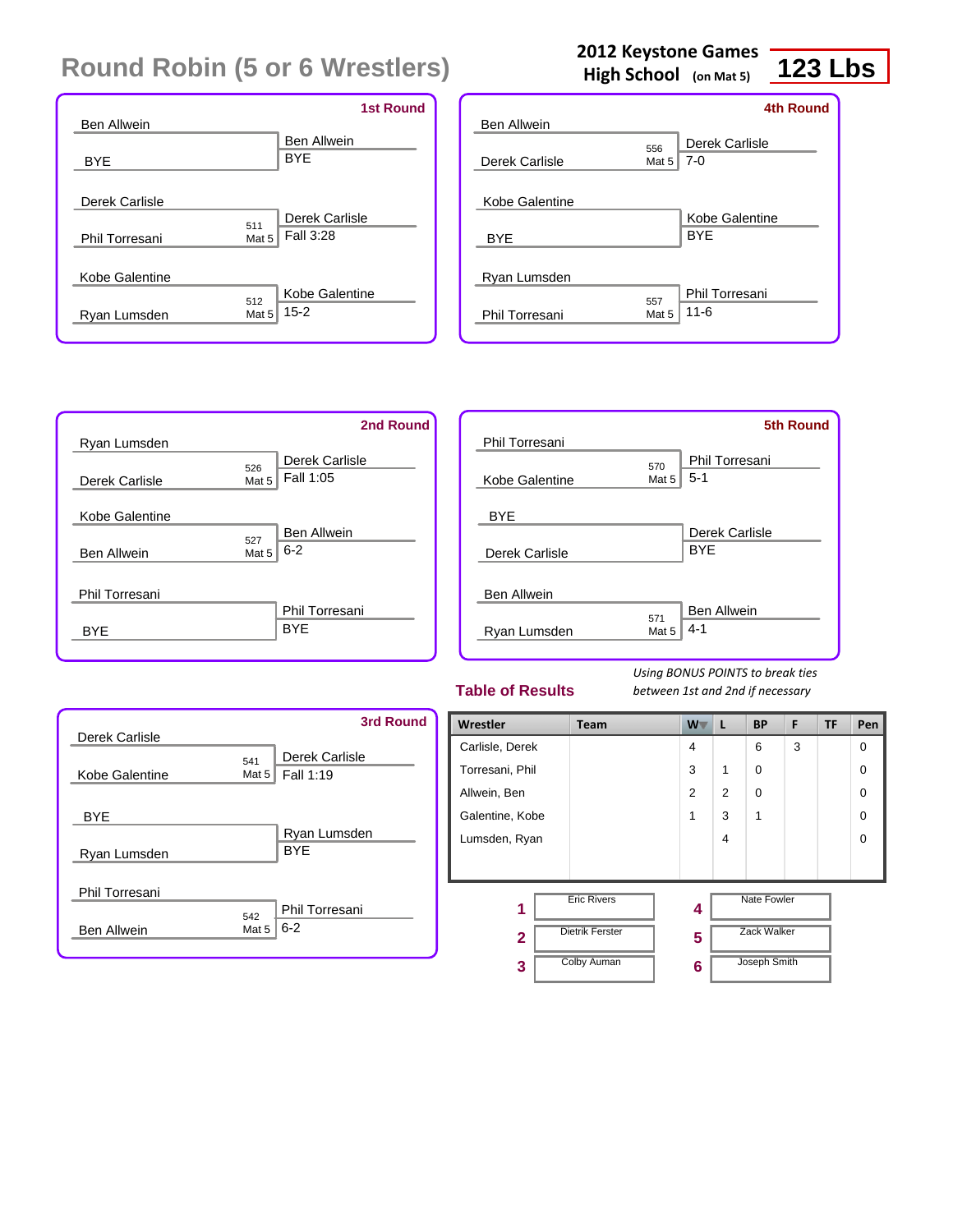|                    | <b>1st Round</b>   |
|--------------------|--------------------|
| <b>Ben Allwein</b> |                    |
|                    | <b>Ben Allwein</b> |
| <b>BYE</b>         | <b>BYE</b>         |
|                    |                    |
| Derek Carlisle     |                    |
| 511                | Derek Carlisle     |
| Phil Torresani     | Fall 3:28<br>Mat 5 |
|                    |                    |
| Kobe Galentine     |                    |
| 512                | Kobe Galentine     |
| Ryan Lumsden       | $15 - 2$<br>Mat 5  |
|                    |                    |

## **2012 Keystone Games**

**High School (on Mat 5)**

## **123 Lbs**

|                    |       | 4th Round                    |
|--------------------|-------|------------------------------|
| <b>Ben Allwein</b> |       |                              |
|                    | 556   | Derek Carlisle               |
| Derek Carlisle     | Mat 5 | $7-0$                        |
| Kobe Galentine     |       | Kobe Galentine<br><b>BYF</b> |
| <b>BYE</b>         |       |                              |
| Ryan Lumsden       | 557   | Phil Torresani               |
| Phil Torresani     | Mat 5 | $11 - 6$                     |
|                    |       |                              |

|                    | 2nd Round                 |
|--------------------|---------------------------|
| Ryan Lumsden       |                           |
|                    | Derek Carlisle<br>526     |
| Derek Carlisle     | Fall 1:05<br>Mat 5        |
|                    |                           |
| Kobe Galentine     |                           |
|                    | <b>Ben Allwein</b><br>527 |
| <b>Ben Allwein</b> | $6 - 2$<br>Mat 5          |
|                    |                           |
| Phil Torresani     |                           |
|                    | Phil Torresani            |
| BYE                | <b>BYF</b>                |
|                    |                           |

|                    |       | <b>5th Round</b>   |
|--------------------|-------|--------------------|
| Phil Torresani     |       |                    |
|                    | 570   | Phil Torresani     |
| Kobe Galentine     | Mat 5 | $5-1$              |
| <b>BYE</b>         |       |                    |
|                    |       | Derek Carlisle     |
| Derek Carlisle     |       | <b>BYE</b>         |
|                    |       |                    |
| <b>Ben Allwein</b> |       |                    |
|                    | 571   | <b>Ben Allwein</b> |
| Ryan Lumsden       | Mat 5 | $4 - 1$            |
|                    |       |                    |

#### **Table of Results**

| Derek Carlisle                       | <b>3rd Round</b>                               |
|--------------------------------------|------------------------------------------------|
| Kobe Galentine                       | Derek Carlisle<br>541<br>Fall 1:19<br>Mat $52$ |
| <b>BYE</b><br>Ryan Lumsden           | Ryan Lumsden<br><b>BYE</b>                     |
| Phil Torresani<br><b>Ben Allwein</b> | Phil Torresani<br>542<br>$6 - 2$<br>Mat 5      |

| Wrestler        | Team                   | $W^-$          | L | <b>BP</b>          | F | <b>TF</b> | Pen      |
|-----------------|------------------------|----------------|---|--------------------|---|-----------|----------|
| Carlisle, Derek |                        | $\overline{4}$ |   | 6                  | 3 |           | $\Omega$ |
| Torresani, Phil |                        | 3              | 1 | 0                  |   |           | $\Omega$ |
| Allwein, Ben    |                        | 2              | 2 | $\Omega$           |   |           | $\Omega$ |
| Galentine, Kobe |                        | 1              | 3 | 1                  |   |           | $\Omega$ |
| Lumsden, Ryan   |                        |                | 4 |                    |   |           | $\Omega$ |
|                 |                        |                |   |                    |   |           |          |
| 1               | <b>Eric Rivers</b>     | 4              |   | <b>Nate Fowler</b> |   |           |          |
| $\overline{2}$  | <b>Dietrik Ferster</b> | 5              |   | <b>Zack Walker</b> |   |           |          |
| 3               | <b>Colby Auman</b>     | 6              |   | Joseph Smith       |   |           |          |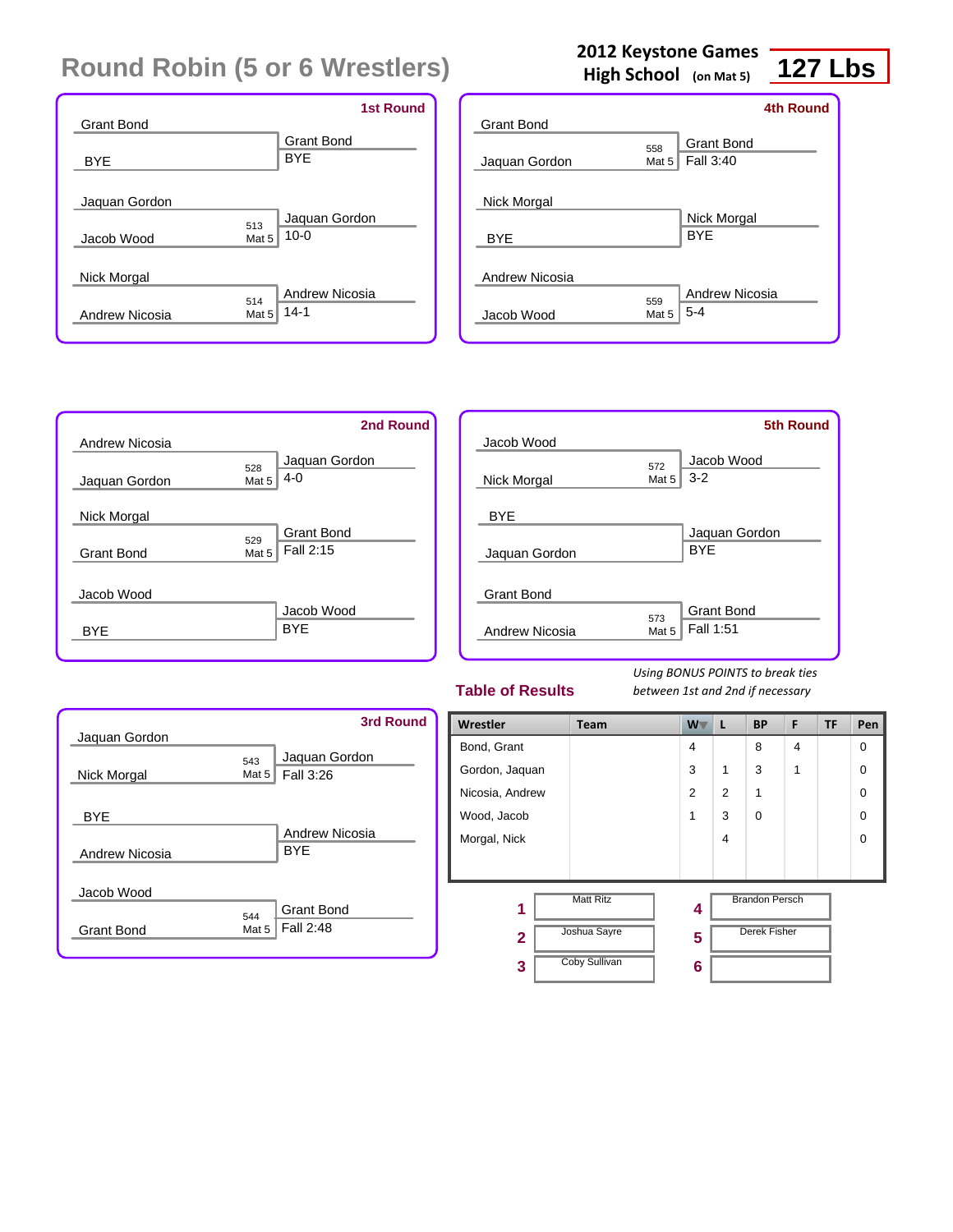| Grant Bond                    | <b>1st Round</b>                                |
|-------------------------------|-------------------------------------------------|
| <b>BYE</b>                    | <b>Grant Bond</b><br><b>BYE</b>                 |
| Jaquan Gordon<br>Jacob Wood   | Jaquan Gordon<br>513<br>$10 - 0$<br>Mat 5       |
| Nick Morgal<br>Andrew Nicosia | <b>Andrew Nicosia</b><br>514<br>$14-1$<br>Mat 5 |

| Grant Bond     |                         | <b>4th Round</b>                 |
|----------------|-------------------------|----------------------------------|
| Jaquan Gordon  | 558<br>Mat 5            | <b>Grant Bond</b><br>Fall 3:40   |
| Nick Morgal    |                         | Nick Morgal                      |
| <b>BYE</b>     |                         | <b>BYF</b>                       |
| Andrew Nicosia |                         |                                  |
| Jacob Wood     | 559<br>Mat <sub>5</sub> | <b>Andrew Nicosia</b><br>$5 - 4$ |

**2012 Keystone Games High School (on Mat 5)**



|                |       | <b>5th Round</b>  |
|----------------|-------|-------------------|
| Jacob Wood     |       |                   |
|                | 572   | Jacob Wood        |
| Nick Morgal    | Mat 5 | $3 - 2$           |
|                |       |                   |
| <b>BYE</b>     |       |                   |
|                |       | Jaquan Gordon     |
| Jaquan Gordon  |       | <b>BYE</b>        |
|                |       |                   |
| Grant Bond     |       |                   |
|                | 573   | <b>Grant Bond</b> |
| Andrew Nicosia | Mat 5 | Fall 1:51         |
|                |       |                   |

#### **Table of Results**

*Using BONUS POINTS to break ties between 1st and 2nd if necessary*

| Jaquan Gordon     |                 | <b>3rd Round</b>               |
|-------------------|-----------------|--------------------------------|
| Nick Morgal       | 543<br>Mat $52$ | Jaquan Gordon<br>Fall 3:26     |
| <b>BYE</b>        |                 |                                |
| Andrew Nicosia    |                 | Andrew Nicosia<br><b>BYF</b>   |
| Jacob Wood        |                 |                                |
| <b>Grant Bond</b> | 544<br>Mat 5    | <b>Grant Bond</b><br>Fall 2:48 |

| Wrestler        | Team                 | W V | L              | <b>BP</b>             | F | TF | Pen |
|-----------------|----------------------|-----|----------------|-----------------------|---|----|-----|
| Bond, Grant     |                      | 4   |                | 8                     | 4 |    | 0   |
| Gordon, Jaquan  |                      | 3   | 1              | 3                     | 1 |    | 0   |
| Nicosia, Andrew |                      | 2   | $\overline{2}$ | 1                     |   |    | 0   |
| Wood, Jacob     |                      | 1   | 3              | $\Omega$              |   |    | 0   |
| Morgal, Nick    |                      |     | 4              |                       |   |    | 0   |
|                 |                      |     |                |                       |   |    |     |
| 1               | <b>Matt Ritz</b>     | 4   |                | <b>Brandon Persch</b> |   |    |     |
| $\mathbf{2}$    | Joshua Sayre         | 5   |                | <b>Derek Fisher</b>   |   |    |     |
| 3               | <b>Coby Sullivan</b> | 6   |                |                       |   |    |     |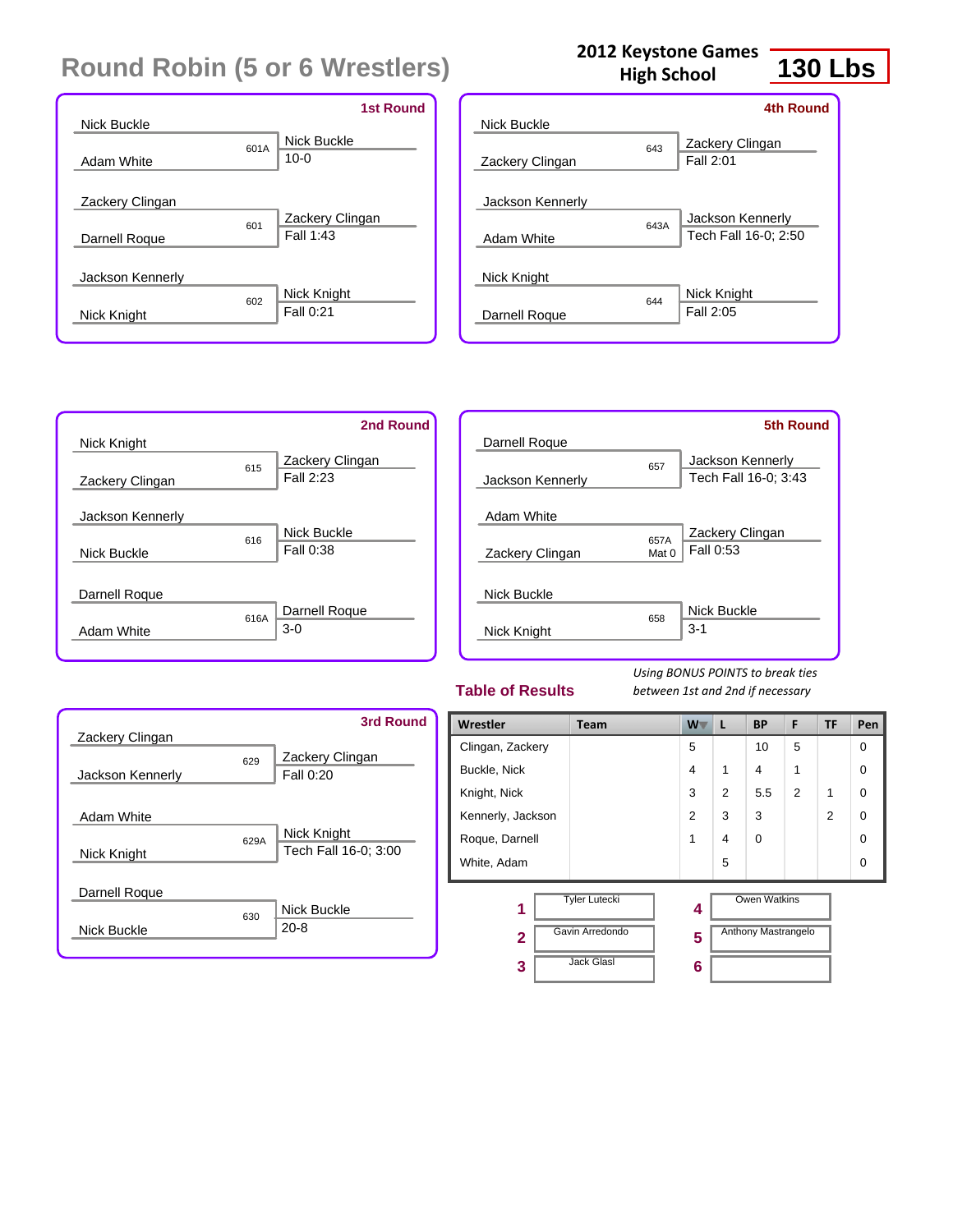|                  |      | <b>1st Round</b> |
|------------------|------|------------------|
| Nick Buckle      |      |                  |
|                  | 601A | Nick Buckle      |
| Adam White       |      | $10 - 0$         |
|                  |      |                  |
| Zackery Clingan  |      |                  |
|                  | 601  | Zackery Clingan  |
| Darnell Roque    |      | Fall 1:43        |
|                  |      |                  |
| Jackson Kennerly |      |                  |
|                  | 602  | Nick Knight      |
| Nick Knight      |      | Fall 0:21        |
|                  |      |                  |

| <b>2012 Keystone Games</b><br><b>High School</b> |     |
|--------------------------------------------------|-----|
|                                                  | 4tł |



|                  |      | <b>4th Round</b>                         |
|------------------|------|------------------------------------------|
| Nick Buckle      |      |                                          |
| Zackery Clingan  | 643  | Zackery Clingan<br>Fall 2:01             |
| Jackson Kennerly |      |                                          |
| Adam White       | 643A | Jackson Kennerly<br>Tech Fall 16-0; 2:50 |
| Nick Knight      | 644  | Nick Knight                              |
| Darnell Roque    |      | Fall 2:05                                |

|                  |      | 2nd Round              |
|------------------|------|------------------------|
| Nick Knight      | 615  | Zackery Clingan        |
| Zackery Clingan  |      | Fall 2:23              |
| Jackson Kennerly |      |                        |
|                  | 616  | Nick Buckle            |
| Nick Buckle      |      | Fall 0:38              |
| Darnell Roque    |      |                        |
| Adam White       | 616A | Darnell Roque<br>$3-0$ |
|                  |      |                        |

| Darnell Roque    |               | 5th Round                                |
|------------------|---------------|------------------------------------------|
| Jackson Kennerly | 657           | Jackson Kennerly<br>Tech Fall 16-0; 3:43 |
| Adam White       |               |                                          |
| Zackery Clingan  | 657A<br>Mat 0 | Zackery Clingan<br>Fall 0:53             |
| Nick Buckle      |               |                                          |
| Nick Knight      | 658           | Nick Buckle<br>$3 - 1$                   |

#### **Table of Results**

| Zackery Clingan  |      | 3rd Round                           |
|------------------|------|-------------------------------------|
| Jackson Kennerly | 629  | Zackery Clingan<br>Fall 0:20        |
| Adam White       |      |                                     |
| Nick Knight      | 629A | Nick Knight<br>Tech Fall 16-0; 3:00 |
| Darnell Roque    |      |                                     |
| Nick Buckle      | 630  | Nick Buckle<br>$20 - 8$             |

| Wrestler            | <b>Team</b>                             | W .            | L              | <b>BP</b>                                         | F              | <b>TF</b> | Pen      |
|---------------------|-----------------------------------------|----------------|----------------|---------------------------------------------------|----------------|-----------|----------|
| Clingan, Zackery    |                                         | 5              |                | 10                                                | 5              |           | $\Omega$ |
| Buckle, Nick        |                                         | 4              | $\mathbf 1$    | 4                                                 | 1              |           | 0        |
| Knight, Nick        |                                         | 3              | $\overline{2}$ | 5.5                                               | $\overline{2}$ | 1         | $\Omega$ |
| Kennerly, Jackson   |                                         | $\overline{2}$ | 3              | 3                                                 |                | 2         | 0        |
| Roque, Darnell      |                                         | 1              | 4              | 0                                                 |                |           | 0        |
| White, Adam         |                                         |                | 5              |                                                   |                |           | 0        |
| 1<br>$\overline{2}$ | <b>Tyler Lutecki</b><br>Gavin Arredondo | 4<br>5         |                | <b>Owen Watkins</b><br><b>Anthony Mastrangelo</b> |                |           |          |
| 3                   | <b>Jack Glasl</b>                       | 6              |                |                                                   |                |           |          |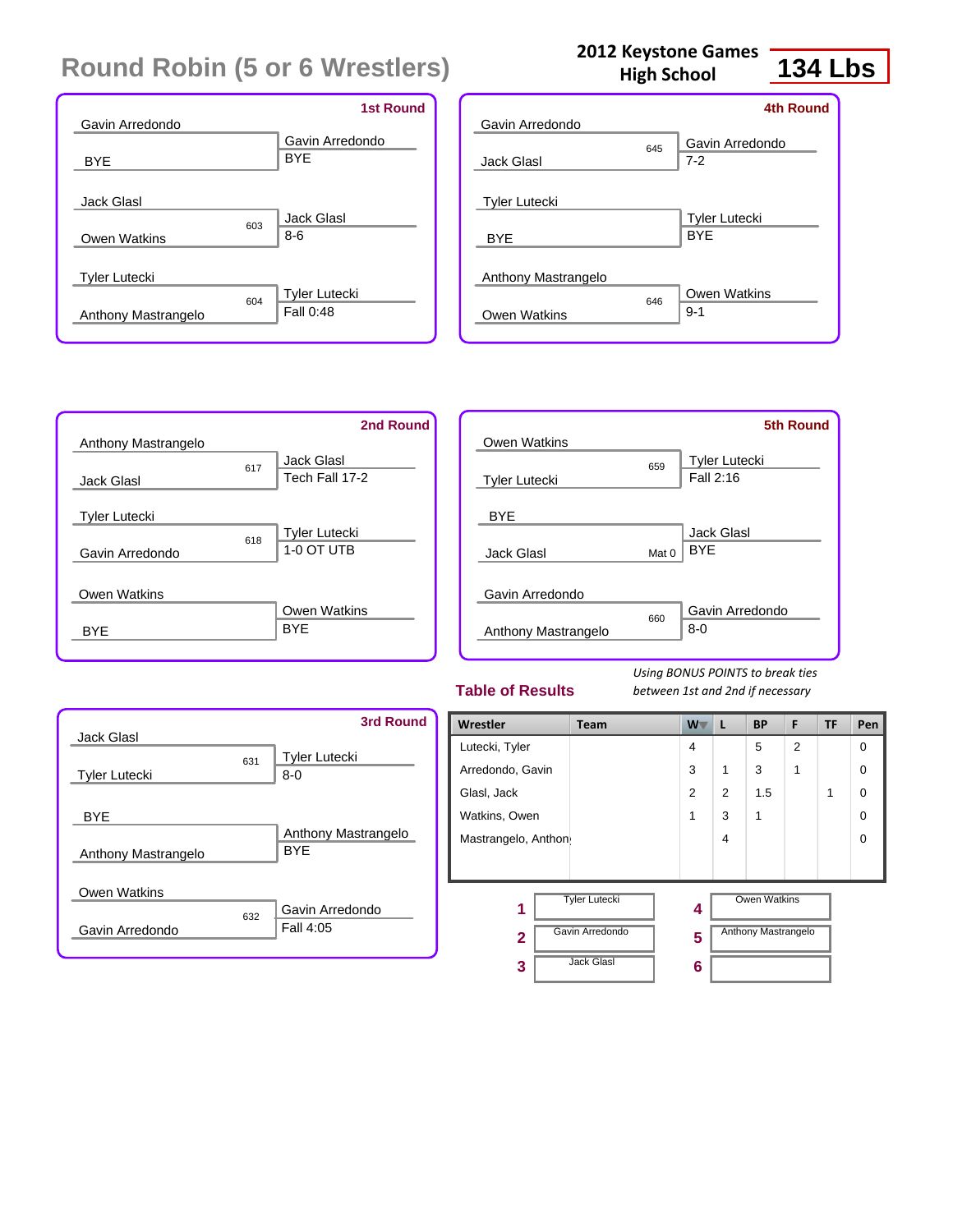| Gavin Arredondo                                    | <b>1st Round</b>                  |
|----------------------------------------------------|-----------------------------------|
| <b>BYE</b>                                         | Gavin Arredondo<br><b>BYE</b>     |
| <b>Jack Glasl</b><br>603<br>Owen Watkins           | Jack Glasl<br>$8-6$               |
| <b>Tyler Lutecki</b><br>604<br>Anthony Mastrangelo | <b>Tyler Lutecki</b><br>Fall 0:48 |

| Gavin Arredondo      |     | <b>4th Round</b>           |
|----------------------|-----|----------------------------|
| Jack Glasl           | 645 | Gavin Arredondo<br>$7 - 2$ |
| <b>Tyler Lutecki</b> |     | <b>Tyler Lutecki</b>       |
| <b>BYE</b>           |     | <b>BYF</b>                 |
| Anthony Mastrangelo  |     |                            |
| Owen Watkins         | 646 | Owen Watkins<br>$9 - 1$    |
|                      |     |                            |

**2012 Keystone Games High School**

|                      |     | 2nd Round            |
|----------------------|-----|----------------------|
| Anthony Mastrangelo  |     |                      |
|                      | 617 | Jack Glasl           |
| <b>Jack Glasl</b>    |     | Tech Fall 17-2       |
|                      |     |                      |
| <b>Tyler Lutecki</b> |     |                      |
|                      | 618 | <b>Tyler Lutecki</b> |
| Gavin Arredondo      |     | 1-0 OT UTB           |
|                      |     |                      |
| Owen Watkins         |     |                      |
|                      |     | <b>Owen Watkins</b>  |
| <b>BYE</b>           |     | <b>BYF</b>           |
|                      |     |                      |

|                      |       | <b>5th Round</b>                  |
|----------------------|-------|-----------------------------------|
| Owen Watkins         |       |                                   |
| <b>Tyler Lutecki</b> | 659   | <b>Tyler Lutecki</b><br>Fall 2:16 |
| <b>BYE</b>           |       |                                   |
| Jack Glasl           | Mat 0 | <b>Jack Glasl</b><br><b>BYF</b>   |
| Gavin Arredondo      |       |                                   |
| Anthony Mastrangelo  | 660   | Gavin Arredondo<br>$8 - 0$        |
|                      |       |                                   |

#### **Table of Results**

*Using BONUS POINTS to break ties between 1st and 2nd if necessary*

|                      |     | <b>3rd Round</b>     |
|----------------------|-----|----------------------|
| <b>Jack Glasl</b>    |     |                      |
|                      | 631 | <b>Tyler Lutecki</b> |
| <b>Tyler Lutecki</b> |     | $8 - 0$              |
|                      |     |                      |
| <b>BYE</b>           |     |                      |
|                      |     | Anthony Mastrangelo  |
| Anthony Mastrangelo  |     | <b>BYF</b>           |
|                      |     |                      |
| Owen Watkins         |     |                      |
|                      | 632 | Gavin Arredondo      |
| Gavin Arredondo      |     | Fall 4:05            |
|                      |     |                      |

| Wrestler            | Team                 | <b>W</b>       | L              | <b>BP</b>                  | F              | <b>TF</b> | Pen |
|---------------------|----------------------|----------------|----------------|----------------------------|----------------|-----------|-----|
| Lutecki, Tyler      |                      | $\overline{4}$ |                | 5                          | $\overline{2}$ |           | 0   |
| Arredondo, Gavin    |                      | 3              | 1              | 3                          | 1              |           | 0   |
| Glasl, Jack         |                      | $\overline{2}$ | $\overline{2}$ | 1.5                        |                | 1         | 0   |
| Watkins, Owen       |                      | 1              | 3              | 1                          |                |           | 0   |
| Mastrangelo, Anthon |                      |                | $\overline{4}$ |                            |                |           | 0   |
|                     |                      |                |                |                            |                |           |     |
| 1                   | <b>Tyler Lutecki</b> | 4              |                | <b>Owen Watkins</b>        |                |           |     |
| $\overline{2}$      | Gavin Arredondo      | 5              |                | <b>Anthony Mastrangelo</b> |                |           |     |
| 3                   | <b>Jack Glasl</b>    | 6              |                |                            |                |           |     |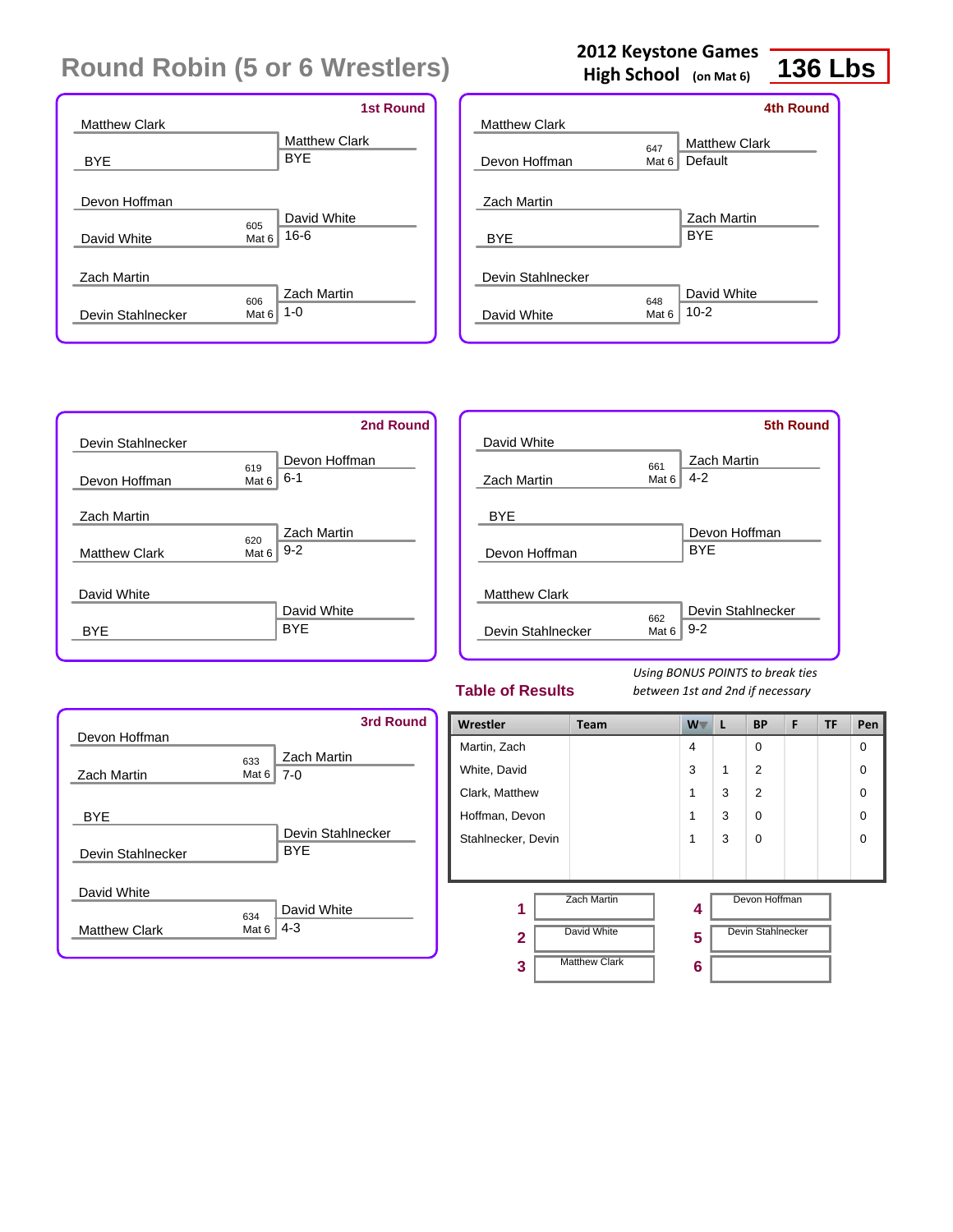|                      |       | <b>1st Round</b>     |
|----------------------|-------|----------------------|
| <b>Matthew Clark</b> |       |                      |
|                      |       | <b>Matthew Clark</b> |
| <b>BYE</b>           |       | <b>BYE</b>           |
|                      |       |                      |
| Devon Hoffman        |       |                      |
|                      | 605   | David White          |
| David White          | Mat 6 | $16 - 6$             |
|                      |       |                      |
| Zach Martin          |       |                      |
|                      | 606   | Zach Martin          |
| Devin Stahlnecker    | Mat 6 | $1 - 0$              |
|                      |       |                      |

|                      |              | High School (on Mat 6) | 136.             |  |
|----------------------|--------------|------------------------|------------------|--|
|                      |              |                        | <b>4th Round</b> |  |
| <b>Matthew Clark</b> |              |                        |                  |  |
|                      | 647          | <b>Matthew Clark</b>   |                  |  |
| Devon Hoffman        | Mat 6        | Default                |                  |  |
| <b>Zach Martin</b>   |              | Zach Martin            |                  |  |
| <b>BYE</b>           |              | <b>BYF</b>             |                  |  |
| Devin Stahlnecker    |              |                        |                  |  |
|                      |              | David White            |                  |  |
| David White          | 648<br>Mat 6 | $10-2$                 |                  |  |

**2012 Keystone Games**

|                      | 2nd Round            |  |
|----------------------|----------------------|--|
| Devin Stahlnecker    |                      |  |
|                      | Devon Hoffman<br>619 |  |
| Devon Hoffman        | $6 - 1$<br>Mat 6     |  |
| <b>Zach Martin</b>   |                      |  |
|                      | Zach Martin<br>620   |  |
| <b>Matthew Clark</b> | $9 - 2$<br>Mat 6     |  |
|                      |                      |  |
| David White          |                      |  |
|                      | David White          |  |
| <b>BYF</b>           | <b>BYE</b>           |  |
|                      |                      |  |

|                      |                  | <b>5th Round</b>   |
|----------------------|------------------|--------------------|
| David White          |                  |                    |
|                      | 661              | <b>Zach Martin</b> |
| Zach Martin          | Mat 6            | $4 - 2$            |
|                      |                  |                    |
| <b>BYE</b>           |                  |                    |
|                      |                  | Devon Hoffman      |
| Devon Hoffman        |                  | <b>BYE</b>         |
|                      |                  |                    |
| <b>Matthew Clark</b> |                  |                    |
|                      | 662              | Devin Stahlnecker  |
| Devin Stahlnecker    | Mat <sub>6</sub> | $9 - 2$            |
|                      |                  |                    |

#### **Table of Results**

*Using BONUS POINTS to break ties between 1st and 2nd if necessary*

| Devon Hoffman                       |                                             | 3rd Round         |
|-------------------------------------|---------------------------------------------|-------------------|
| Zach Martin                         | <b>Zach Martin</b><br>633<br>$7-0$<br>Mat 6 |                   |
| <b>BYE</b><br>Devin Stahlnecker     | <b>BYE</b>                                  | Devin Stahlnecker |
| David White<br><b>Matthew Clark</b> | David White<br>634<br>$4 - 3$<br>Mat 6      |                   |

| Wrestler           | Team                 | W              | L           | <b>BP</b>         | F | <b>TF</b> | Pen      |
|--------------------|----------------------|----------------|-------------|-------------------|---|-----------|----------|
| Martin, Zach       |                      | $\overline{4}$ |             | $\Omega$          |   |           | $\Omega$ |
| White, David       |                      | 3              | $\mathbf 1$ | $\overline{2}$    |   |           | $\Omega$ |
| Clark, Matthew     |                      | 1              | 3           | $\overline{2}$    |   |           | $\Omega$ |
| Hoffman, Devon     |                      | 1              | 3           | $\Omega$          |   |           | $\Omega$ |
| Stahlnecker, Devin |                      | 1              | 3           | $\Omega$          |   |           | $\Omega$ |
|                    |                      |                |             |                   |   |           |          |
| 1                  | <b>Zach Martin</b>   | 4              |             | Devon Hoffman     |   |           |          |
| $\overline{2}$     | <b>David White</b>   | 5              |             | Devin Stahlnecker |   |           |          |
| 3                  | <b>Matthew Clark</b> | 6              |             |                   |   |           |          |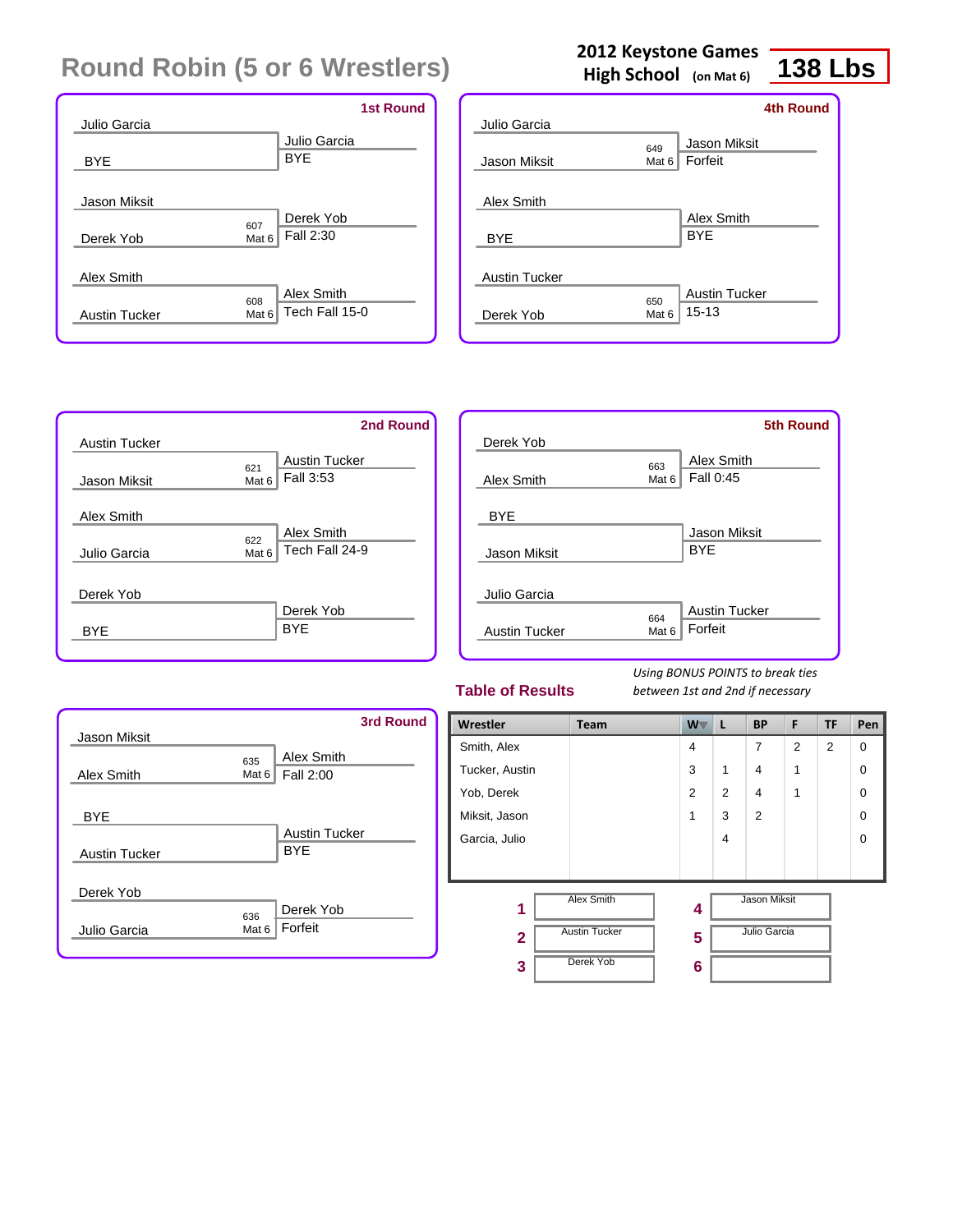|                                 | <b>1st Round</b> |
|---------------------------------|------------------|
| Julio Garcia                    |                  |
|                                 | Julio Garcia     |
| <b>BYE</b>                      | <b>BYE</b>       |
|                                 |                  |
| Jason Miksit                    |                  |
| 607                             | Derek Yob        |
| Derek Yob<br>Mat 6              | Fall 2:30        |
|                                 |                  |
| Alex Smith                      |                  |
| 608                             | Alex Smith       |
| Mat $6$<br><b>Austin Tucker</b> | Tech Fall 15-0   |
|                                 |                  |

|                      |              | <b>4th Round</b>     |
|----------------------|--------------|----------------------|
| Julio Garcia         |              |                      |
|                      | 649          | Jason Miksit         |
| Jason Miksit         | Mat 6        | Forfeit              |
| Alex Smith           |              | Alex Smith           |
| <b>BYE</b>           |              | <b>BYE</b>           |
| <b>Austin Tucker</b> |              |                      |
|                      |              | <b>Austin Tucker</b> |
| Derek Yob            | 650<br>Mat 6 | $15 - 13$            |
|                      |              |                      |

|                      | 2nd Round                     |
|----------------------|-------------------------------|
| <b>Austin Tucker</b> |                               |
|                      | <b>Austin Tucker</b><br>621   |
| Jason Miksit         | Fall 3:53<br>Mat <sub>6</sub> |
| Alex Smith           |                               |
|                      | Alex Smith<br>622             |
| Julio Garcia         | Tech Fall 24-9<br>Mat 6       |
|                      |                               |
| Derek Yob            |                               |
|                      | Derek Yob                     |
| <b>BYF</b>           | <b>BYF</b>                    |
|                      |                               |

|                            |              | <b>5th Round</b>                  |
|----------------------------|--------------|-----------------------------------|
| Derek Yob                  |              |                                   |
|                            | 663          | Alex Smith                        |
| Alex Smith                 | Mat 6        | Fall 0:45                         |
| <b>BYE</b><br>Jason Miksit |              | <b>Jason Miksit</b><br><b>BYE</b> |
| Julio Garcia               |              | <b>Austin Tucker</b>              |
| <b>Austin Tucker</b>       | 664<br>Mat 6 | Forfeit                           |

#### **Table of Results**

*Using BONUS POINTS to break ties between 1st and 2nd if necessary*

| Jason Miksit                       | <b>3rd Round</b>                          |
|------------------------------------|-------------------------------------------|
| Alex Smith                         | Alex Smith<br>635<br>Fall 2:00<br>Mat $6$ |
| <b>BYE</b><br><b>Austin Tucker</b> | Austin Tucker<br><b>BYF</b>               |
| Derek Yob<br>Julio Garcia          | Derek Yob<br>636<br>Forfeit<br>Mat 6      |

| Wrestler       | Team                 | W              | L              | <b>BP</b>      | F              | TF | Pen         |
|----------------|----------------------|----------------|----------------|----------------|----------------|----|-------------|
| Smith, Alex    |                      | $\overline{4}$ |                | 7              | $\overline{2}$ | 2  | $\mathbf 0$ |
| Tucker, Austin |                      | 3              | 1              | $\overline{4}$ | 1              |    | $\mathbf 0$ |
| Yob, Derek     |                      | 2              | $\overline{2}$ | $\overline{4}$ | 1              |    | $\Omega$    |
| Miksit, Jason  |                      | 1              | 3              | 2              |                |    | $\Omega$    |
| Garcia, Julio  |                      |                | 4              |                |                |    | $\Omega$    |
|                |                      |                |                |                |                |    |             |
| 1              | Alex Smith           | 4              |                | Jason Miksit   |                |    |             |
| $\overline{2}$ | <b>Austin Tucker</b> | 5              |                | Julio Garcia   |                |    |             |
| 3              | Derek Yob            | 6              |                |                |                |    |             |

### **2012 Keystone Games**

**138 Lbs**

**High School (on Mat 6)**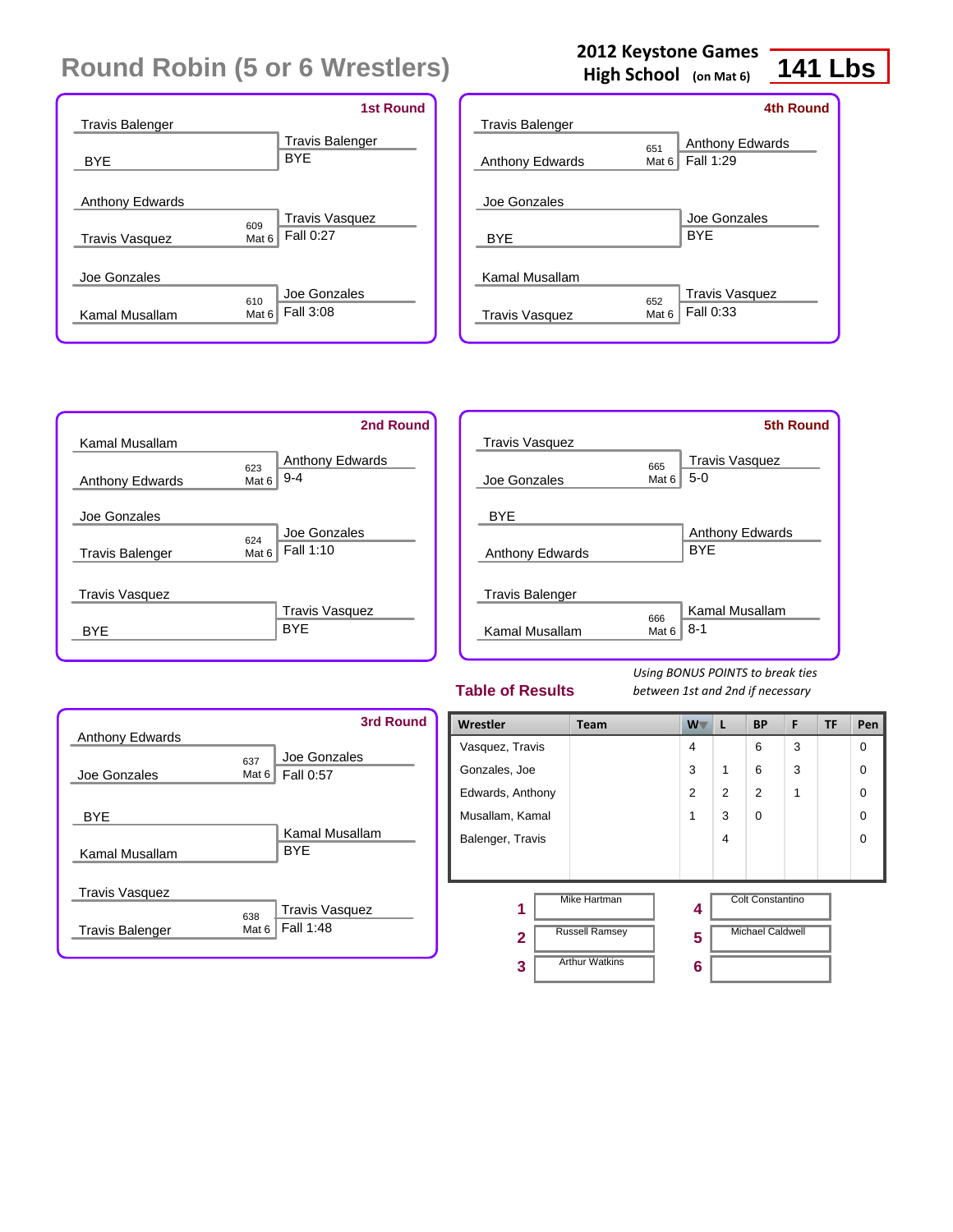| <b>Travis Balenger</b>                          | <b>1st Round</b>                                     |
|-------------------------------------------------|------------------------------------------------------|
| <b>BYF</b>                                      | <b>Travis Balenger</b><br><b>BYF</b>                 |
| <b>Anthony Edwards</b><br><b>Travis Vasquez</b> | <b>Travis Vasquez</b><br>609<br>Fall 0:27<br>Mat 6   |
| Joe Gonzales<br>Kamal Musallam                  | Joe Gonzales<br>610<br>Fall 3:08<br>Mat <sub>6</sub> |

### **2012 Keystone Games**

**High School (on Mat 6)**

# **141 Lbs**

|                                         |                         | 4th Round                           |
|-----------------------------------------|-------------------------|-------------------------------------|
| <b>Travis Balenger</b>                  |                         |                                     |
| <b>Anthony Edwards</b>                  | 651<br>Mat 6            | <b>Anthony Edwards</b><br>Fall 1:29 |
| Joe Gonzales<br><b>BYE</b>              |                         | Joe Gonzales<br><b>BYF</b>          |
| Kamal Musallam<br><b>Travis Vasquez</b> | 652<br>Mat <sub>6</sub> | <b>Travis Vasquez</b><br>Fall 0:33  |

|                        | 2nd Round                     |
|------------------------|-------------------------------|
| Kamal Musallam         |                               |
|                        | <b>Anthony Edwards</b><br>623 |
| <b>Anthony Edwards</b> | $9 - 4$<br>Mat 6              |
| Joe Gonzales           |                               |
|                        | Joe Gonzales                  |
| <b>Travis Balenger</b> | 624<br>Fall 1:10<br>Mat 6     |
| <b>Travis Vasquez</b>  |                               |
|                        | <b>Travis Vasquez</b>         |
| RYF                    | <b>BYF</b>                    |

|                        |                  | <b>5th Round</b>               |
|------------------------|------------------|--------------------------------|
| <b>Travis Vasquez</b>  |                  |                                |
| Joe Gonzales           | 665<br>Mat 6     | <b>Travis Vasquez</b><br>$5-0$ |
| <b>BYF</b>             |                  |                                |
|                        |                  | <b>Anthony Edwards</b>         |
| <b>Anthony Edwards</b> |                  | <b>BYF</b>                     |
|                        |                  |                                |
| <b>Travis Balenger</b> |                  |                                |
|                        | 666              | Kamal Musallam                 |
| Kamal Musallam         | Mat <sub>6</sub> | $8 - 1$                        |
|                        |                  |                                |

#### **Table of Results**

| <b>Anthony Edwards</b> | 3rd Round                                          |
|------------------------|----------------------------------------------------|
| Joe Gonzales           | Joe Gonzales<br>637<br><b>Fall 0:57</b><br>Mat $6$ |
| <b>BYF</b>             | Kamal Musallam                                     |
| Kamal Musallam         | <b>BYF</b>                                         |
| <b>Travis Vasquez</b>  |                                                    |
| <b>Travis Balenger</b> | <b>Travis Vasquez</b><br>638<br>Fall 1:48<br>Mat 6 |

| Wrestler         | <b>Team</b>           | W | L | <b>BP</b>               | F | TF | Pen |
|------------------|-----------------------|---|---|-------------------------|---|----|-----|
| Vasquez, Travis  |                       | 4 |   | 6                       | 3 |    | 0   |
| Gonzales, Joe    |                       | 3 | 1 | 6                       | 3 |    | 0   |
| Edwards, Anthony |                       | 2 | 2 | 2                       | 1 |    | 0   |
| Musallam, Kamal  |                       | 1 | 3 | $\Omega$                |   |    | 0   |
| Balenger, Travis |                       |   | 4 |                         |   |    | 0   |
|                  |                       |   |   |                         |   |    |     |
| 1                | <b>Mike Hartman</b>   | 4 |   | <b>Colt Constantino</b> |   |    |     |
| $\overline{2}$   | <b>Russell Ramsey</b> | 5 |   | <b>Michael Caldwell</b> |   |    |     |
| 3                | <b>Arthur Watkins</b> | 6 |   |                         |   |    |     |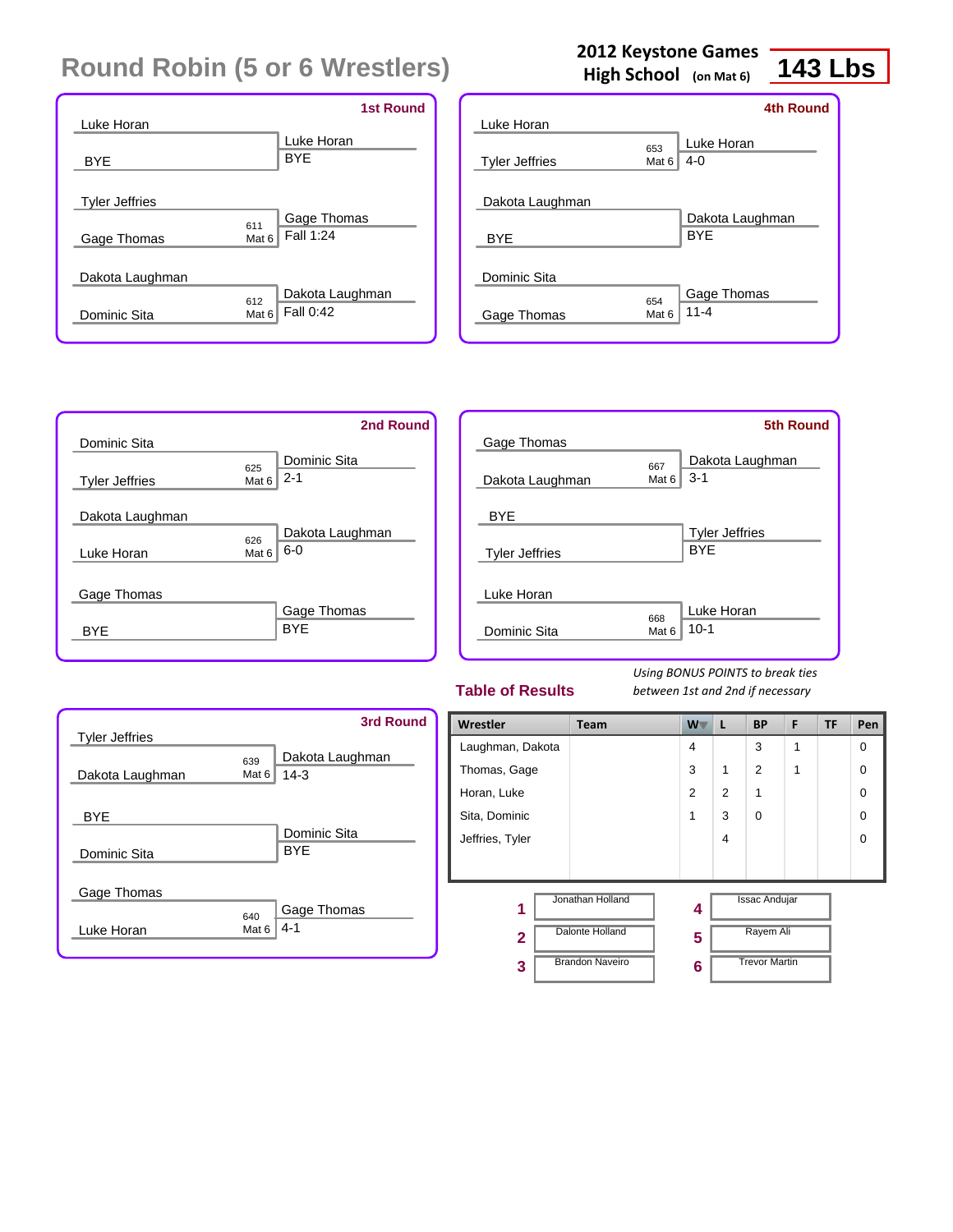|                       |                               | <b>1st Round</b> |
|-----------------------|-------------------------------|------------------|
| Luke Horan            |                               |                  |
|                       | Luke Horan                    |                  |
| <b>BYE</b>            | <b>BYF</b>                    |                  |
|                       |                               |                  |
| <b>Tyler Jeffries</b> |                               |                  |
|                       | Gage Thomas<br>611            |                  |
| Gage Thomas           | Fall 1:24<br>Mat <sub>6</sub> |                  |
|                       |                               |                  |
| Dakota Laughman       |                               |                  |
|                       | 612                           | Dakota Laughman  |
| Dominic Sita          | Fall 0:42<br>Mat <sub>6</sub> |                  |
|                       |                               |                  |

## **2012 Keystone Games**

**High School (on Mat 6)**

## **143 Lbs**

|                       |       | <b>4th Round</b> |
|-----------------------|-------|------------------|
| Luke Horan            |       |                  |
|                       | 653   | Luke Horan       |
| <b>Tyler Jeffries</b> | Mat 6 | $4 - 0$          |
|                       |       |                  |
| Dakota Laughman       |       |                  |
|                       |       | Dakota Laughman  |
| <b>BYE</b>            |       | <b>BYF</b>       |
|                       |       |                  |
| Dominic Sita          |       |                  |
|                       | 654   | Gage Thomas      |
| Gage Thomas           | Mat 6 | $11 - 4$         |
|                       |       |                  |

|                       | 2nd Round                   |
|-----------------------|-----------------------------|
| Dominic Sita          |                             |
|                       | Dominic Sita<br>625         |
| <b>Tyler Jeffries</b> | $2 - 1$<br>Mat 6            |
| Dakota Laughman       |                             |
|                       | Dakota Laughman<br>626      |
| Luke Horan            | $6 - 0$<br>Mat <sub>6</sub> |
|                       |                             |
| Gage Thomas           |                             |
|                       | Gage Thomas                 |
| BYF                   | <b>BYE</b>                  |

|                       |              | <b>5th Round</b>                    |
|-----------------------|--------------|-------------------------------------|
| Gage Thomas           |              |                                     |
| Dakota Laughman       | 667<br>Mat 6 | Dakota Laughman<br>$3 - 1$          |
| <b>BYE</b>            |              |                                     |
| <b>Tyler Jeffries</b> |              | <b>Tyler Jeffries</b><br><b>BYE</b> |
| Luke Horan            |              |                                     |
| Dominic Sita          | 668<br>Mat 6 | Luke Horan<br>$10 - 1$              |

#### **Table of Results**

| <b>Tyler Jeffries</b>       |                         | <b>3rd Round</b>           |
|-----------------------------|-------------------------|----------------------------|
| Dakota Laughman             | 639<br>Mat 6            | Dakota Laughman<br>$14-3$  |
| <b>BYE</b>                  |                         | Dominic Sita<br><b>BYE</b> |
| Dominic Sita<br>Gage Thomas |                         |                            |
| Luke Horan                  | 640<br>Mat <sub>6</sub> | Gage Thomas<br>$4 - 1$     |

| Wrestler                | <b>Team</b>            | W <sub>V</sub> | L              | <b>BP</b>            | F | <b>TF</b> | Pen      |
|-------------------------|------------------------|----------------|----------------|----------------------|---|-----------|----------|
| Laughman, Dakota        |                        | 4              |                | 3                    | 1 |           | $\Omega$ |
| Thomas, Gage            |                        | 3              | 1              | 2                    | 1 |           | $\Omega$ |
| Horan, Luke             |                        | 2              | 2              | 1                    |   |           | $\Omega$ |
| Sita, Dominic           |                        | 1              | 3              | $\mathbf 0$          |   |           | $\Omega$ |
| Jeffries, Tyler         |                        |                | $\overline{4}$ |                      |   |           | $\Omega$ |
|                         |                        |                |                |                      |   |           |          |
| 1                       | Jonathan Holland       | 4              |                | <b>Issac Andujar</b> |   |           |          |
| $\overline{\mathbf{2}}$ | <b>Dalonte Holland</b> | 5              |                | Rayem Ali            |   |           |          |
| 3                       | <b>Brandon Naveiro</b> | 6              |                | <b>Trevor Martin</b> |   |           |          |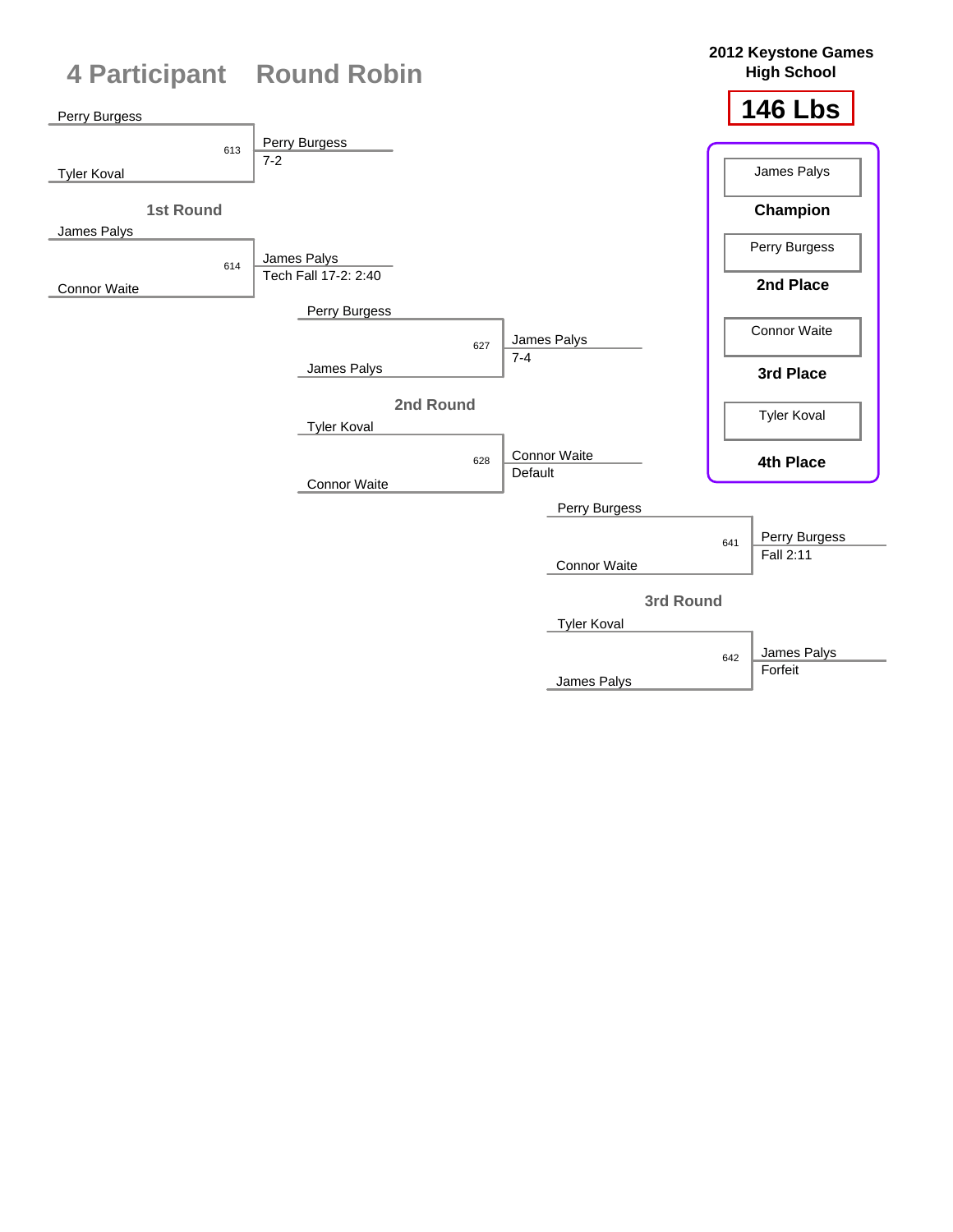

James Palys

Forfeit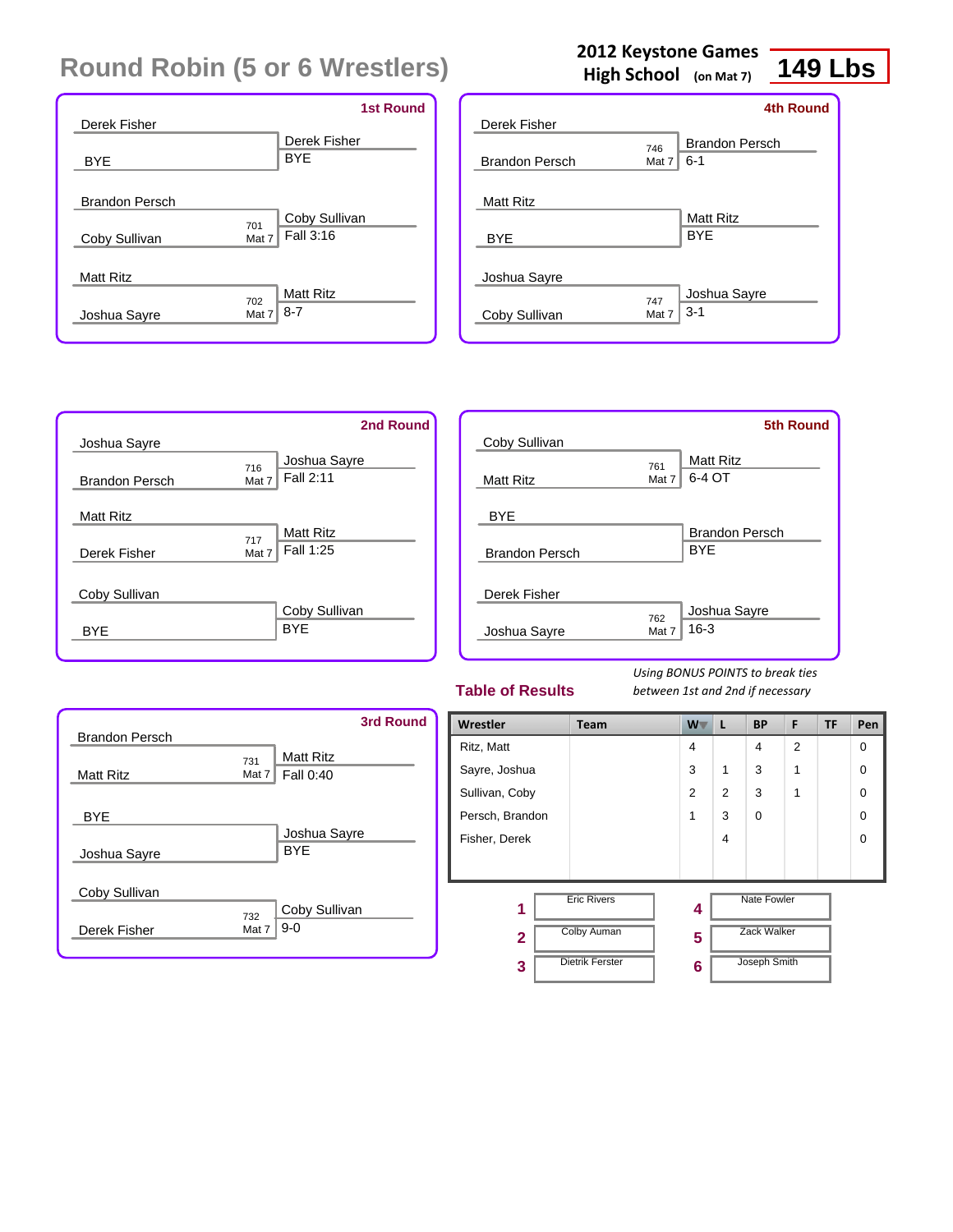|                       | <b>1st Round</b>        |
|-----------------------|-------------------------|
| Derek Fisher          |                         |
|                       | Derek Fisher            |
| <b>BYE</b>            | <b>BYE</b>              |
|                       |                         |
| <b>Brandon Persch</b> |                         |
|                       | Coby Sullivan<br>701    |
| Coby Sullivan         | Fall 3:16<br>Mat 7      |
|                       |                         |
| <b>Matt Ritz</b>      |                         |
|                       | <b>Matt Ritz</b><br>702 |
| Joshua Sayre          | $8 - 7$<br>Mat 7        |
|                       |                         |

## **2012 Keystone Games**

**High School (on Mat 7)**

## **149 Lbs**

|                       |       | <b>4th Round</b>      |
|-----------------------|-------|-----------------------|
| Derek Fisher          |       |                       |
|                       | 746   | <b>Brandon Persch</b> |
| <b>Brandon Persch</b> | Mat 7 | $6 - 1$               |
|                       |       |                       |
| <b>Matt Ritz</b>      |       |                       |
|                       |       | <b>Matt Ritz</b>      |
| <b>BYE</b>            |       | <b>BYE</b>            |
|                       |       |                       |
| Joshua Sayre          |       |                       |
|                       | 747   | Joshua Sayre          |
| Coby Sullivan         | Mat 7 | $3 - 1$               |
|                       |       |                       |

|                       | 2nd Round               |
|-----------------------|-------------------------|
| Joshua Sayre          |                         |
|                       | Joshua Sayre<br>716     |
| <b>Brandon Persch</b> | Fall 2:11<br>Mat 7      |
| <b>Matt Ritz</b>      |                         |
|                       | <b>Matt Ritz</b><br>717 |
| Derek Fisher          | Fall 1:25<br>Mat 7      |
| Coby Sullivan         |                         |
|                       | Coby Sullivan           |
| RYF                   | <b>BYF</b>              |

|                       |              | <b>5th Round</b>      |
|-----------------------|--------------|-----------------------|
| Coby Sullivan         |              | <b>Matt Ritz</b>      |
| <b>Matt Ritz</b>      | 761<br>Mat 7 | 6-4 OT                |
| <b>BYE</b>            |              |                       |
|                       |              | <b>Brandon Persch</b> |
| <b>Brandon Persch</b> |              | <b>BYF</b>            |
| Derek Fisher          |              |                       |
|                       | 762          | Joshua Sayre          |
| Joshua Sayre          | Mat 7        | $16 - 3$              |
|                       |              |                       |

#### **Table of Results**

| <b>Brandon Persch</b> | <b>3rd Round</b>                                 |
|-----------------------|--------------------------------------------------|
| <b>Matt Ritz</b>      | <b>Matt Ritz</b><br>731<br>Fall 0:40<br>Mat $71$ |
| <b>BYE</b>            |                                                  |
| Joshua Sayre          | Joshua Sayre<br><b>BYE</b>                       |
| Coby Sullivan         |                                                  |
| Derek Fisher          | Coby Sullivan<br>732<br>$9 - 0$<br>Mat 7         |

| Wrestler        | <b>Team</b>            | $W^-$          | L | <b>BP</b>          | F              | <b>TF</b> | Pen      |
|-----------------|------------------------|----------------|---|--------------------|----------------|-----------|----------|
| Ritz, Matt      |                        | $\overline{4}$ |   | 4                  | $\overline{2}$ |           | $\Omega$ |
| Sayre, Joshua   |                        | 3              | 1 | 3                  | 1              |           | $\Omega$ |
| Sullivan, Coby  |                        | 2              | 2 | 3                  | 1              |           | $\Omega$ |
| Persch, Brandon |                        | 1              | 3 | $\Omega$           |                |           | $\Omega$ |
| Fisher, Derek   |                        |                | 4 |                    |                |           | $\Omega$ |
|                 |                        |                |   |                    |                |           |          |
| 1               | <b>Eric Rivers</b>     | 4              |   | <b>Nate Fowler</b> |                |           |          |
| $\overline{2}$  | <b>Colby Auman</b>     | 5              |   | <b>Zack Walker</b> |                |           |          |
| 3               | <b>Dietrik Ferster</b> | 6              |   | Joseph Smith       |                |           |          |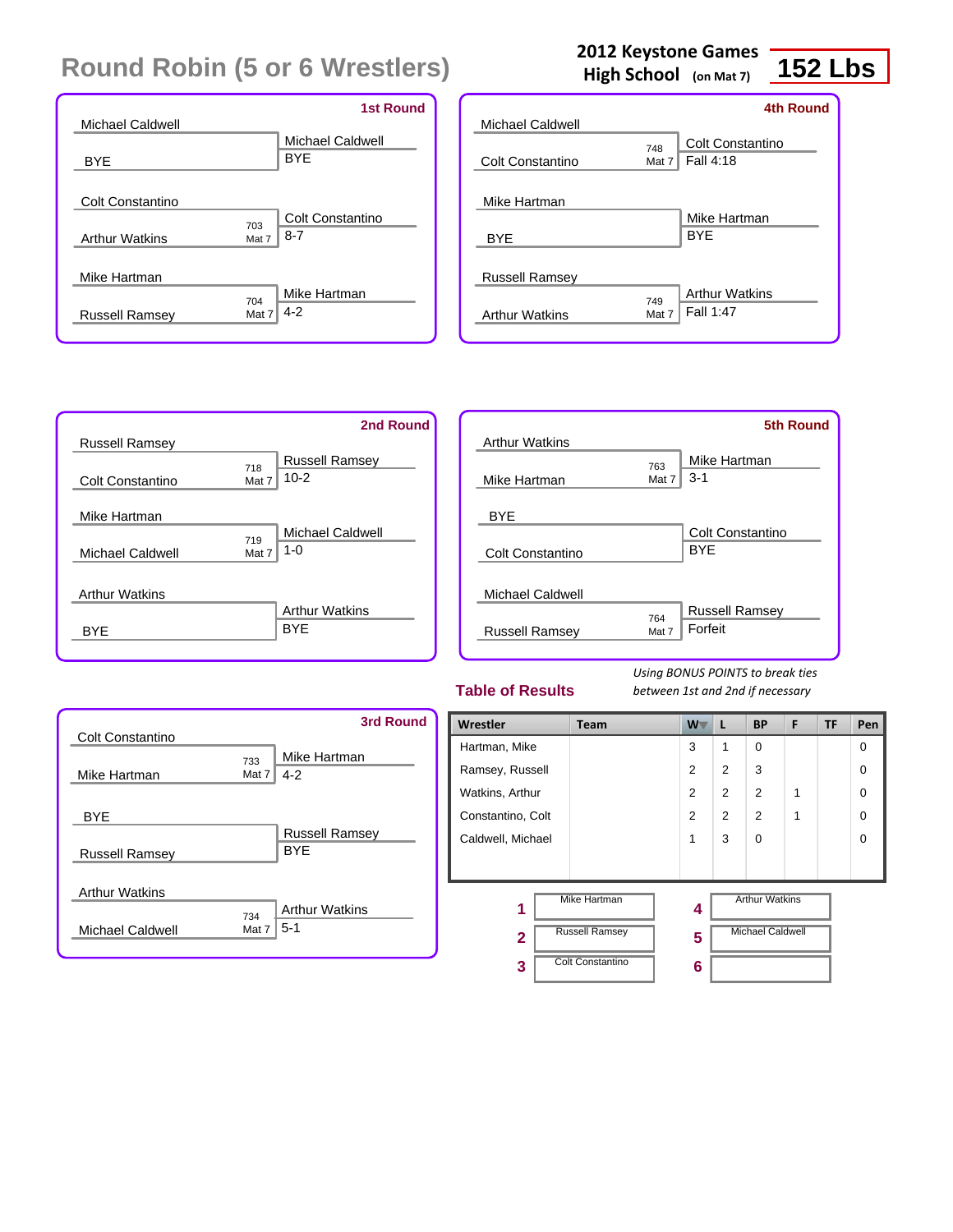|                                                  | <b>1st Round</b>                            |
|--------------------------------------------------|---------------------------------------------|
| Michael Caldwell                                 |                                             |
| BYE                                              | <b>Michael Caldwell</b><br><b>BYE</b>       |
| <b>Colt Constantino</b><br><b>Arthur Watkins</b> | Colt Constantino<br>703<br>$8 - 7$<br>Mat 7 |
| Mike Hartman<br><b>Russell Ramsey</b>            | Mike Hartman<br>704<br>$4 - 2$<br>Mat 7     |

### **2012 Keystone Games**

**High School (on Mat 7)**

## **152 Lbs**

|                                                |                | <b>4th Round</b>                   |
|------------------------------------------------|----------------|------------------------------------|
| Michael Caldwell                               |                |                                    |
| Colt Constantino                               | 748<br>Mat $7$ | Colt Constantino<br>Fall 4:18      |
| Mike Hartman<br>BYE                            |                | Mike Hartman<br><b>BYF</b>         |
| <b>Russell Ramsey</b><br><b>Arthur Watkins</b> | 749<br>Mat 7   | <b>Arthur Watkins</b><br>Fall 1:47 |



|                       |       | <b>5th Round</b>      |
|-----------------------|-------|-----------------------|
| <b>Arthur Watkins</b> |       |                       |
|                       | 763   | Mike Hartman          |
| Mike Hartman          | Mat 7 | $3 - 1$               |
|                       |       |                       |
| <b>BYE</b>            |       |                       |
|                       |       | Colt Constantino      |
| Colt Constantino      |       | <b>BYE</b>            |
|                       |       |                       |
| Michael Caldwell      |       |                       |
|                       | 764   | <b>Russell Ramsey</b> |
| <b>Russell Ramsey</b> | Mat 7 | Forfeit               |
|                       |       |                       |

#### **Table of Results**

| Colt Constantino        |              | 3rd Round                           |
|-------------------------|--------------|-------------------------------------|
| Mike Hartman            | 733<br>Mat 7 | Mike Hartman<br>$4 - 2$             |
| <b>BYE</b>              |              |                                     |
| <b>Russell Ramsey</b>   |              | <b>Russell Ramsey</b><br><b>BYF</b> |
| <b>Arthur Watkins</b>   |              |                                     |
| <b>Michael Caldwell</b> | 734<br>Mat 7 | <b>Arthur Watkins</b><br>$5-1$      |

| Wrestler          | Team                    | $W^-$          | L              | <b>BP</b>               | F | TF | Pen      |
|-------------------|-------------------------|----------------|----------------|-------------------------|---|----|----------|
| Hartman, Mike     |                         | 3              | 1              | $\Omega$                |   |    | $\Omega$ |
| Ramsey, Russell   |                         | 2              | 2              | 3                       |   |    | $\Omega$ |
| Watkins, Arthur   |                         | $\overline{2}$ | $\overline{2}$ | 2                       | 1 |    | $\Omega$ |
| Constantino, Colt |                         | $\overline{2}$ | $\overline{2}$ | $\overline{2}$          | 1 |    | $\Omega$ |
| Caldwell, Michael |                         | 1              | 3              | $\Omega$                |   |    | $\Omega$ |
|                   |                         |                |                |                         |   |    |          |
| 1                 | <b>Mike Hartman</b>     | 4              |                | <b>Arthur Watkins</b>   |   |    |          |
| $\mathbf{2}$      | <b>Russell Ramsey</b>   | 5              |                | <b>Michael Caldwell</b> |   |    |          |
| 3                 | <b>Colt Constantino</b> | 6              |                |                         |   |    |          |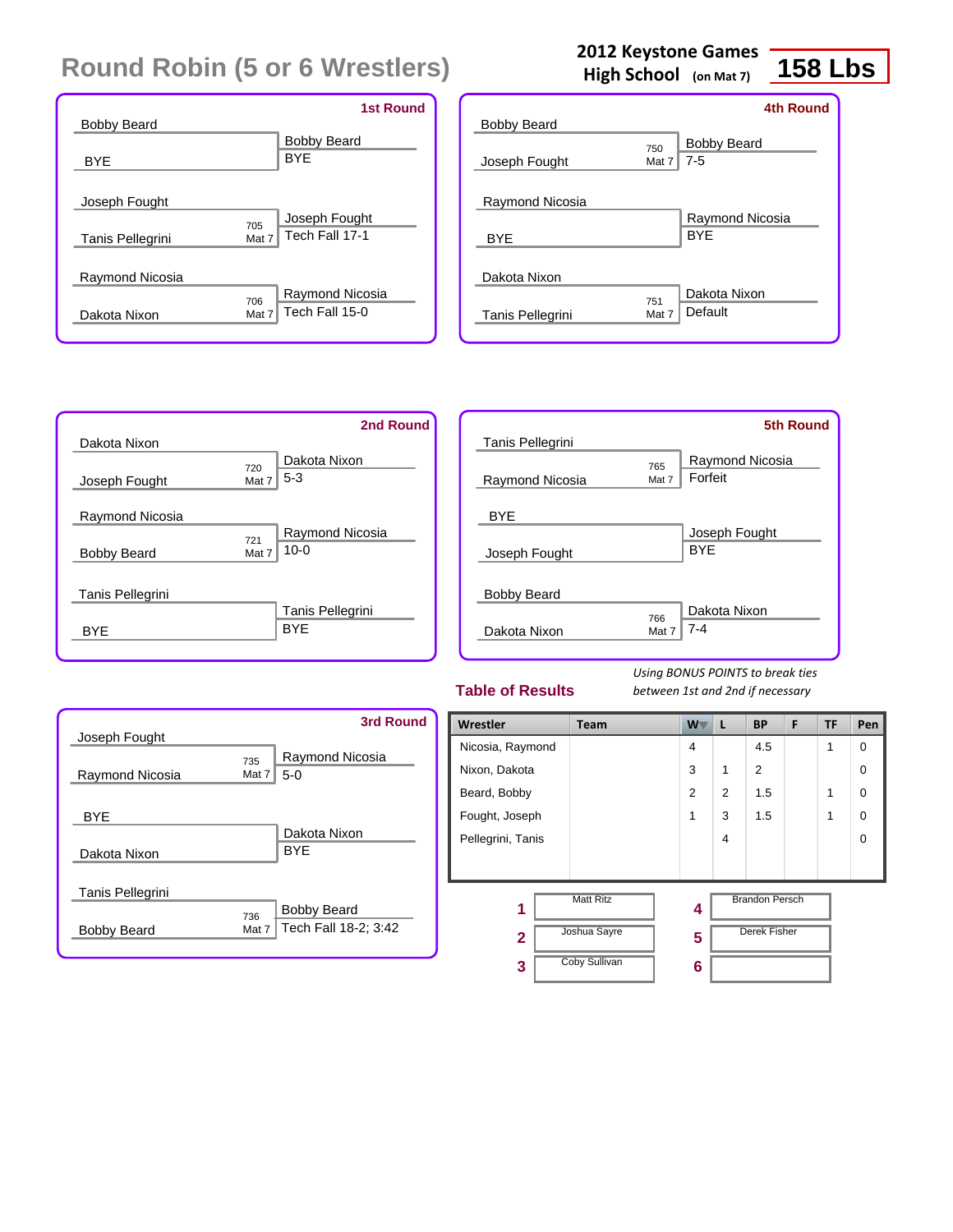|                         |       | <b>1st Round</b>   |
|-------------------------|-------|--------------------|
| <b>Bobby Beard</b>      |       |                    |
|                         |       | <b>Bobby Beard</b> |
| <b>BYE</b>              |       | <b>BYF</b>         |
|                         |       |                    |
| Joseph Fought           |       |                    |
|                         | 705   | Joseph Fought      |
| <b>Tanis Pellegrini</b> | Mat 7 | Tech Fall 17-1     |
|                         |       |                    |
| Raymond Nicosia         |       |                    |
|                         | 706   | Raymond Nicosia    |
| Dakota Nixon            | Mat 7 | Tech Fall 15-0     |
|                         |       |                    |

## **2012 Keystone Games**

**High School (on Mat 7)**

# **158 Lbs**

|                    |       | 4th Round          |
|--------------------|-------|--------------------|
| <b>Bobby Beard</b> |       |                    |
|                    | 750   | <b>Bobby Beard</b> |
| Joseph Fought      | Mat 7 | $7 - 5$            |
|                    |       |                    |
| Raymond Nicosia    |       |                    |
|                    |       | Raymond Nicosia    |
| <b>BYE</b>         |       | <b>BYF</b>         |
|                    |       |                    |
| Dakota Nixon       |       |                    |
|                    | 751   | Dakota Nixon       |
| Tanis Pellegrini   | Mat 7 | Default            |
|                    |       |                    |

|                    | 2nd Round              |
|--------------------|------------------------|
| Dakota Nixon       |                        |
|                    | Dakota Nixon<br>720    |
| Joseph Fought      | $5 - 3$<br>Mat 7       |
| Raymond Nicosia    |                        |
|                    | Raymond Nicosia<br>721 |
| <b>Bobby Beard</b> | $10 - 0$<br>Mat 7      |
| Tanis Pellegrini   |                        |
|                    | Tanis Pellegrini       |
| BYF                | <b>BYF</b>             |
|                    |                        |

|                                    |              | <b>5th Round</b>            |
|------------------------------------|--------------|-----------------------------|
| Tanis Pellegrini                   |              |                             |
|                                    | 765          | Raymond Nicosia             |
| Raymond Nicosia                    | Mat 7        | Forfeit                     |
| <b>BYE</b><br>Joseph Fought        |              | Joseph Fought<br><b>BYF</b> |
| <b>Bobby Beard</b><br>Dakota Nixon | 766<br>Mat 7 | Dakota Nixon<br>$7 - 4$     |
|                                    |              |                             |

#### **Table of Results**

| Joseph Fought      | 3rd Round                                                  |
|--------------------|------------------------------------------------------------|
| Raymond Nicosia    | Raymond Nicosia<br>735<br>$5-0$<br>Mat 7                   |
| <b>BYE</b>         | Dakota Nixon                                               |
| Dakota Nixon       | <b>BYF</b>                                                 |
| Tanis Pellegrini   |                                                            |
| <b>Bobby Beard</b> | <b>Bobby Beard</b><br>736<br>Tech Fall 18-2; 3:42<br>Mat 7 |

| Wrestler          | Team                 | W              | L              | <b>BP</b>             | F | <b>TF</b> | Pen         |
|-------------------|----------------------|----------------|----------------|-----------------------|---|-----------|-------------|
| Nicosia, Raymond  |                      | $\overline{4}$ |                | 4.5                   |   | 1         | $\mathbf 0$ |
| Nixon, Dakota     |                      | 3              | 1              | 2                     |   |           | $\Omega$    |
| Beard, Bobby      |                      | $\overline{2}$ | $\overline{2}$ | 1.5                   |   | 1         | $\Omega$    |
| Fought, Joseph    |                      | 1              | 3              | 1.5                   |   | 1         | $\Omega$    |
| Pellegrini, Tanis |                      |                | 4              |                       |   |           | $\Omega$    |
|                   |                      |                |                |                       |   |           |             |
| 1                 | <b>Matt Ritz</b>     | 4              |                | <b>Brandon Persch</b> |   |           |             |
| $\overline{2}$    | Joshua Sayre         | 5              |                | <b>Derek Fisher</b>   |   |           |             |
| 3                 | <b>Coby Sullivan</b> | 6              |                |                       |   |           |             |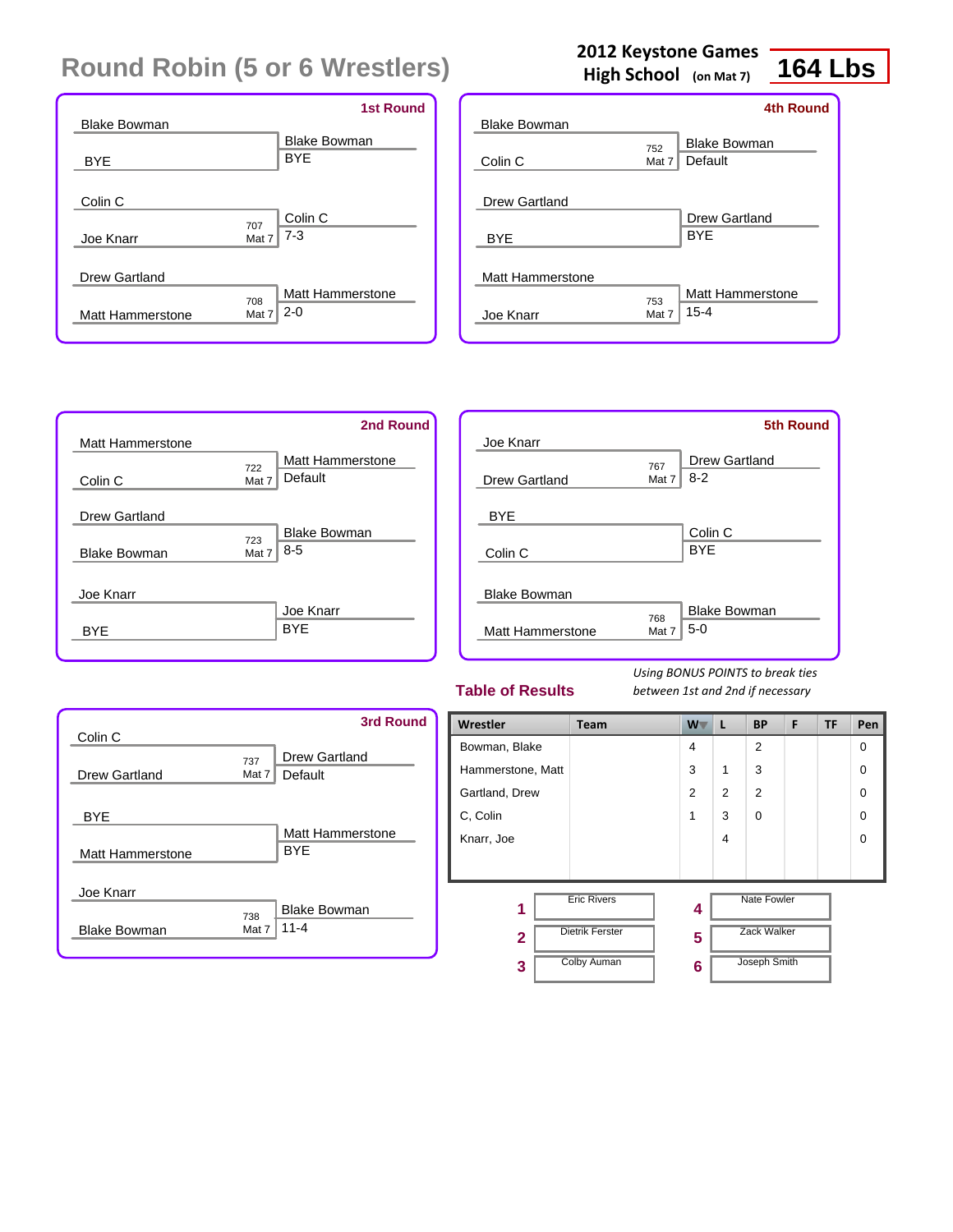|                     | <b>1st Round</b>               |
|---------------------|--------------------------------|
| <b>Blake Bowman</b> |                                |
|                     | <b>Blake Bowman</b>            |
| <b>BYE</b>          | <b>BYE</b>                     |
|                     |                                |
| Colin <sub>C</sub>  |                                |
|                     | Colin C<br>707                 |
| Joe Knarr           | $7 - 3$<br>Mat 7               |
|                     |                                |
| Drew Gartland       |                                |
|                     | <b>Matt Hammerstone</b><br>708 |
| Matt Hammerstone    | $2 - 0$<br>Mat 7               |
|                     |                                |

## **2012 Keystone Games**

**High School (on Mat 7)**

## **164 Lbs**

|                     |          | <b>4th Round</b>    |
|---------------------|----------|---------------------|
| <b>Blake Bowman</b> |          |                     |
|                     | 752      | <b>Blake Bowman</b> |
| Colin C             | Mat $71$ | Default             |
|                     |          |                     |
| Drew Gartland       |          |                     |
|                     |          | Drew Gartland       |
| <b>BYE</b>          |          | <b>BYF</b>          |
|                     |          |                     |
| Matt Hammerstone    |          |                     |
|                     | 753      | Matt Hammerstone    |
| Joe Knarr           | Mat 7    | $15 - 4$            |
|                     |          |                     |



|                         |       | <b>5th Round</b>     |
|-------------------------|-------|----------------------|
| Joe Knarr               |       |                      |
|                         | 767   | <b>Drew Gartland</b> |
| Drew Gartland           | Mat 7 | $8 - 2$              |
|                         |       |                      |
| <b>BYE</b>              |       |                      |
|                         |       | Colin <sub>C</sub>   |
| Colin C                 |       | <b>BYE</b>           |
|                         |       |                      |
| <b>Blake Bowman</b>     |       |                      |
|                         | 768   | <b>Blake Bowman</b>  |
| <b>Matt Hammerstone</b> | Mat 7 | $5-0$                |
|                         |       |                      |

#### **Table of Results**

| Colin C                 |                | 3rd Round                       |
|-------------------------|----------------|---------------------------------|
| Drew Gartland           | 737<br>Mat $7$ | Drew Gartland<br>Default        |
| <b>BYE</b>              |                | Matt Hammerstone                |
| <b>Matt Hammerstone</b> |                | <b>BYF</b>                      |
| Joe Knarr               |                |                                 |
| <b>Blake Bowman</b>     | 738<br>Mat 7   | <b>Blake Bowman</b><br>$11 - 4$ |

| Wrestler          | Team                   | $W^-$          | L              | <b>BP</b>          | F | <b>TF</b> | Pen         |
|-------------------|------------------------|----------------|----------------|--------------------|---|-----------|-------------|
| Bowman, Blake     |                        | $\overline{4}$ |                | $\overline{2}$     |   |           | $\mathbf 0$ |
| Hammerstone, Matt |                        | 3              | 1              | 3                  |   |           | $\Omega$    |
| Gartland, Drew    |                        | 2              | 2              | $\overline{2}$     |   |           | $\Omega$    |
| C, Colin          |                        | 1              | 3              | $\Omega$           |   |           | $\Omega$    |
| Knarr, Joe        |                        |                | $\overline{4}$ |                    |   |           | $\Omega$    |
|                   |                        |                |                |                    |   |           |             |
| 1                 | <b>Eric Rivers</b>     | 4              |                | <b>Nate Fowler</b> |   |           |             |
| 2                 | <b>Dietrik Ferster</b> | 5              |                | <b>Zack Walker</b> |   |           |             |
| 3                 | <b>Colby Auman</b>     | 6              |                | Joseph Smith       |   |           |             |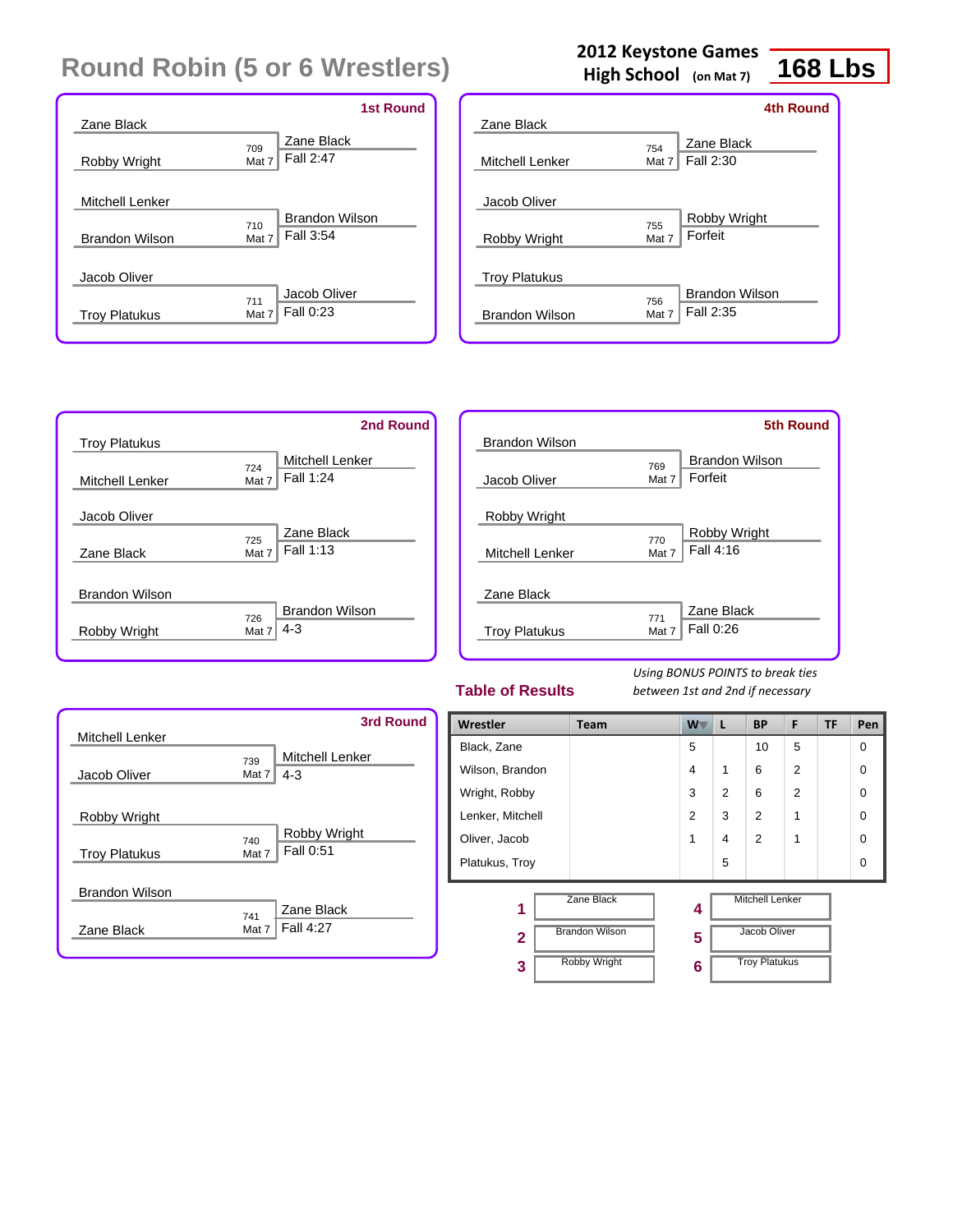|                       | <b>1st Round</b>                          |
|-----------------------|-------------------------------------------|
| Zane Black            |                                           |
| Robby Wright          | Zane Black<br>709<br>Fall 2:47<br>Mat 7   |
| Mitchell Lenker       | <b>Brandon Wilson</b>                     |
| <b>Brandon Wilson</b> | 710<br>Fall 3:54<br>Mat 7                 |
| Jacob Oliver          |                                           |
| <b>Troy Platukus</b>  | Jacob Oliver<br>711<br>Fall 0:23<br>Mat 7 |

## **2012 Keystone Games**

**High School (on Mat 7)**

## **168 Lbs**

|                       |       | 4th Round             |
|-----------------------|-------|-----------------------|
| Zane Black            |       |                       |
|                       | 754   | Zane Black            |
| Mitchell Lenker       | Mat 7 | Fall 2:30             |
| Jacob Oliver          |       |                       |
|                       | 755   | Robby Wright          |
| Robby Wright          | Mat 7 | Forfeit               |
| <b>Troy Platukus</b>  |       |                       |
|                       | 756   | <b>Brandon Wilson</b> |
| <b>Brandon Wilson</b> | Mat 7 | Fall 2:35             |
|                       |       |                       |

|                        | 2nd Round                     |
|------------------------|-------------------------------|
| <b>Troy Platukus</b>   |                               |
|                        | <b>Mitchell Lenker</b><br>724 |
| <b>Mitchell Lenker</b> | Fall 1:24<br>Mat 7            |
| Jacob Oliver           |                               |
|                        | Zane Black<br>725             |
| Zane Black             | Fall 1:13<br>Mat 7            |
| <b>Brandon Wilson</b>  |                               |
|                        | <b>Brandon Wilson</b><br>726  |
| Robby Wright           | $4 - 3$<br>Mat 7              |

|                        | <b>5th Round</b>             |  |
|------------------------|------------------------------|--|
| Brandon Wilson         |                              |  |
|                        | <b>Brandon Wilson</b><br>769 |  |
| Jacob Oliver           | Forfeit<br>Mat 7             |  |
|                        |                              |  |
| Robby Wright           |                              |  |
|                        | Robby Wright<br>770          |  |
| <b>Mitchell Lenker</b> | Fall 4:16<br>Mat 7           |  |
|                        |                              |  |
| Zane Black             |                              |  |
|                        | Zane Black<br>771            |  |
| <b>Troy Platukus</b>   | Fall 0:26<br>Mat 7           |  |
|                        |                              |  |

#### **Table of Results**

|                                      | <b>3rd Round</b>                              |
|--------------------------------------|-----------------------------------------------|
| <b>Mitchell Lenker</b>               |                                               |
| Jacob Oliver                         | <b>Mitchell Lenker</b><br>739<br>4-3<br>Mat 7 |
| Robby Wright<br><b>Troy Platukus</b> | Robby Wright<br>740<br>Fall 0:51<br>Mat 7     |
| <b>Brandon Wilson</b><br>Zane Black  | Zane Black<br>741<br>Fall 4:27<br>Mat 7       |

| Wrestler         | <b>Team</b>                         | <b>W</b> | L              | <b>BP</b>                              | F              | TF | Pen      |
|------------------|-------------------------------------|----------|----------------|----------------------------------------|----------------|----|----------|
| Black, Zane      |                                     | 5        |                | 10                                     | 5              |    | 0        |
| Wilson, Brandon  |                                     | 4        | 1              | 6                                      | $\overline{2}$ |    | 0        |
| Wright, Robby    |                                     | 3        | $\overline{2}$ | 6                                      | $\overline{2}$ |    | $\Omega$ |
| Lenker, Mitchell |                                     | 2        | 3              | 2                                      | 1              |    | $\Omega$ |
| Oliver, Jacob    |                                     | 1        | 4              | 2                                      | 1              |    | 0        |
| Platukus, Troy   |                                     |          | 5              |                                        |                |    | 0        |
| 1<br>2           | Zane Black<br><b>Brandon Wilson</b> | 4<br>5   |                | <b>Mitchell Lenker</b><br>Jacob Oliver |                |    |          |
| 3                | <b>Robby Wright</b>                 | 6        |                | <b>Troy Platukus</b>                   |                |    |          |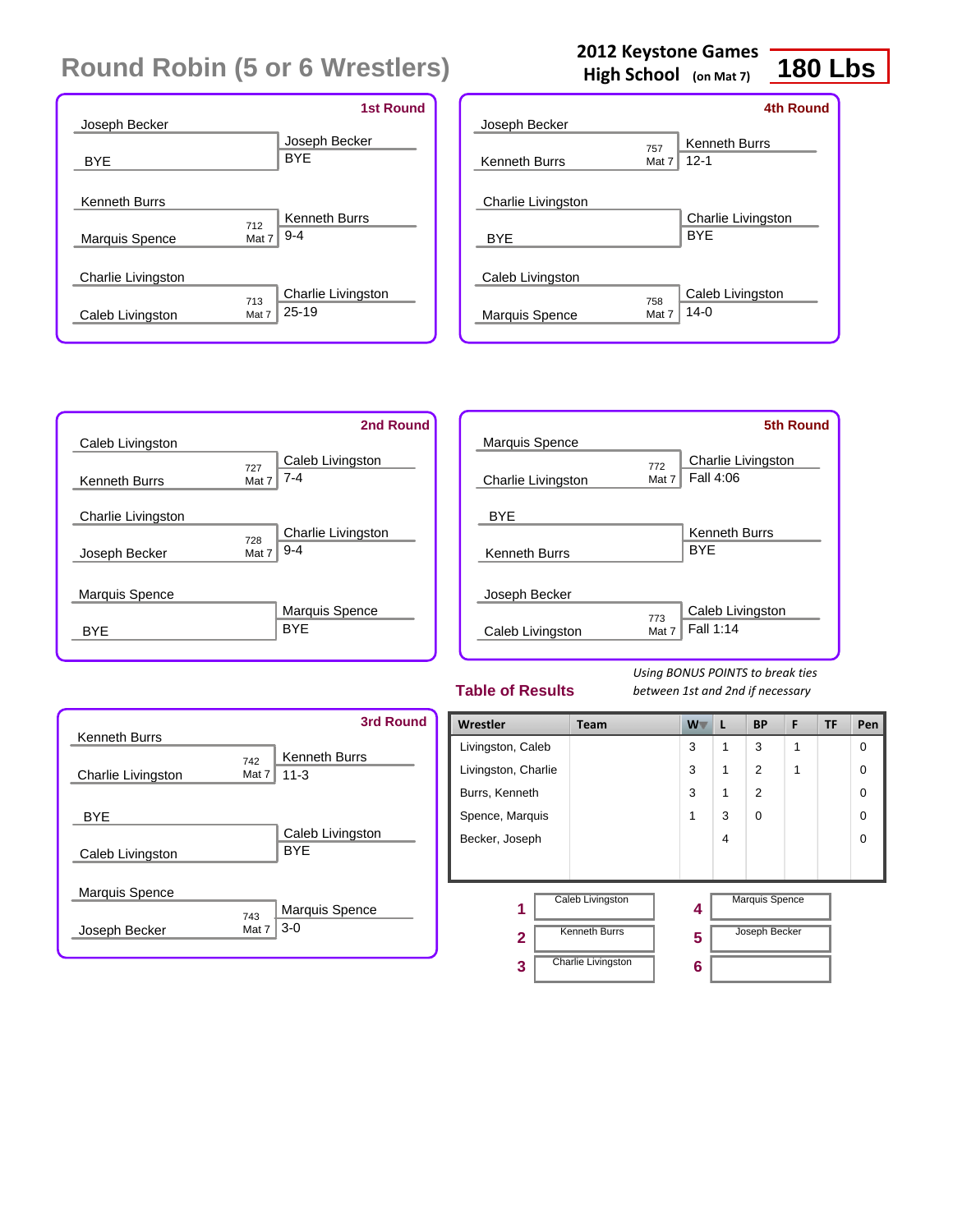|                           |       | <b>1st Round</b>          |
|---------------------------|-------|---------------------------|
| Joseph Becker             |       |                           |
|                           |       | Joseph Becker             |
| <b>BYE</b>                |       | <b>BYF</b>                |
|                           |       |                           |
| <b>Kenneth Burrs</b>      |       |                           |
|                           | 712   | <b>Kenneth Burrs</b>      |
| <b>Marquis Spence</b>     | Mat 7 | $9 - 4$                   |
|                           |       |                           |
| <b>Charlie Livingston</b> |       |                           |
|                           | 713   | <b>Charlie Livingston</b> |
| Caleb Livingston          | Mat 7 | $25 - 19$                 |
|                           |       |                           |

### **2012 Keystone Games**

**High School (on Mat 7)**

# **180 Lbs**

|                      |       | 4th Round            |
|----------------------|-------|----------------------|
| Joseph Becker        |       |                      |
|                      | 757   | <b>Kenneth Burrs</b> |
| <b>Kenneth Burrs</b> | Mat 7 | $12 - 1$             |
|                      |       |                      |
| Charlie Livingston   |       |                      |
|                      |       | Charlie Livingston   |
| <b>BYE</b>           |       | <b>BYF</b>           |
|                      |       |                      |
| Caleb Livingston     |       |                      |
|                      | 758   | Caleb Livingston     |
| Marquis Spence       | Mat 7 | $14-0$               |
|                      |       |                      |

|                      | 2nd Round                 |
|----------------------|---------------------------|
| Caleb Livingston     |                           |
|                      | Caleb Livingston<br>727   |
| <b>Kenneth Burrs</b> | $7 - 4$<br>Mat 7          |
| Charlie Livingston   |                           |
|                      | Charlie Livingston<br>728 |
| Joseph Becker        | $9 - 4$<br>Mat 7          |
| Marquis Spence       |                           |
|                      | <b>Marquis Spence</b>     |
| BYF                  | <b>BYF</b>                |
|                      |                           |

|                      |              | <b>5th Round</b>                       |
|----------------------|--------------|----------------------------------------|
| Marquis Spence       |              |                                        |
| Charlie Livingston   | 772<br>Mat 7 | <b>Charlie Livingston</b><br>Fall 4:06 |
| BYE                  |              |                                        |
| <b>Kenneth Burrs</b> |              | <b>Kenneth Burrs</b><br><b>BYF</b>     |
|                      |              |                                        |
| Joseph Becker        |              |                                        |
| Caleb Livingston     | 773<br>Mat 7 | Caleb Livingston<br>Fall 1:14          |
|                      |              |                                        |

#### **Table of Results**

| <b>Kenneth Burrs</b>           |              | <b>3rd Round</b>                 |
|--------------------------------|--------------|----------------------------------|
| Charlie Livingston             | 742<br>Mat 7 | <b>Kenneth Burrs</b><br>$11 - 3$ |
| <b>BYE</b><br>Caleb Livingston |              | Caleb Livingston<br><b>BYF</b>   |
| Marquis Spence                 |              | Marquis Spence                   |
| Joseph Becker                  | 743<br>Mat 7 | $3-0$                            |

| Wrestler            | <b>Team</b>               | W | L | <b>BP</b>             | F | TF | Pen      |
|---------------------|---------------------------|---|---|-----------------------|---|----|----------|
| Livingston, Caleb   |                           | 3 | 1 | 3                     | 1 |    | $\Omega$ |
| Livingston, Charlie |                           | 3 | 1 | 2                     | 1 |    | $\Omega$ |
| Burrs, Kenneth      |                           | 3 | 1 | 2                     |   |    | $\Omega$ |
| Spence, Marquis     |                           | 1 | 3 | $\Omega$              |   |    | $\Omega$ |
| Becker, Joseph      |                           |   | 4 |                       |   |    | $\Omega$ |
|                     |                           |   |   |                       |   |    |          |
| 1                   | Caleb Livingston          | 4 |   | <b>Marquis Spence</b> |   |    |          |
| $\mathbf{2}$        | <b>Kenneth Burrs</b>      | 5 |   | Joseph Becker         |   |    |          |
| 3                   | <b>Charlie Livingston</b> | 6 |   |                       |   |    |          |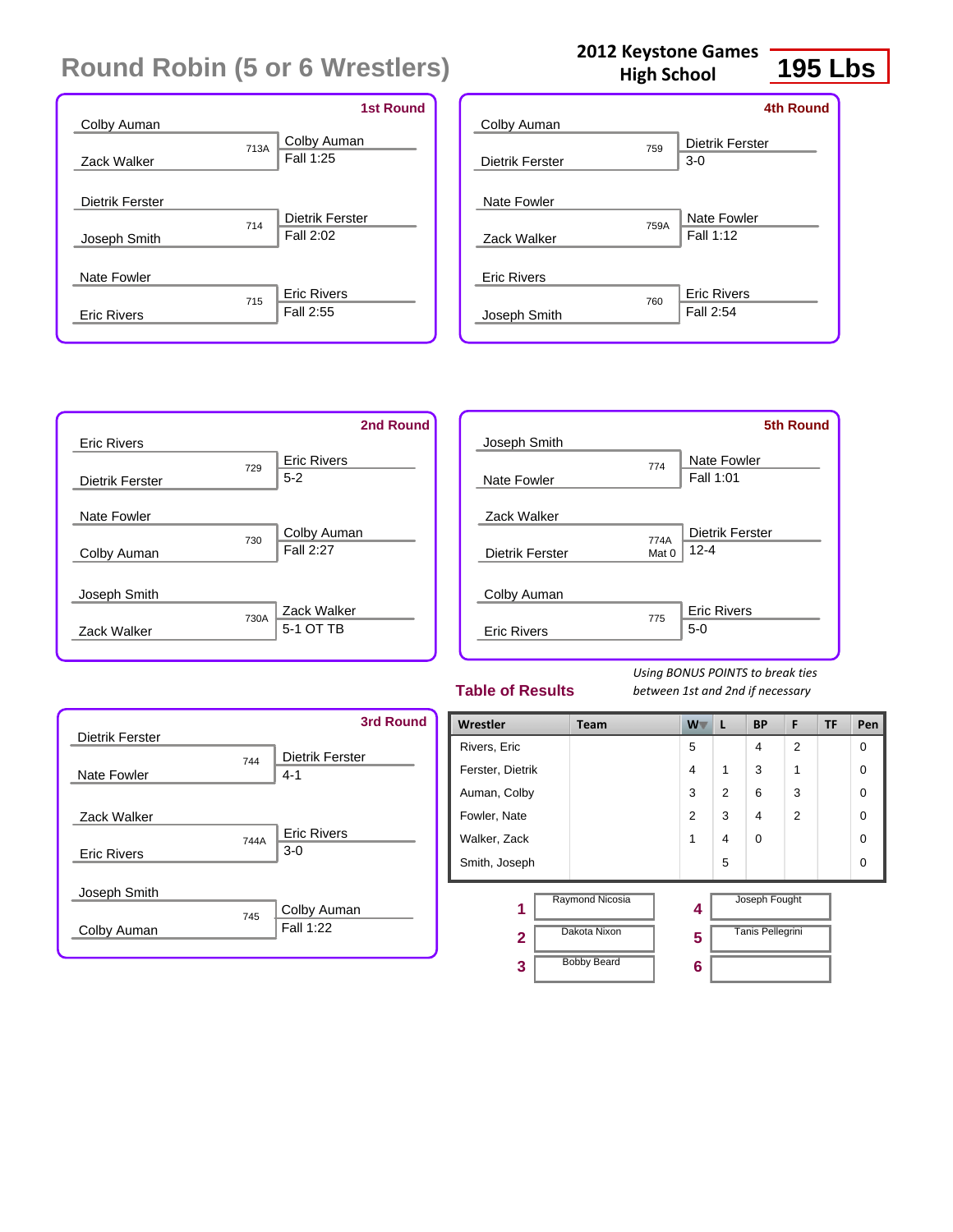|                    | <b>1st Round</b>   |
|--------------------|--------------------|
| Colby Auman        |                    |
| 713A               | Colby Auman        |
| Zack Walker        | Fall 1:25          |
|                    |                    |
| Dietrik Ferster    |                    |
| 714                | Dietrik Ferster    |
| Joseph Smith       | Fall 2:02          |
|                    |                    |
| Nate Fowler        |                    |
| 715                | <b>Eric Rivers</b> |
| <b>Eric Rivers</b> | Fall 2:55          |
|                    |                    |

| Colby Auman            |      | <b>4th Round</b>                |
|------------------------|------|---------------------------------|
| <b>Dietrik Ferster</b> | 759  | Dietrik Ferster<br>$3-0$        |
| Nate Fowler            |      |                                 |
| Zack Walker            | 759A | <b>Nate Fowler</b><br>Fall 1:12 |
| <b>Eric Rivers</b>     |      |                                 |
| Joseph Smith           | 760  | <b>Eric Rivers</b><br>Fall 2:54 |
|                        |      |                                 |

|                    |      | 2nd Round          |
|--------------------|------|--------------------|
| <b>Eric Rivers</b> |      |                    |
|                    | 729  | <b>Eric Rivers</b> |
| Dietrik Ferster    |      | $5 - 2$            |
|                    |      |                    |
| Nate Fowler        |      |                    |
|                    | 730  | Colby Auman        |
| Colby Auman        |      | Fall 2:27          |
|                    |      |                    |
| Joseph Smith       |      |                    |
|                    | 730A | Zack Walker        |
| Zack Walker        |      | 5-1 OT TB          |
|                    |      |                    |

|                    |       | <b>5th Round</b>   |
|--------------------|-------|--------------------|
| Joseph Smith       |       |                    |
|                    | 774   | Nate Fowler        |
| Nate Fowler        |       | Fall 1:01          |
|                    |       |                    |
| Zack Walker        |       |                    |
|                    | 774A  | Dietrik Ferster    |
| Dietrik Ferster    | Mat 0 | $12 - 4$           |
|                    |       |                    |
| Colby Auman        |       |                    |
|                    | 775   | <b>Eric Rivers</b> |
| <b>Eric Rivers</b> |       | $5-0$              |
|                    |       |                    |

#### **Table of Results**

*Using BONUS POINTS to break ties between 1st and 2nd if necessary*



| Wrestler         | <b>Team</b>        | W.             | L              | <b>BP</b>               | F              | <b>TF</b> | Pen      |
|------------------|--------------------|----------------|----------------|-------------------------|----------------|-----------|----------|
| Rivers, Eric     |                    | 5              |                | 4                       | $\overline{2}$ |           | $\Omega$ |
| Ferster, Dietrik |                    | $\overline{4}$ | 1              | 3                       | 1              |           | $\Omega$ |
| Auman, Colby     |                    | 3              | $\overline{2}$ | 6                       | 3              |           | $\Omega$ |
| Fowler, Nate     |                    | $\overline{2}$ | 3              | 4                       | $\overline{2}$ |           | $\Omega$ |
| Walker, Zack     |                    | 1              | 4              | $\Omega$                |                |           | $\Omega$ |
| Smith, Joseph    |                    |                | 5              |                         |                |           | $\Omega$ |
| 1                | Raymond Nicosia    | 4              |                | Joseph Fought           |                |           |          |
| $\mathbf{2}$     | Dakota Nixon       | 5              |                | <b>Tanis Pellegrini</b> |                |           |          |
| 3                | <b>Bobby Beard</b> | 6              |                |                         |                |           |          |

## **2012 Keystone Games**

**High School**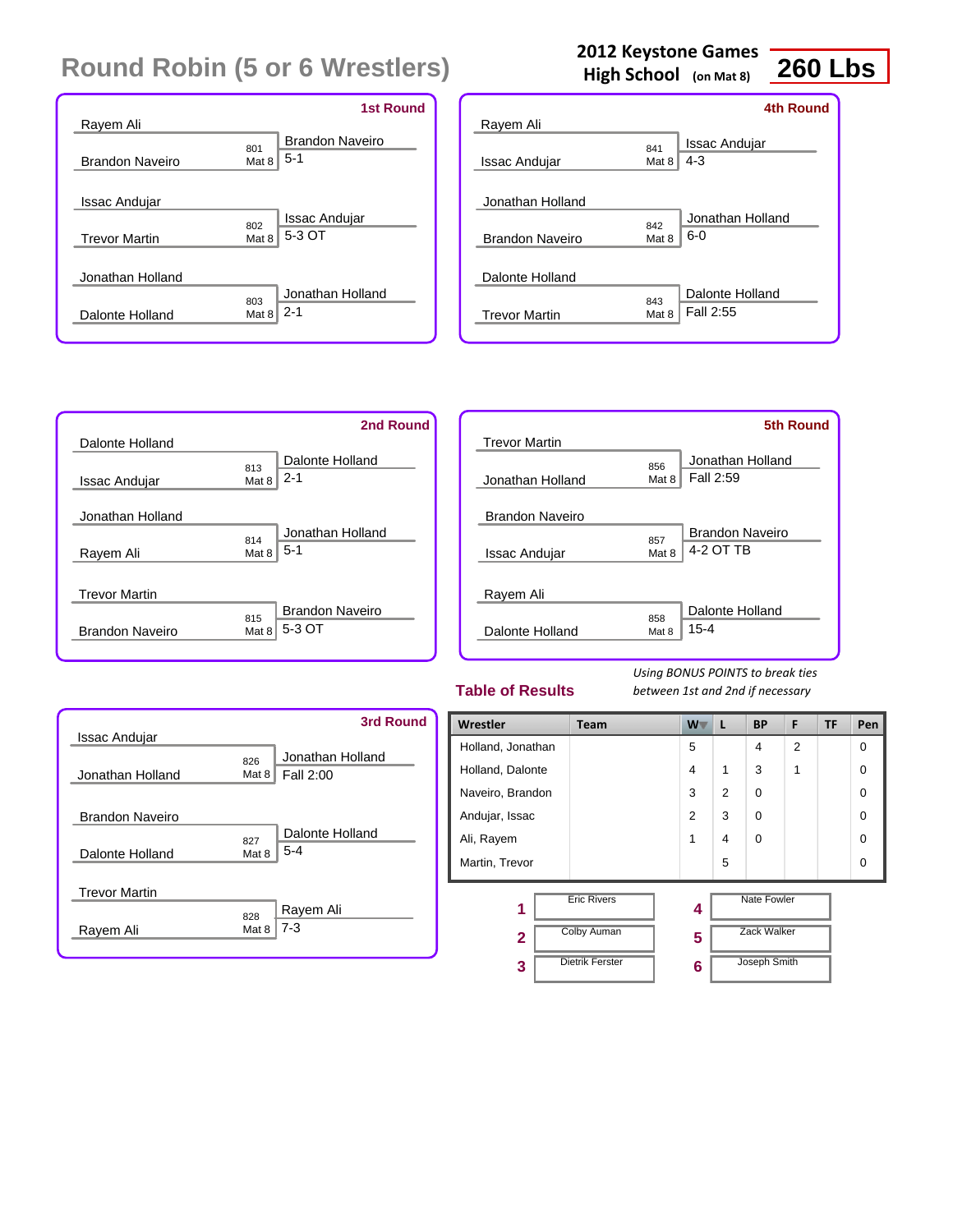|                        |       | 1st Round              |
|------------------------|-------|------------------------|
| Rayem Ali              | 801   | <b>Brandon Naveiro</b> |
| <b>Brandon Naveiro</b> | Mat 8 | $5-1$                  |
| <b>Issac Andujar</b>   | 802   | Issac Andujar          |
| <b>Trevor Martin</b>   | Mat 8 | 5-3 OT                 |
| Jonathan Holland       | 803   | Jonathan Holland       |
| Dalonte Holland        | Mat 8 | $2 - 1$                |

### **2012 Keystone Games**

**High School (on Mat 8)**

## **260 Lbs**

|                        |              | 4th Round                    |
|------------------------|--------------|------------------------------|
| Rayem Ali              |              |                              |
| Issac Andujar          | 841<br>Mat 8 | Issac Andujar<br>$4 - 3$     |
| Jonathan Holland       |              |                              |
| <b>Brandon Naveiro</b> | 842<br>Mat 8 | Jonathan Holland<br>$6-0$    |
| Dalonte Holland        |              |                              |
| <b>Trevor Martin</b>   | 843<br>Mat 8 | Dalonte Holland<br>Fall 2:55 |



|                        |              | 5th Round              |
|------------------------|--------------|------------------------|
| <b>Trevor Martin</b>   |              |                        |
|                        | 856          | Jonathan Holland       |
| Jonathan Holland       | Mat 8        | Fall 2:59              |
| <b>Brandon Naveiro</b> |              |                        |
|                        | 857          | <b>Brandon Naveiro</b> |
| <b>Issac Andujar</b>   | Mat 8        | 4-2 OT TB              |
| Rayem Ali              |              |                        |
|                        |              | Dalonte Holland        |
| Dalonte Holland        | 858<br>Mat 8 | $15 - 4$               |

#### **Table of Results**



| Wrestler          | <b>Team</b>            | W T            | L              | <b>BP</b>          | F              | <b>TF</b> | Pen      |
|-------------------|------------------------|----------------|----------------|--------------------|----------------|-----------|----------|
| Holland, Jonathan |                        | 5              |                | 4                  | $\overline{2}$ |           | $\Omega$ |
| Holland, Dalonte  |                        | $\overline{4}$ | 1              | 3                  | 1              |           | $\Omega$ |
| Naveiro, Brandon  |                        | 3              | $\overline{2}$ | $\Omega$           |                |           | $\Omega$ |
| Andujar, Issac    |                        | $\overline{2}$ | 3              | $\Omega$           |                |           | $\Omega$ |
| Ali, Rayem        |                        | 1              | 4              | $\Omega$           |                |           | $\Omega$ |
| Martin, Trevor    |                        |                | 5              |                    |                |           | $\Omega$ |
| 1                 | <b>Eric Rivers</b>     | 4              |                | <b>Nate Fowler</b> |                |           |          |
| $\overline{2}$    | <b>Colby Auman</b>     | 5              |                | <b>Zack Walker</b> |                |           |          |
| 3                 | <b>Dietrik Ferster</b> | 6              |                | Joseph Smith       |                |           |          |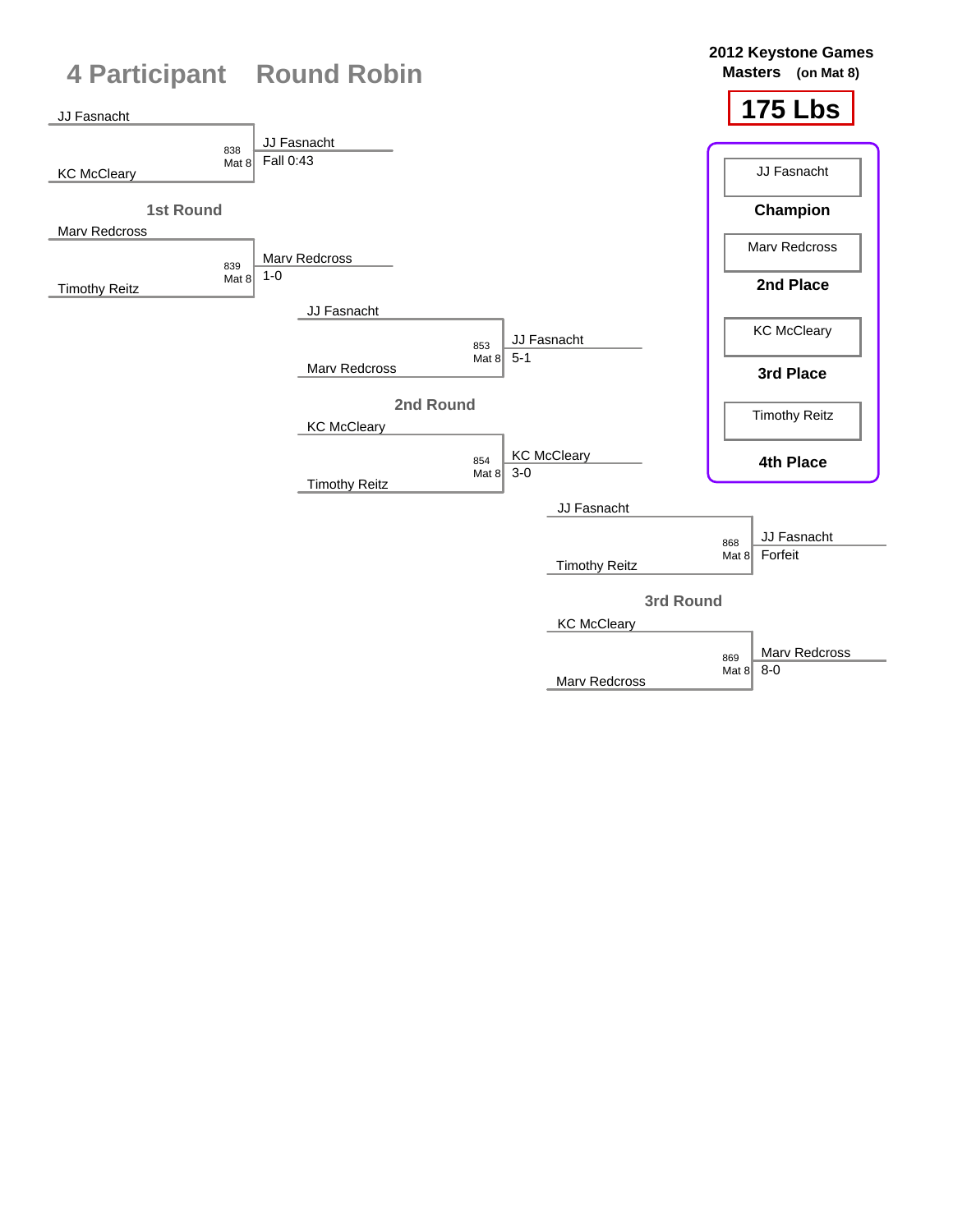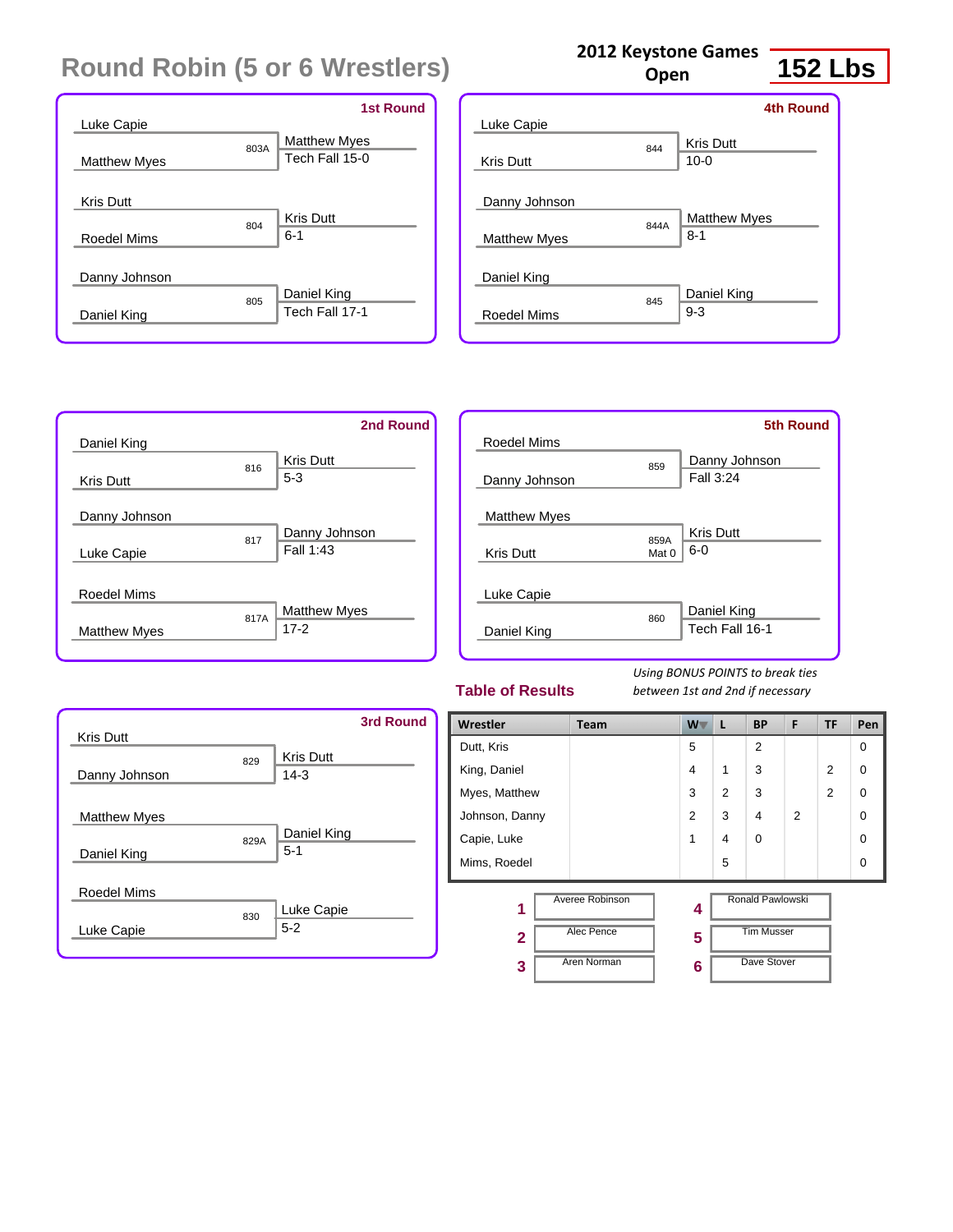|                     |      | <b>1st Round</b>    |
|---------------------|------|---------------------|
| Luke Capie          |      |                     |
|                     | 803A | <b>Matthew Myes</b> |
| <b>Matthew Myes</b> |      | Tech Fall 15-0      |
|                     |      |                     |
| <b>Kris Dutt</b>    |      |                     |
|                     | 804  | <b>Kris Dutt</b>    |
| Roedel Mims         |      | $6 - 1$             |
|                     |      |                     |
| Danny Johnson       |      |                     |
|                     | 805  | Daniel King         |
| Daniel King         |      | Tech Fall 17-1      |
|                     |      |                     |

|                                      |      | <b>4th Round</b>               |
|--------------------------------------|------|--------------------------------|
| Luke Capie                           |      |                                |
| <b>Kris Dutt</b>                     | 844  | <b>Kris Dutt</b><br>$10 - 0$   |
|                                      |      |                                |
| Danny Johnson<br><b>Matthew Myes</b> | 844A | <b>Matthew Myes</b><br>$8 - 1$ |
| Daniel King                          |      |                                |
| Roedel Mims                          | 845  | Daniel King<br>$9 - 3$         |
|                                      |      |                                |

**2012 Keystone Games Open**

|                     |      | 2nd Round           |
|---------------------|------|---------------------|
| Daniel King         |      |                     |
|                     | 816  | <b>Kris Dutt</b>    |
| <b>Kris Dutt</b>    |      | $5 - 3$             |
|                     |      |                     |
| Danny Johnson       |      |                     |
|                     | 817  | Danny Johnson       |
| Luke Capie          |      | Fall 1:43           |
|                     |      |                     |
| Roedel Mims         |      |                     |
|                     | 817A | <b>Matthew Myes</b> |
| <b>Matthew Myes</b> |      | $17-2$              |
|                     |      |                     |

|                     |                  | <b>5th Round</b> |
|---------------------|------------------|------------------|
| Roedel Mims         |                  |                  |
|                     | 859              | Danny Johnson    |
| Danny Johnson       |                  | <b>Fall 3:24</b> |
|                     |                  |                  |
| <b>Matthew Myes</b> |                  |                  |
|                     | 859A             | <b>Kris Dutt</b> |
| <b>Kris Dutt</b>    | Mat <sub>0</sub> | $6-0$            |
|                     |                  |                  |
| Luke Capie          |                  |                  |
|                     | 860              | Daniel King      |
| Daniel King         |                  | Tech Fall 16-1   |
|                     |                  |                  |

#### **Table of Results**

*Using BONUS POINTS to break ties between 1st and 2nd if necessary*

| <b>Kris Dutt</b>                   |      |                            | <b>3rd Round</b> |
|------------------------------------|------|----------------------------|------------------|
| Danny Johnson                      | 829  | <b>Kris Dutt</b><br>$14-3$ |                  |
| <b>Matthew Myes</b><br>Daniel King | 829A | Daniel King<br>$5 - 1$     |                  |
| Roedel Mims<br>Luke Capie          | 830  | Luke Capie<br>$5 - 2$      |                  |

| Dutt, Kris<br>King, Daniel |                                              | 5<br>$\overline{4}$ |                | $\overline{2}$                                              |                |   | $\Omega$ |
|----------------------------|----------------------------------------------|---------------------|----------------|-------------------------------------------------------------|----------------|---|----------|
|                            |                                              |                     |                |                                                             |                |   |          |
|                            |                                              |                     | 1              | 3                                                           |                | 2 | $\Omega$ |
| Myes, Matthew              |                                              | 3                   | $\overline{2}$ | 3                                                           |                | 2 | $\Omega$ |
| Johnson, Danny             |                                              | 2                   | 3              | 4                                                           | $\overline{2}$ |   | $\Omega$ |
| Capie, Luke                |                                              | 1                   | 4              | $\mathbf 0$                                                 |                |   | $\Omega$ |
| Mims, Roedel               |                                              |                     | 5              |                                                             |                |   | $\Omega$ |
| 1<br>$\mathbf{2}$<br>3     | Averee Robinson<br>Alec Pence<br>Aren Norman | 4<br>5<br>6         |                | <b>Ronald Pawlowski</b><br><b>Tim Musser</b><br>Dave Stover |                |   |          |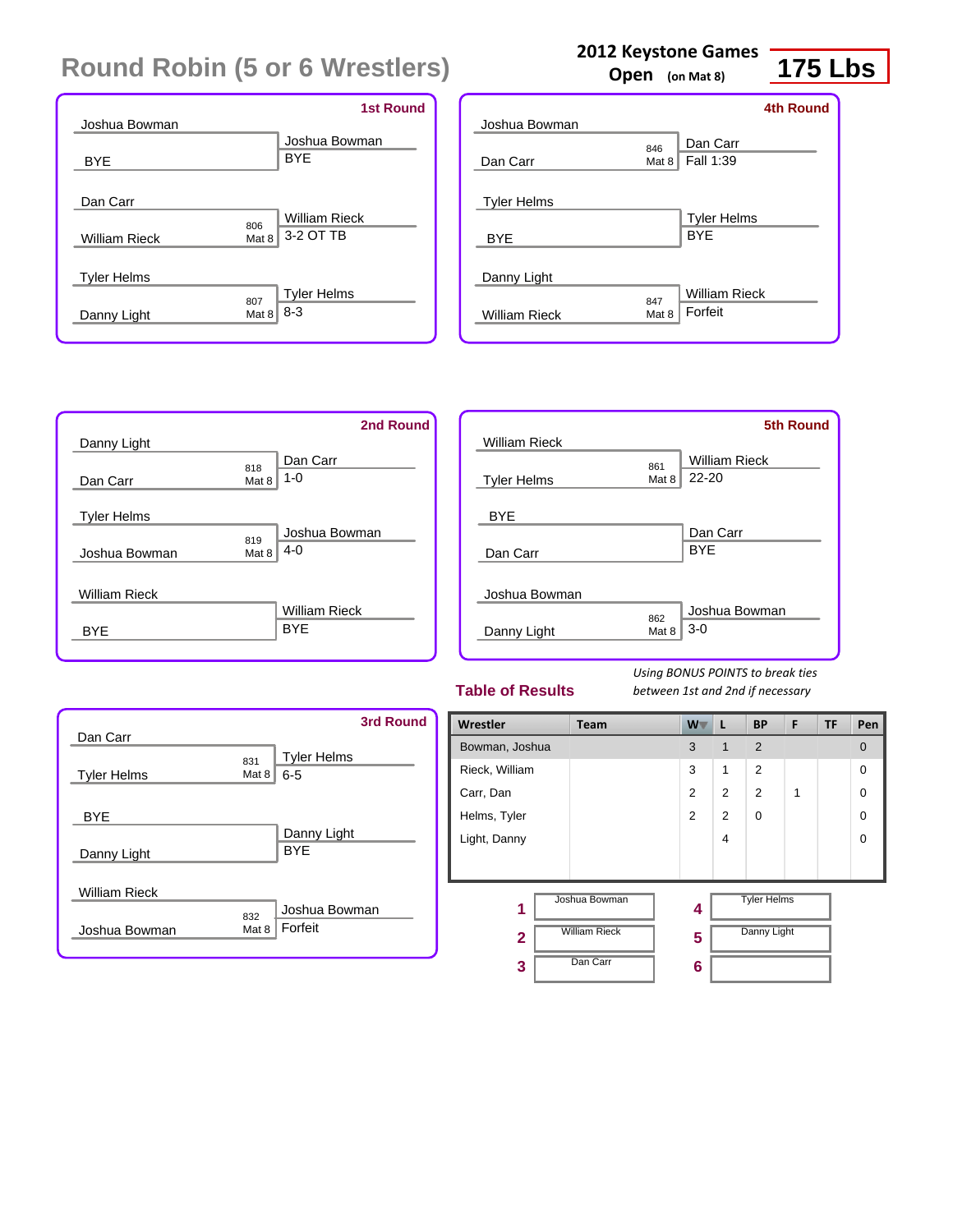|                    |       | <b>1st Round</b>     |
|--------------------|-------|----------------------|
| Joshua Bowman      |       |                      |
|                    |       | Joshua Bowman        |
| <b>BYE</b>         |       | <b>BYE</b>           |
|                    |       |                      |
| Dan Carr           |       |                      |
|                    | 806   | <b>William Rieck</b> |
| William Rieck      | Mat 8 | 3-2 OT TB            |
|                    |       |                      |
| <b>Tyler Helms</b> |       |                      |
|                    | 807   | <b>Tyler Helms</b>   |
| Danny Light        | Mat 8 | $8 - 3$              |
|                    |       |                      |

|                      |       |                      | <b>4th Round</b> |
|----------------------|-------|----------------------|------------------|
| Joshua Bowman        |       |                      |                  |
|                      | 846   | Dan Carr             |                  |
| Dan Carr             | Mat 8 | Fall 1:39            |                  |
| <b>Tyler Helms</b>   |       |                      |                  |
|                      |       | <b>Tyler Helms</b>   |                  |
| <b>BYE</b>           |       | <b>BYF</b>           |                  |
|                      |       |                      |                  |
| Danny Light          |       |                      |                  |
|                      | 847   | <b>William Rieck</b> |                  |
| <b>William Rieck</b> | Mat 8 | Forfeit              |                  |



|                      |       | <b>5th Round</b>     |
|----------------------|-------|----------------------|
| <b>William Rieck</b> |       |                      |
|                      | 861   | <b>William Rieck</b> |
| <b>Tyler Helms</b>   | Mat 8 | $22 - 20$            |
| <b>BYE</b>           |       |                      |
|                      |       | Dan Carr             |
| Dan Carr             |       | <b>BYE</b>           |
|                      |       |                      |
| Joshua Bowman        |       |                      |
|                      | 862   | Joshua Bowman        |
| Danny Light          | Mat 8 | $3-0$                |
|                      |       |                      |

#### **Table of Results**

*Using BONUS POINTS to break ties between 1st and 2nd if necessary*

|                      |       | <b>3rd Round</b>   |
|----------------------|-------|--------------------|
| Dan Carr             |       |                    |
|                      | 831   | <b>Tyler Helms</b> |
| <b>Tyler Helms</b>   | Mat 8 | $6 - 5$            |
|                      |       |                    |
| <b>BYE</b>           |       |                    |
|                      |       | Danny Light        |
| Danny Light          |       | <b>BYF</b>         |
|                      |       |                    |
| <b>William Rieck</b> |       |                    |
|                      | 832   | Joshua Bowman      |
| Joshua Bowman        | Mat 8 | Forfeit            |
|                      |       |                    |

| Wrestler                | Team                 | W <sub>V</sub> | L              | <b>BP</b>          | F | TF | Pen            |
|-------------------------|----------------------|----------------|----------------|--------------------|---|----|----------------|
| Bowman, Joshua          |                      | 3              | 1              | 2                  |   |    | $\overline{0}$ |
| Rieck, William          |                      | 3              | 1              | 2                  |   |    | $\Omega$       |
| Carr, Dan               |                      | 2              | 2              | $\overline{2}$     | 1 |    | $\Omega$       |
| Helms, Tyler            |                      | 2              | 2              | $\Omega$           |   |    | $\Omega$       |
| Light, Danny            |                      |                | $\overline{4}$ |                    |   |    | $\Omega$       |
|                         |                      |                |                |                    |   |    |                |
| 1                       | Joshua Bowman        | 4              |                | <b>Tyler Helms</b> |   |    |                |
| $\overline{\mathbf{2}}$ | <b>William Rieck</b> | 5              |                | Danny Light        |   |    |                |
| 3                       | Dan Carr             | 6              |                |                    |   |    |                |

#### **2012 Keystone Games**

**Open (on Mat 8)**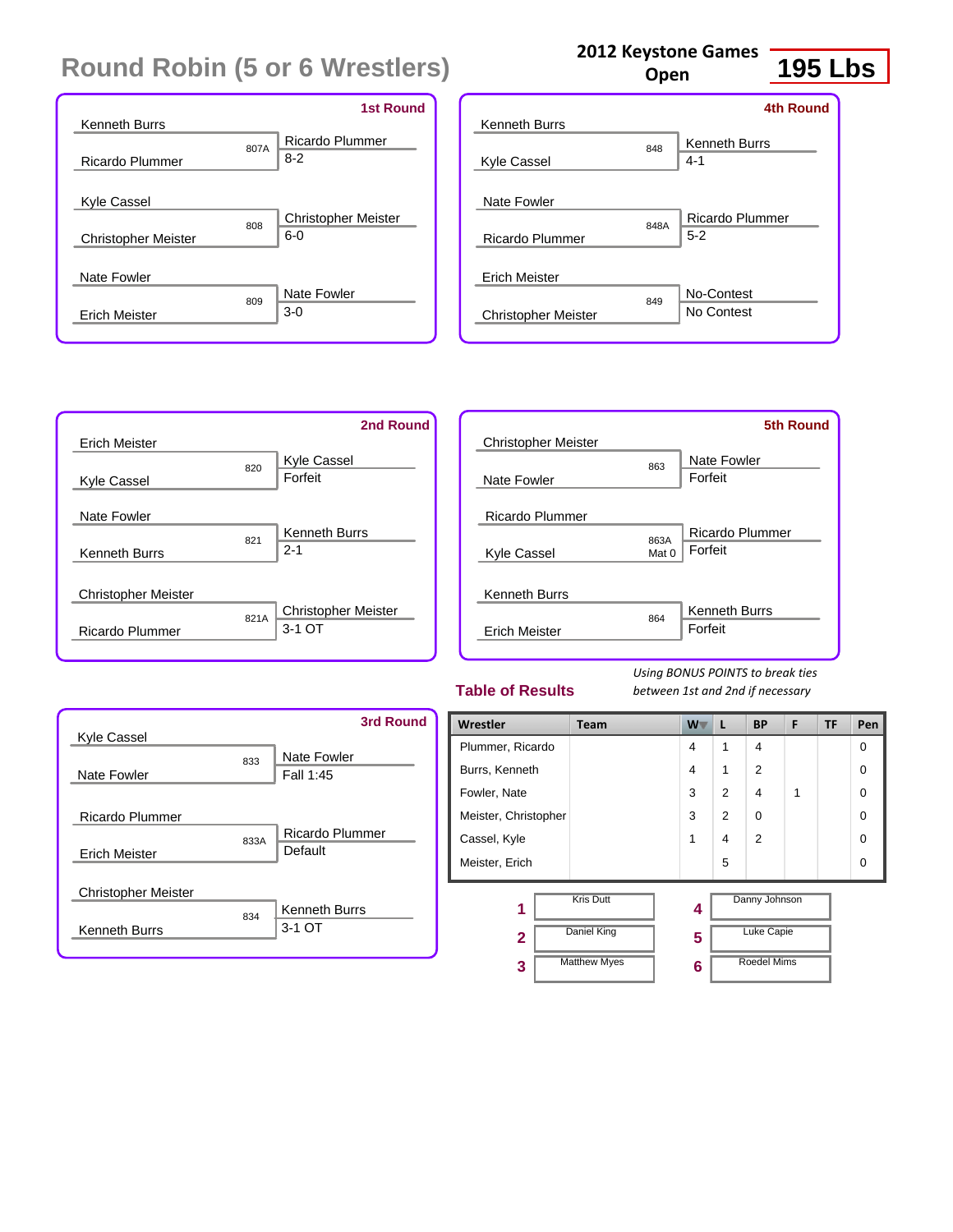|                            |      | <b>1st Round</b>                    |
|----------------------------|------|-------------------------------------|
| <b>Kenneth Burrs</b>       |      |                                     |
|                            | 807A | <b>Ricardo Plummer</b><br>$8-2$     |
| Ricardo Plummer            |      |                                     |
| Kyle Cassel                |      |                                     |
| <b>Christopher Meister</b> | 808  | <b>Christopher Meister</b><br>$6-0$ |
|                            |      |                                     |
| Nate Fowler                |      |                                     |
|                            | 809  | Nate Fowler                         |
| Erich Meister              |      | $3-0$                               |

| <b>Kenneth Burrs</b>       | <b>4th Round</b>                       |
|----------------------------|----------------------------------------|
| <b>Kyle Cassel</b>         | <b>Kenneth Burrs</b><br>848<br>$4 - 1$ |
| Nate Fowler                |                                        |
| Ricardo Plummer            | Ricardo Plummer<br>848A<br>$5 - 2$     |
| <b>Erich Meister</b>       |                                        |
| <b>Christopher Meister</b> | No-Contest<br>849<br>No Contest        |

**2012 Keystone Games Open**



|                            |               | 5th Round            |
|----------------------------|---------------|----------------------|
| <b>Christopher Meister</b> |               |                      |
|                            | 863           | Nate Fowler          |
| Nate Fowler                |               | Forfeit              |
| <b>Ricardo Plummer</b>     |               |                      |
|                            |               | Ricardo Plummer      |
| Kyle Cassel                | 863A<br>Mat 0 | Forfeit              |
|                            |               |                      |
| <b>Kenneth Burrs</b>       |               |                      |
|                            | 864           | <b>Kenneth Burrs</b> |
| <b>Erich Meister</b>       |               | Forfeit              |
|                            |               |                      |

#### **Table of Results**

*Using BONUS POINTS to break ties between 1st and 2nd if necessary*

| Kyle Cassel                             |      | <b>3rd Round</b>                  |
|-----------------------------------------|------|-----------------------------------|
| Nate Fowler                             | 833  | Nate Fowler<br>Fall 1:45          |
| Ricardo Plummer<br><b>Erich Meister</b> | 833A | <b>Ricardo Plummer</b><br>Default |
| <b>Christopher Meister</b>              |      | <b>Kenneth Burrs</b>              |
| <b>Kenneth Burrs</b>                    | 834  | 3-1 OT                            |

| Wrestler             | <b>Team</b>         | $W^-$                   | L                 | <b>BP</b>      | F | <b>TF</b> | Pen      |
|----------------------|---------------------|-------------------------|-------------------|----------------|---|-----------|----------|
| Plummer, Ricardo     |                     | 4                       | 1                 | 4              |   |           | $\Omega$ |
| Burrs, Kenneth       |                     | 4                       | 1                 | 2              |   |           | $\Omega$ |
| Fowler, Nate         |                     | 3                       | $\overline{2}$    | 4              | 1 |           | 0        |
| Meister, Christopher |                     | 3                       | $\overline{2}$    | $\mathbf 0$    |   |           | 0        |
| Cassel, Kyle         |                     | 1                       | 4                 | $\overline{2}$ |   |           | 0        |
| Meister, Erich       |                     |                         | 5                 |                |   |           | $\Omega$ |
| 1                    | <b>Kris Dutt</b>    | 4                       |                   | Danny Johnson  |   |           |          |
| $\mathbf{2}$         | Daniel King         | 5                       | <b>Luke Capie</b> |                |   |           |          |
| 3                    | <b>Matthew Myes</b> | <b>Roedel Mims</b><br>6 |                   |                |   |           |          |